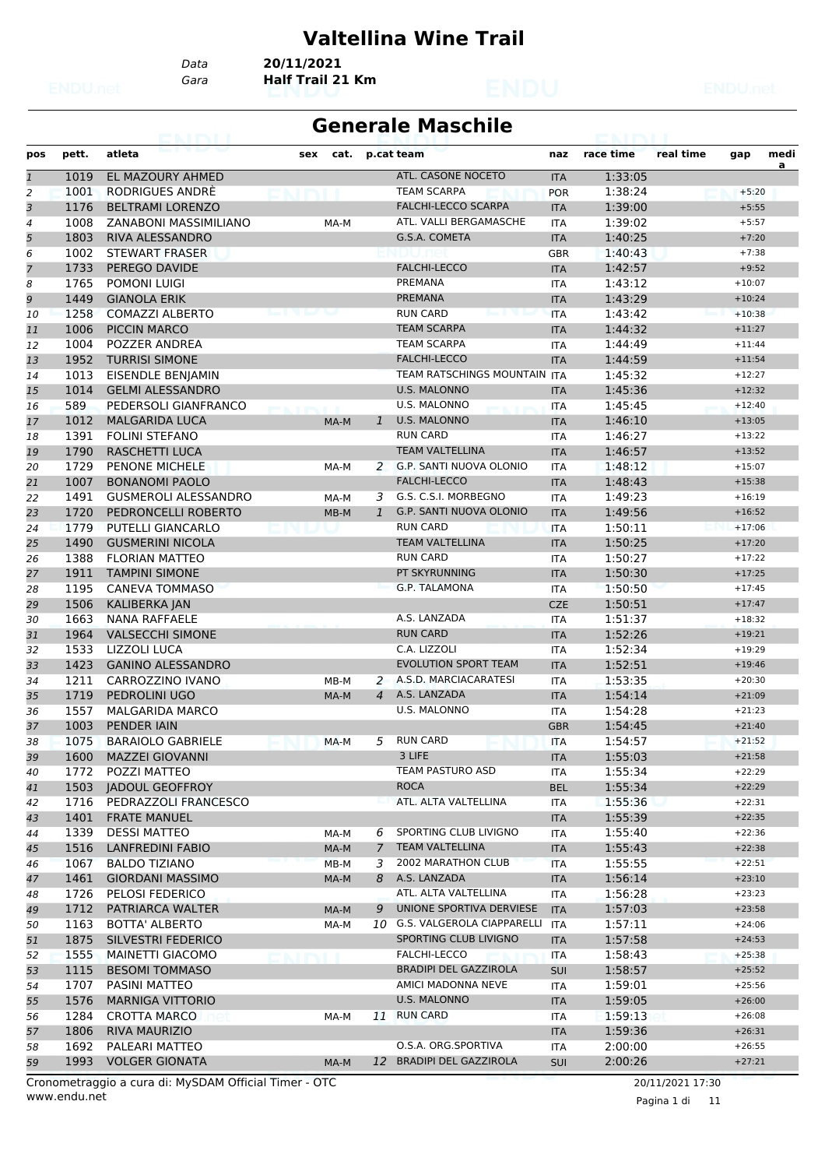#### **Valtellina Wine Trail**

*Data* **20/11/2021**

*Gara* **Half Trail 21 Km**

| <b>Generale Maschile</b> |  |  |
|--------------------------|--|--|
|                          |  |  |

| pos           | pett. | atleta                      | cat.<br>sex                            |                | p.cat team                        | naz        | race time | real time | gap      | medi |
|---------------|-------|-----------------------------|----------------------------------------|----------------|-----------------------------------|------------|-----------|-----------|----------|------|
|               |       |                             |                                        |                |                                   |            |           |           |          | a    |
| $\mathfrak 1$ | 1019  | <b>EL MAZOURY AHMED</b>     |                                        |                | ATL. CASONE NOCETO                | <b>ITA</b> | 1:33:05   |           |          |      |
| 2             | 1001  | RODRIGUES ANDRÉ             |                                        |                | <b>TEAM SCARPA</b>                | <b>POR</b> | 1:38:24   |           | $+5:20$  |      |
| 3             | 1176  | <b>BELTRAMI LORENZO</b>     |                                        |                | <b>FALCHI-LECCO SCARPA</b>        | <b>ITA</b> | 1:39:00   |           | $+5:55$  |      |
| 4             | 1008  | ZANABONI MASSIMILIANO       | MA-M                                   |                | ATL. VALLI BERGAMASCHE            | <b>ITA</b> | 1:39:02   |           | $+5:57$  |      |
| 5             | 1803  | RIVA ALESSANDRO             |                                        |                | G.S.A. COMETA                     | <b>ITA</b> | 1:40:25   |           | $+7:20$  |      |
| 6             | 1002  | <b>STEWART FRASER</b>       |                                        |                |                                   | GBR        | 1:40:43   |           | $+7:38$  |      |
| 7             | 1733  | PEREGO DAVIDE               |                                        |                | <b>FALCHI-LECCO</b>               | <b>ITA</b> | 1:42:57   |           | $+9:52$  |      |
| 8             | 1765  | POMONI LUIGI                |                                        |                | PREMANA                           | <b>ITA</b> | 1:43:12   |           | $+10:07$ |      |
| 9             | 1449  | <b>GIANOLA ERIK</b>         |                                        |                | <b>PREMANA</b>                    | <b>ITA</b> | 1:43:29   |           | $+10:24$ |      |
| 10            | 1258  | <b>COMAZZI ALBERTO</b>      | both the second property of the second |                | <b>RUN CARD</b>                   | <b>ITA</b> | 1:43:42   |           | $+10:38$ |      |
| 11            | 1006  | PICCIN MARCO                |                                        |                | <b>TEAM SCARPA</b>                | <b>ITA</b> | 1:44:32   |           | $+11:27$ |      |
| 12            | 1004  | POZZER ANDREA               |                                        |                | <b>TEAM SCARPA</b>                | <b>ITA</b> | 1:44:49   |           | $+11:44$ |      |
| 13            | 1952  | <b>TURRISI SIMONE</b>       |                                        |                | <b>FALCHI-LECCO</b>               | <b>ITA</b> | 1:44:59   |           | $+11:54$ |      |
| 14            | 1013  | EISENDLE BENJAMIN           |                                        |                | TEAM RATSCHINGS MOUNTAIN ITA      |            | 1:45:32   |           | $+12:27$ |      |
| 15            | 1014  | <b>GELMI ALESSANDRO</b>     |                                        |                | <b>U.S. MALONNO</b>               | <b>ITA</b> | 1:45:36   |           | $+12:32$ |      |
| 16            | 589   | PEDERSOLI GIANFRANCO        | <b>PERMIT AND INVESTIGATION</b>        |                | <b>U.S. MALONNO</b>               | <b>ITA</b> | 1:45:45   |           | $+12:40$ |      |
| 17            | 1012  | <b>MALGARIDA LUCA</b>       | MA-M                                   | $\mathbf{1}$   | <b>U.S. MALONNO</b>               | <b>ITA</b> | 1:46:10   |           | $+13:05$ |      |
| 18            | 1391  | <b>FOLINI STEFANO</b>       |                                        |                | <b>RUN CARD</b>                   | <b>ITA</b> | 1:46:27   |           | $+13:22$ |      |
| 19            | 1790  | <b>RASCHETTI LUCA</b>       |                                        |                | <b>TEAM VALTELLINA</b>            | <b>ITA</b> | 1:46:57   |           | $+13:52$ |      |
| 20            | 1729  | <b>PENONE MICHELE</b>       | MA-M                                   |                | 2 G.P. SANTI NUOVA OLONIO         | <b>ITA</b> | 1:48:12   |           | $+15:07$ |      |
| 21            | 1007  | <b>BONANOMI PAOLO</b>       |                                        |                | <b>FALCHI-LECCO</b>               | <b>ITA</b> | 1:48:43   |           | $+15:38$ |      |
| 22            | 1491  | <b>GUSMEROLI ALESSANDRO</b> | MA-M                                   | 3              | G.S. C.S.I. MORBEGNO              | <b>ITA</b> | 1:49:23   |           | $+16:19$ |      |
| 23            | 1720  | PEDRONCELLI ROBERTO         | $MB-M$                                 | $\mathbf{1}$   | G.P. SANTI NUOVA OLONIO           | <b>ITA</b> | 1:49:56   |           | $+16:52$ |      |
| 24            | 1779  | <b>PUTELLI GIANCARLO</b>    |                                        |                | <b>RUN CARD</b>                   | <b>ITA</b> | 1:50:11   |           | $+17:06$ |      |
| 25            | 1490  | <b>GUSMERINI NICOLA</b>     |                                        |                | <b>TEAM VALTELLINA</b>            | <b>ITA</b> | 1:50:25   |           | $+17:20$ |      |
| 26            | 1388  | <b>FLORIAN MATTEO</b>       |                                        |                | <b>RUN CARD</b>                   | <b>ITA</b> | 1:50:27   |           | $+17:22$ |      |
| 27            | 1911  | <b>TAMPINI SIMONE</b>       |                                        |                | PT SKYRUNNING                     | <b>ITA</b> | 1:50:30   |           | $+17:25$ |      |
| 28            | 1195  | <b>CANEVA TOMMASO</b>       |                                        |                | <b>G.P. TALAMONA</b>              | <b>ITA</b> | 1:50:50   |           | $+17:45$ |      |
| 29            | 1506  | <b>KALIBERKA JAN</b>        |                                        |                |                                   | <b>CZE</b> | 1:50:51   |           | $+17:47$ |      |
| 30            | 1663  | <b>NANA RAFFAELE</b>        |                                        |                | A.S. LANZADA                      | <b>ITA</b> | 1:51:37   |           | $+18:32$ |      |
| 31            | 1964  | <b>VALSECCHI SIMONE</b>     |                                        |                | <b>RUN CARD</b>                   | <b>ITA</b> | 1:52:26   |           | $+19:21$ |      |
| 32            | 1533  | <b>LIZZOLI LUCA</b>         |                                        |                | C.A. LIZZOLI                      | <b>ITA</b> | 1:52:34   |           | $+19:29$ |      |
| 33            | 1423  | <b>GANINO ALESSANDRO</b>    |                                        |                | <b>EVOLUTION SPORT TEAM</b>       | <b>ITA</b> | 1:52:51   |           | $+19:46$ |      |
| 34            | 1211  | CARROZZINO IVANO            | MB-M                                   | 2              | A.S.D. MARCIACARATESI             | <b>ITA</b> | 1:53:35   |           | $+20:30$ |      |
| 35            | 1719  | PEDROLINI UGO               | MA-M                                   | $\overline{4}$ | A.S. LANZADA                      | <b>ITA</b> | 1:54:14   |           | $+21:09$ |      |
| 36            | 1557  | <b>MALGARIDA MARCO</b>      |                                        |                | U.S. MALONNO                      | <b>ITA</b> | 1:54:28   |           | $+21:23$ |      |
| 37            | 1003  | PENDER IAIN                 |                                        |                |                                   | <b>GBR</b> | 1:54:45   |           | $+21:40$ |      |
| 38            | 1075  | <b>BARAIOLO GABRIELE</b>    | MA-M                                   | 5              | <b>RUN CARD</b>                   | <b>ITA</b> | 1:54:57   |           | $+21:52$ |      |
| 39            | 1600  | <b>MAZZEI GIOVANNI</b>      |                                        |                | 3 LIFE                            | $\sf ITA$  | 1:55:03   |           | $+21:58$ |      |
| 40            |       | 1772 POZZI MATTEO           |                                        |                | TEAM PASTURO ASD                  | ITA        | 1:55:34   |           | $+22:29$ |      |
| 41            |       | 1503 JADOUL GEOFFROY        |                                        |                | <b>ROCA</b>                       | <b>BEL</b> | 1:55:34   |           | $+22:29$ |      |
| 42            | 1716  | PEDRAZZOLI FRANCESCO        |                                        |                | ATL. ALTA VALTELLINA              | ITA        | 1:55:36   |           | $+22:31$ |      |
| 43            | 1401  | <b>FRATE MANUEL</b>         |                                        |                |                                   | <b>ITA</b> | 1:55:39   |           | $+22:35$ |      |
| 44            | 1339  | <b>DESSI MATTEO</b>         | MA-M                                   | 6              | SPORTING CLUB LIVIGNO             | ITA        | 1:55:40   |           | $+22:36$ |      |
| 45            | 1516  | <b>LANFREDINI FABIO</b>     | MA-M                                   | $\mathcal{I}$  | <b>TEAM VALTELLINA</b>            | <b>ITA</b> | 1:55:43   |           | $+22:38$ |      |
| 46            | 1067  | <b>BALDO TIZIANO</b>        | $MB-M$                                 | 3              | 2002 MARATHON CLUB                | <b>ITA</b> | 1:55:55   |           | $+22:51$ |      |
| 47            | 1461  | <b>GIORDANI MASSIMO</b>     | MA-M                                   | 8              | A.S. LANZADA                      | <b>ITA</b> | 1:56:14   |           | $+23:10$ |      |
| 48            | 1726  | PELOSI FEDERICO             |                                        |                | ATL. ALTA VALTELLINA              | ITA        | 1:56:28   |           | $+23:23$ |      |
| 49            | 1712  | PATRIARCA WALTER            | MA-M                                   | 9              | UNIONE SPORTIVA DERVIESE          | <b>ITA</b> | 1:57:03   |           | $+23:58$ |      |
| 50            | 1163  | <b>BOTTA' ALBERTO</b>       | MA-M                                   | 10             | <b>G.S. VALGEROLA CIAPPARELLI</b> | <b>ITA</b> | 1:57:11   |           | $+24:06$ |      |
| 51            | 1875  | SILVESTRI FEDERICO          |                                        |                | SPORTING CLUB LIVIGNO             | <b>ITA</b> | 1:57:58   |           | $+24:53$ |      |
| 52            | 1555  | MAINETTI GIACOMO            |                                        |                | FALCHI-LECCO                      | ITA        | 1:58:43   |           | $+25:38$ |      |
| 53            | 1115  | <b>BESOMI TOMMASO</b>       |                                        |                | <b>BRADIPI DEL GAZZIROLA</b>      | <b>SUI</b> | 1:58:57   |           | $+25:52$ |      |
| 54            | 1707  | PASINI MATTEO               |                                        |                | AMICI MADONNA NEVE                | ITA        | 1:59:01   |           | $+25:56$ |      |
| 55            | 1576  | <b>MARNIGA VITTORIO</b>     |                                        |                | U.S. MALONNO                      | <b>ITA</b> | 1:59:05   |           | $+26:00$ |      |
| 56            | 1284  | CROTTA MARCO                | MA-M                                   | 11             | <b>RUN CARD</b>                   | ITA        | 1:59:13   |           | $+26:08$ |      |
| 57            | 1806  | RIVA MAURIZIO               |                                        |                |                                   | <b>ITA</b> | 1:59:36   |           | $+26:31$ |      |
| 58            | 1692  | PALEARI MATTEO              |                                        |                | O.S.A. ORG.SPORTIVA               | ITA        | 2:00:00   |           | $+26:55$ |      |
| 59            | 1993  | <b>VOLGER GIONATA</b>       | MA-M                                   |                | 12 BRADIPI DEL GAZZIROLA          | <b>SUI</b> | 2:00:26   |           | $+27:21$ |      |
|               |       |                             |                                        |                |                                   |            |           |           |          |      |

www.endu.net Cronometraggio a cura di: MySDAM Official Timer - OTC 20/11/2021 17:30

Pagina 1 di 11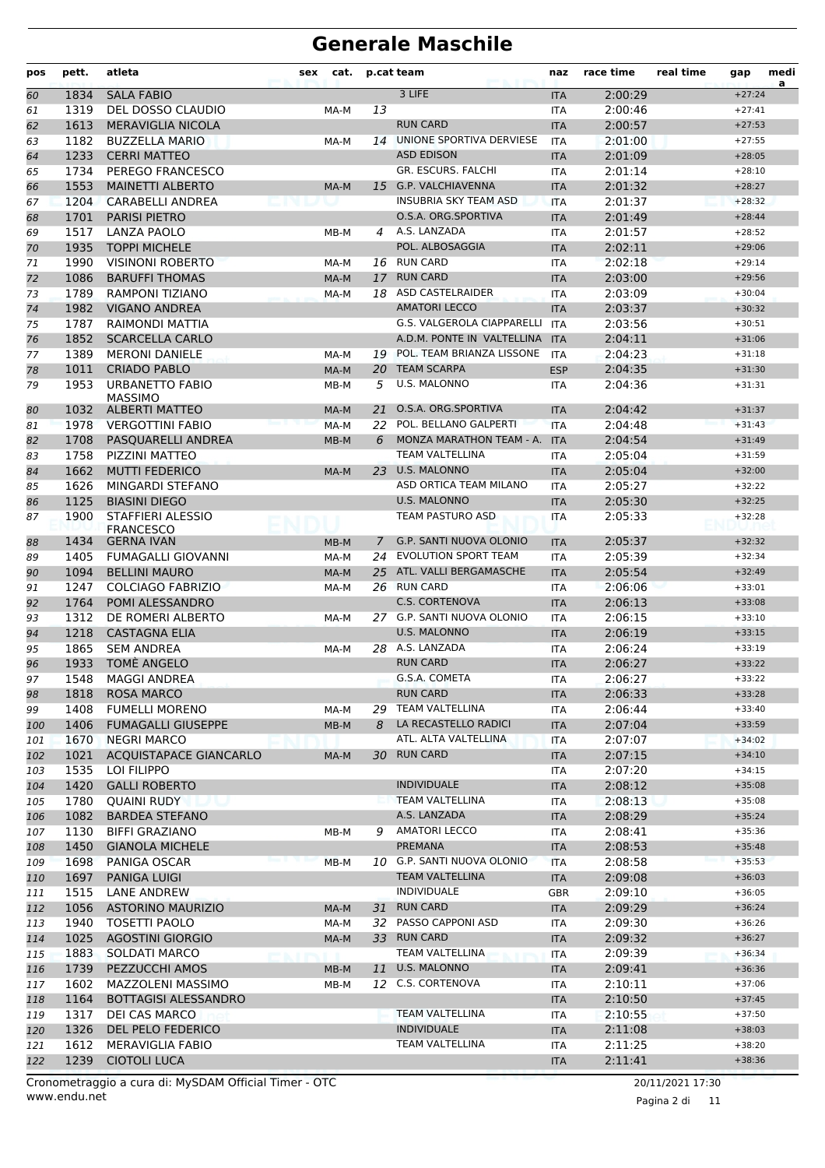| pos      | pett. | atleta                                   | sex | cat.   |    | p.cat team                   | naz        | race time | real time | gap      | medi<br>a |
|----------|-------|------------------------------------------|-----|--------|----|------------------------------|------------|-----------|-----------|----------|-----------|
| 60       | 1834  | <b>SALA FABIO</b>                        |     |        |    | 3 LIFE                       | <b>ITA</b> | 2:00:29   |           | $+27:24$ |           |
| 61       | 1319  | DEL DOSSO CLAUDIO                        |     | MA-M   | 13 |                              | <b>ITA</b> | 2:00:46   |           | $+27:41$ |           |
| 62       | 1613  | <b>MERAVIGLIA NICOLA</b>                 |     |        |    | <b>RUN CARD</b>              | <b>ITA</b> | 2:00:57   |           | $+27:53$ |           |
| 63       | 1182  | <b>BUZZELLA MARIO</b>                    |     | MA-M   |    | 14 UNIONE SPORTIVA DERVIESE  | <b>ITA</b> | 2:01:00   |           | $+27:55$ |           |
| 64       | 1233  | <b>CERRI MATTEO</b>                      |     |        |    | <b>ASD EDISON</b>            | <b>ITA</b> | 2:01:09   |           | $+28:05$ |           |
| 65       | 1734  | PEREGO FRANCESCO                         |     |        |    | GR. ESCURS. FALCHI           | <b>ITA</b> | 2:01:14   |           | $+28:10$ |           |
| 66       | 1553  | <b>MAINETTI ALBERTO</b>                  |     | MA-M   | 15 | G.P. VALCHIAVENNA            | <b>ITA</b> | 2:01:32   |           | $+28:27$ |           |
| 67       | 1204  | <b>CARABELLI ANDREA</b>                  |     |        |    | <b>INSUBRIA SKY TEAM ASD</b> | <b>ITA</b> | 2:01:37   |           | $+28:32$ |           |
| 68       | 1701  | <b>PARISI PIETRO</b>                     |     |        |    | O.S.A. ORG.SPORTIVA          | <b>ITA</b> | 2:01:49   |           | $+28:44$ |           |
| 69       | 1517  | <b>LANZA PAOLO</b>                       |     | MB-M   | 4  | A.S. LANZADA                 | <b>ITA</b> | 2:01:57   |           | $+28:52$ |           |
| 70       | 1935  | <b>TOPPI MICHELE</b>                     |     |        |    | POL. ALBOSAGGIA              | <b>ITA</b> | 2:02:11   |           | $+29:06$ |           |
| 71       | 1990  | <b>VISINONI ROBERTO</b>                  |     | MA-M   |    | 16 RUN CARD                  | <b>ITA</b> | 2:02:18   |           | $+29:14$ |           |
| 72       | 1086  | <b>BARUFFI THOMAS</b>                    |     | MA-M   | 17 | <b>RUN CARD</b>              | <b>ITA</b> | 2:03:00   |           | $+29:56$ |           |
| 73       | 1789  | <b>RAMPONI TIZIANO</b>                   |     | MA-M   |    | 18 ASD CASTELRAIDER          | <b>ITA</b> | 2:03:09   |           | $+30:04$ |           |
| 74       | 1982  | <b>VIGANO ANDREA</b>                     |     |        |    | <b>AMATORI LECCO</b>         | <b>ITA</b> | 2:03:37   |           | $+30:32$ |           |
| 75       | 1787  | RAIMONDI MATTIA                          |     |        |    | G.S. VALGEROLA CIAPPARELLI   | <b>ITA</b> | 2:03:56   |           | $+30:51$ |           |
| 76       | 1852  | <b>SCARCELLA CARLO</b>                   |     |        |    | A.D.M. PONTE IN VALTELLINA   | <b>ITA</b> | 2:04:11   |           | $+31:06$ |           |
| 77       | 1389  | <b>MERONI DANIELE</b>                    |     | MA-M   | 19 | POL. TEAM BRIANZA LISSONE    | <b>ITA</b> | 2:04:23   |           | $+31:18$ |           |
| 78       | 1011  | <b>CRIADO PABLO</b>                      |     | MA-M   | 20 | <b>TEAM SCARPA</b>           | <b>ESP</b> | 2:04:35   |           | $+31:30$ |           |
| 79       | 1953  | <b>URBANETTO FABIO</b><br><b>MASSIMO</b> |     | MB-M   | 5  | <b>U.S. MALONNO</b>          | ITA        | 2:04:36   |           | $+31:31$ |           |
| 80       | 1032  | <b>ALBERTI MATTEO</b>                    |     | MA-M   | 21 | O.S.A. ORG.SPORTIVA          | <b>ITA</b> | 2:04:42   |           | $+31:37$ |           |
| 81       | 1978  | <b>VERGOTTINI FABIO</b>                  |     | MA-M   | 22 | POL. BELLANO GALPERTI        | <b>ITA</b> | 2:04:48   |           | $+31:43$ |           |
| 82       | 1708  | PASQUARELLI ANDREA                       |     | MB-M   | 6  | MONZA MARATHON TEAM - A.     | <b>ITA</b> | 2:04:54   |           | $+31:49$ |           |
| 83       | 1758  | PIZZINI MATTEO                           |     |        |    | <b>TEAM VALTELLINA</b>       | <b>ITA</b> | 2:05:04   |           | $+31:59$ |           |
| 84       | 1662  | <b>MUTTI FEDERICO</b>                    |     | MA-M   | 23 | <b>U.S. MALONNO</b>          | <b>ITA</b> | 2:05:04   |           | $+32:00$ |           |
| 85       | 1626  | MINGARDI STEFANO                         |     |        |    | ASD ORTICA TEAM MILANO       | <b>ITA</b> | 2:05:27   |           | $+32:22$ |           |
| 86       | 1125  | <b>BIASINI DIEGO</b>                     |     |        |    | <b>U.S. MALONNO</b>          | <b>ITA</b> | 2:05:30   |           | $+32:25$ |           |
| 87       | 1900  | <b>STAFFIERI ALESSIO</b>                 |     |        |    | TEAM PASTURO ASD             | <b>ITA</b> | 2:05:33   |           | $+32:28$ |           |
|          | 1434  | <b>FRANCESCO</b><br><b>GERNA IVAN</b>    |     | $MB-M$ | 7  | G.P. SANTI NUOVA OLONIO      | <b>ITA</b> | 2:05:37   |           | $+32:32$ |           |
| 88<br>89 | 1405  | <b>FUMAGALLI GIOVANNI</b>                |     | MA-M   | 24 | <b>EVOLUTION SPORT TEAM</b>  | <b>ITA</b> | 2:05:39   |           | $+32:34$ |           |
| 90       | 1094  | <b>BELLINI MAURO</b>                     |     | MA-M   | 25 | ATL. VALLI BERGAMASCHE       | <b>ITA</b> | 2:05:54   |           | $+32:49$ |           |
| 91       | 1247  | <b>COLCIAGO FABRIZIO</b>                 |     | MA-M   |    | 26 RUN CARD                  | <b>ITA</b> | 2:06:06   |           | $+33:01$ |           |
| 92       | 1764  | <b>POMI ALESSANDRO</b>                   |     |        |    | <b>C.S. CORTENOVA</b>        | <b>ITA</b> | 2:06:13   |           | $+33:08$ |           |
| 93       | 1312  | DE ROMERI ALBERTO                        |     | MA-M   |    | 27 G.P. SANTI NUOVA OLONIO   | <b>ITA</b> | 2:06:15   |           | $+33:10$ |           |
| 94       | 1218  | <b>CASTAGNA ELIA</b>                     |     |        |    | <b>U.S. MALONNO</b>          | <b>ITA</b> | 2:06:19   |           | $+33:15$ |           |
| 95       | 1865  | <b>SEM ANDREA</b>                        |     | MA-M   |    | 28 A.S. LANZADA              | <b>ITA</b> | 2:06:24   |           | $+33:19$ |           |
| 96       | 1933  | TOMÈ ANGELO                              |     |        |    | <b>RUN CARD</b>              | <b>ITA</b> | 2:06:27   |           | $+33:22$ |           |
| 97       | 1548  | <b>MAGGI ANDREA</b>                      |     |        |    | G.S.A. COMETA                | <b>ITA</b> | 2:06:27   |           | $+33:22$ |           |
| 98       | 1818  | <b>ROSA MARCO</b>                        |     |        |    | <b>RUN CARD</b>              | <b>ITA</b> | 2:06:33   |           | $+33:28$ |           |
| 99       | 1408  | <b>FUMELLI MORENO</b>                    |     | MA-M   |    | 29 TEAM VALTELLINA           | ITA        | 2:06:44   |           | $+33:40$ |           |
| 100      | 1406  | <b>FUMAGALLI GIUSEPPE</b>                |     | MB-M   | 8  | LA RECASTELLO RADICI         | <b>ITA</b> | 2:07:04   |           | $+33:59$ |           |
| 101      | 1670  | <b>NEGRI MARCO</b>                       |     |        |    | ATL. ALTA VALTELLINA         | ITA        | 2:07:07   |           | $+34:02$ |           |
| 102      | 1021  | <b>ACQUISTAPACE GIANCARLO</b>            |     | MA-M   |    | 30 RUN CARD                  | <b>ITA</b> | 2:07:15   |           | $+34:10$ |           |
| 103      | 1535  | LOI FILIPPO                              |     |        |    |                              | ITA        | 2:07:20   |           | $+34:15$ |           |
| 104      | 1420  | <b>GALLI ROBERTO</b>                     |     |        |    | <b>INDIVIDUALE</b>           | <b>ITA</b> | 2:08:12   |           | $+35:08$ |           |
| 105      | 1780  | QUAINI RUDY                              |     |        |    | <b>TEAM VALTELLINA</b>       | ITA        | 2:08:13   |           | $+35:08$ |           |
| 106      | 1082  | <b>BARDEA STEFANO</b>                    |     |        |    | A.S. LANZADA                 | <b>ITA</b> | 2:08:29   |           | $+35:24$ |           |
| 107      | 1130  | <b>BIFFI GRAZIANO</b>                    |     | MB-M   | 9  | <b>AMATORI LECCO</b>         | ITA        | 2:08:41   |           | $+35:36$ |           |
| 108      | 1450  | <b>GIANOLA MICHELE</b>                   |     |        |    | PREMANA                      | <b>ITA</b> | 2:08:53   |           | $+35:48$ |           |
| 109      | 1698  | PANIGA OSCAR                             |     | MB-M   |    | 10 G.P. SANTI NUOVA OLONIO   | <b>ITA</b> | 2:08:58   |           | $+35:53$ |           |
| 110      | 1697  | <b>PANIGA LUIGI</b>                      |     |        |    | <b>TEAM VALTELLINA</b>       | <b>ITA</b> | 2:09:08   |           | $+36:03$ |           |
| 111      | 1515  | LANE ANDREW                              |     |        |    | <b>INDIVIDUALE</b>           | GBR        | 2:09:10   |           | $+36:05$ |           |
| 112      | 1056  | <b>ASTORINO MAURIZIO</b>                 |     | MA-M   | 31 | <b>RUN CARD</b>              | <b>ITA</b> | 2:09:29   |           | $+36:24$ |           |
| 113      | 1940  | <b>TOSETTI PAOLO</b>                     |     | MA-M   |    | 32 PASSO CAPPONI ASD         | ITA        | 2:09:30   |           | $+36:26$ |           |
| 114      | 1025  | <b>AGOSTINI GIORGIO</b>                  |     | MA-M   |    | 33 RUN CARD                  | <b>ITA</b> | 2:09:32   |           | $+36:27$ |           |
| 115      | 1883  | SOLDATI MARCO                            |     |        |    | TEAM VALTELLINA              | ITA        | 2:09:39   |           | $+36:34$ |           |
| 116      | 1739  | PEZZUCCHI AMOS                           |     | MB-M   | 11 | U.S. MALONNO                 | <b>ITA</b> | 2:09:41   |           | $+36:36$ |           |
| 117      | 1602  | MAZZOLENI MASSIMO                        |     | MB-M   |    | 12 C.S. CORTENOVA            | ITA        | 2:10:11   |           | $+37:06$ |           |
| 118      | 1164  | <b>BOTTAGISI ALESSANDRO</b>              |     |        |    |                              | <b>ITA</b> | 2:10:50   |           | $+37:45$ |           |
| 119      | 1317  | DEI CAS MARCO                            |     |        |    | <b>TEAM VALTELLINA</b>       | ITA        | 2:10:55   |           | $+37:50$ |           |
| 120      | 1326  | DEL PELO FEDERICO                        |     |        |    | <b>INDIVIDUALE</b>           | <b>ITA</b> | 2:11:08   |           | $+38:03$ |           |
| 121      | 1612  | <b>MERAVIGLIA FABIO</b>                  |     |        |    | TEAM VALTELLINA              | ITA        | 2:11:25   |           | $+38:20$ |           |
| 122      | 1239  | <b>CIOTOLI LUCA</b>                      |     |        |    |                              | <b>ITA</b> | 2:11:41   |           | $+38:36$ |           |
|          |       |                                          |     |        |    |                              |            |           |           |          |           |

www.endu.net Cronometraggio a cura di: MySDAM Official Timer - OTC 20/11/2021 17:30

Pagina 2 di 11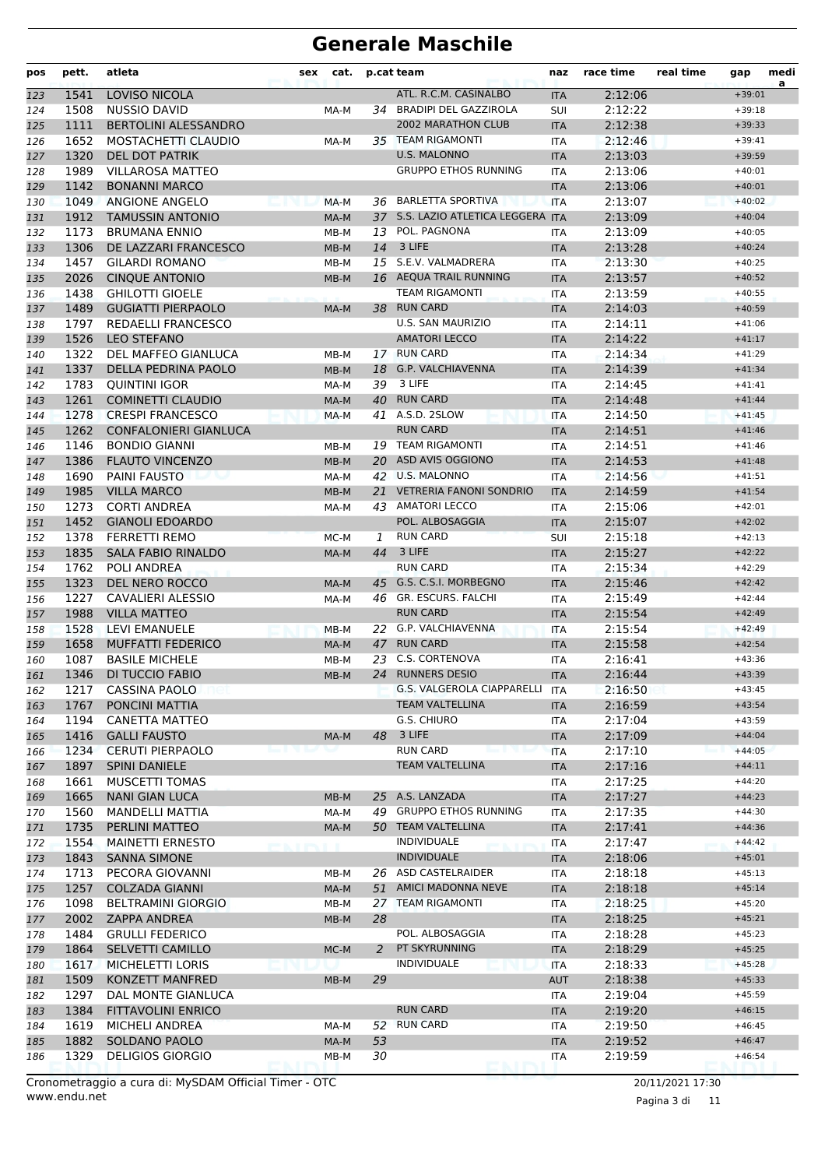| pos        | pett.        | atleta                                 | sex | cat.         |    | p.cat team                           | naz               | race time          | real time | gap                  | medi<br>a |
|------------|--------------|----------------------------------------|-----|--------------|----|--------------------------------------|-------------------|--------------------|-----------|----------------------|-----------|
| 123        | 1541         | <b>LOVISO NICOLA</b>                   |     |              |    | ATL. R.C.M. CASINALBO                | <b>ITA</b>        | 2:12:06            |           | $+39:01$             |           |
| 124        | 1508         | <b>NUSSIO DAVID</b>                    |     | MA-M         |    | 34 BRADIPI DEL GAZZIROLA             | <b>SUI</b>        | 2:12:22            |           | $+39:18$             |           |
| 125        | 1111         | <b>BERTOLINI ALESSANDRO</b>            |     |              |    | <b>2002 MARATHON CLUB</b>            | <b>ITA</b>        | 2:12:38            |           | $+39:33$             |           |
| 126        | 1652         | <b>MOSTACHETTI CLAUDIO</b>             |     | MA-M         |    | 35 TEAM RIGAMONTI                    | <b>ITA</b>        | 2:12:46            |           | $+39:41$             |           |
| 127        | 1320         | <b>DEL DOT PATRIK</b>                  |     |              |    | <b>U.S. MALONNO</b>                  | <b>ITA</b>        | 2:13:03            |           | $+39:59$             |           |
| 128        | 1989         | <b>VILLAROSA MATTEO</b>                |     |              |    | <b>GRUPPO ETHOS RUNNING</b>          | <b>ITA</b>        | 2:13:06            |           | $+40:01$             |           |
| 129        | 1142         | <b>BONANNI MARCO</b>                   |     |              |    |                                      | <b>ITA</b>        | 2:13:06            |           | $+40:01$             |           |
| 130        | 1049         | <b>ANGIONE ANGELO</b>                  |     | MA-M         |    | 36 BARLETTA SPORTIVA                 | <b>ITA</b>        | 2:13:07            |           | $+40:02$             |           |
| 131        | 1912         | <b>TAMUSSIN ANTONIO</b>                |     | MA-M         |    | 37 S.S. LAZIO ATLETICA LEGGERA ITA   |                   | 2:13:09            |           | $+40:04$             |           |
| 132        | 1173         | <b>BRUMANA ENNIO</b>                   |     | $MB-M$       | 13 | POL. PAGNONA                         | <b>ITA</b>        | 2:13:09            |           | $+40:05$             |           |
| 133        | 1306         | DE LAZZARI FRANCESCO                   |     | MB-M         | 14 | 3 LIFE                               | <b>ITA</b>        | 2:13:28            |           | $+40:24$             |           |
| 134        | 1457         | <b>GILARDI ROMANO</b>                  |     | MB-M         |    | 15 S.E.V. VALMADRERA                 | <b>ITA</b>        | 2:13:30            |           | $+40:25$             |           |
| 135        | 2026         | <b>CINQUE ANTONIO</b>                  |     | MB-M         |    | 16 AEQUA TRAIL RUNNING               | <b>ITA</b>        | 2:13:57            |           | $+40:52$             |           |
| 136        | 1438         | <b>GHILOTTI GIOELE</b>                 |     |              |    | <b>TEAM RIGAMONTI</b>                | <b>ITA</b>        | 2:13:59            |           | $+40:55$             |           |
| 137        | 1489         | <b>GUGIATTI PIERPAOLO</b>              |     | MA-M         |    | 38 RUN CARD                          | <b>ITA</b>        | 2:14:03            |           | $+40:59$             |           |
| 138        | 1797         | <b>REDAELLI FRANCESCO</b>              |     |              |    | <b>U.S. SAN MAURIZIO</b>             | <b>ITA</b>        | 2:14:11            |           | $+41:06$             |           |
| 139        | 1526         | <b>LEO STEFANO</b>                     |     |              |    | <b>AMATORI LECCO</b>                 | <b>ITA</b>        | 2:14:22            |           | $+41:17$             |           |
| 140        | 1322         | DEL MAFFEO GIANLUCA                    |     | MB-M         |    | 17 RUN CARD                          | <b>ITA</b>        | 2:14:34            |           | $+41:29$             |           |
| 141        | 1337         | DELLA PEDRINA PAOLO                    |     | MB-M         | 18 | G.P. VALCHIAVENNA                    | <b>ITA</b>        | 2:14:39            |           | $+41:34$             |           |
| 142        | 1783         | <b>QUINTINI IGOR</b>                   |     | MA-M         | 39 | 3 LIFE                               | <b>ITA</b>        | 2:14:45            |           | $+41:41$             |           |
| 143        | 1261         | <b>COMINETTI CLAUDIO</b>               |     | MA-M         |    | 40 RUN CARD                          | <b>ITA</b>        | 2:14:48            |           | $+41:44$             |           |
| 144        | 1278         | <b>CRESPI FRANCESCO</b>                |     | MA-M         |    | 41 A.S.D. 2SLOW                      | <b>ITA</b>        | 2:14:50            |           | $+41:45$             |           |
| 145        | 1262         | CONFALONIERI GIANLUCA                  |     |              |    | <b>RUN CARD</b>                      | <b>ITA</b>        | 2:14:51            |           | $+41:46$             |           |
| 146        | 1146         | <b>BONDIO GIANNI</b>                   |     | MB-M         |    | 19 TEAM RIGAMONTI                    | <b>ITA</b>        | 2:14:51            |           | $+41:46$             |           |
| 147        | 1386         | <b>FLAUTO VINCENZO</b>                 |     | MB-M         |    | 20 ASD AVIS OGGIONO                  | <b>ITA</b>        | 2:14:53            |           | $+41:48$             |           |
| 148        | 1690         | <b>PAINI FAUSTO</b>                    |     | MA-M         |    | 42 U.S. MALONNO                      | <b>ITA</b>        | 2:14:56            |           | $+41:51$             |           |
| 149        | 1985         | <b>VILLA MARCO</b>                     |     | MB-M         |    | 21 VETRERIA FANONI SONDRIO           | <b>ITA</b>        | 2:14:59            |           | $+41:54$             |           |
| 150        | 1273         | <b>CORTI ANDREA</b>                    |     | MA-M         |    | 43 AMATORI LECCO                     | <b>ITA</b>        | 2:15:06            |           | $+42:01$             |           |
| 151        | 1452         | <b>GIANOLI EDOARDO</b>                 |     |              |    | POL. ALBOSAGGIA                      | <b>ITA</b>        | 2:15:07            |           | $+42:02$             |           |
| 152        | 1378         | <b>FERRETTI REMO</b>                   |     | MC-M         | 1  | <b>RUN CARD</b>                      | <b>SUI</b>        | 2:15:18            |           | $+42:13$             |           |
| 153        | 1835         | <b>SALA FABIO RINALDO</b>              |     | MA-M         | 44 | 3 LIFE                               | <b>ITA</b>        | 2:15:27            |           | $+42:22$             |           |
| 154        | 1762         | POLI ANDREA                            |     |              |    | <b>RUN CARD</b>                      | <b>ITA</b>        | 2:15:34            |           | $+42:29$             |           |
| 155        | 1323         | DEL NERO ROCCO                         |     | MA-M         |    | 45 G.S. C.S.I. MORBEGNO              | <b>ITA</b>        | 2:15:46            |           | $+42:42$             |           |
| 156        | 1227         | <b>CAVALIERI ALESSIO</b>               |     | MA-M         |    | 46 GR. ESCURS. FALCHI                | <b>ITA</b>        | 2:15:49            |           | $+42:44$             |           |
| 157        | 1988         | <b>VILLA MATTEO</b>                    |     |              |    | <b>RUN CARD</b>                      | <b>ITA</b>        | 2:15:54            |           | $+42:49$             |           |
| 158        | 1528         | <b>LEVI EMANUELE</b>                   |     | $MB-M$       | 22 | G.P. VALCHIAVENNA<br><b>RUN CARD</b> | <b>ITA</b>        | 2:15:54            |           | $+42:49$             |           |
| 159        | 1658<br>1087 | <b>MUFFATTI FEDERICO</b>               |     | MA-M         | 47 | C.S. CORTENOVA                       | <b>ITA</b>        | 2:15:58            |           | $+42:54$             |           |
| 160        |              | <b>BASILE MICHELE</b>                  |     | MB-M         | 23 | 24 RUNNERS DESIO                     | <b>ITA</b>        | 2:16:41            |           | $+43:36$<br>$+43:39$ |           |
| 161        | 1346         | DI TUCCIO FABIO                        |     | MB-M         |    | G.S. VALGEROLA CIAPPARELLI ITA       | <b>ITA</b>        | 2:16:44<br>2:16:50 |           | $+43:45$             |           |
| 162        | 1217<br>1767 | <b>CASSINA PAOLO</b><br>PONCINI MATTIA |     |              |    | TEAM VALTELLINA                      |                   |                    |           | $+43:54$             |           |
| 163        | 1194         | CANETTA MATTEO                         |     |              |    | G.S. CHIURO                          | <b>ITA</b>        | 2:16:59<br>2:17:04 |           | $+43:59$             |           |
| 164        | 1416         | <b>GALLI FAUSTO</b>                    |     |              | 48 | 3 LIFE                               | ITA<br><b>ITA</b> | 2:17:09            |           | $+44:04$             |           |
| 165        | 1234         | <b>CERUTI PIERPAOLO</b>                |     | MA-M<br>است؟ |    | <b>RUN CARD</b>                      | <b>ITA</b>        | 2:17:10            |           | $+44:05$             |           |
| 166<br>167 | 1897         | <b>SPINI DANIELE</b>                   |     |              |    | <b>TEAM VALTELLINA</b>               | <b>ITA</b>        | 2:17:16            |           | $+44:11$             |           |
| 168        | 1661         | MUSCETTI TOMAS                         |     |              |    |                                      | ITA               | 2:17:25            |           | $+44:20$             |           |
| 169        | 1665         | <b>NANI GIAN LUCA</b>                  |     | MB-M         |    | 25 A.S. LANZADA                      | <b>ITA</b>        | 2:17:27            |           | $+44:23$             |           |
| 170        | 1560         | <b>MANDELLI MATTIA</b>                 |     | MA-M         | 49 | <b>GRUPPO ETHOS RUNNING</b>          | ITA               | 2:17:35            |           | $+44:30$             |           |
| 171        | 1735         | PERLINI MATTEO                         |     | MA-M         |    | 50 TEAM VALTELLINA                   | <b>ITA</b>        | 2:17:41            |           | $+44:36$             |           |
| 172        | 1554         | <b>MAINETTI ERNESTO</b>                |     |              |    | <b>INDIVIDUALE</b>                   | ITA               | 2:17:47            |           | $+44:42$             |           |
| 173        | 1843         | <b>SANNA SIMONE</b>                    |     | 首旨首          |    | <b>INDIVIDUALE</b>                   | <b>ITA</b>        | 2:18:06            |           | $+45:01$             |           |
| 174        | 1713         | PECORA GIOVANNI                        |     | MB-M         |    | 26 ASD CASTELRAIDER                  | ITA               | 2:18:18            |           | $+45:13$             |           |
| 175        | 1257         | <b>COLZADA GIANNI</b>                  |     | MA-M         |    | 51 AMICI MADONNA NEVE                | <b>ITA</b>        | 2:18:18            |           | $+45:14$             |           |
| 176        | 1098         | <b>BELTRAMINI GIORGIO</b>              |     | MB-M         |    | 27 TEAM RIGAMONTI                    | ITA               | 2:18:25            |           | $+45:20$             |           |
| 177        | 2002         | ZAPPA ANDREA                           |     | MB-M         | 28 |                                      | <b>ITA</b>        | 2:18:25            |           | $+45:21$             |           |
| 178        | 1484         | <b>GRULLI FEDERICO</b>                 |     |              |    | POL. ALBOSAGGIA                      | ITA               | 2:18:28            |           | $+45:23$             |           |
| 179        | 1864         | SELVETTI CAMILLO                       |     | MC-M         | 2  | PT SKYRUNNING                        | <b>ITA</b>        | 2:18:29            |           | $+45:25$             |           |
| 180        | 1617         | MICHELETTI LORIS                       |     |              |    | <b>INDIVIDUALE</b>                   | ITA               | 2:18:33            |           | $+45:28$             |           |
| 181        | 1509         | KONZETT MANFRED                        |     | MB-M         | 29 |                                      | <b>AUT</b>        | 2:18:38            |           | $+45:33$             |           |
| 182        | 1297         | DAL MONTE GIANLUCA                     |     |              |    |                                      | ITA               | 2:19:04            |           | $+45:59$             |           |
| 183        | 1384         | <b>FITTAVOLINI ENRICO</b>              |     |              |    | <b>RUN CARD</b>                      | <b>ITA</b>        | 2:19:20            |           | $+46:15$             |           |
| 184        | 1619         | MICHELI ANDREA                         |     | MA-M         |    | 52 RUN CARD                          | ITA               | 2:19:50            |           | $+46:45$             |           |
| 185        | 1882         | SOLDANO PAOLO                          |     | MA-M         | 53 |                                      | <b>ITA</b>        | 2:19:52            |           | $+46:47$             |           |
| 186        | 1329         | <b>DELIGIOS GIORGIO</b>                |     | MB-M         | 30 |                                      | ITA               | 2:19:59            |           | $+46:54$             |           |
|            |              |                                        |     |              |    |                                      |                   |                    |           |                      |           |

Pagina 3 di 11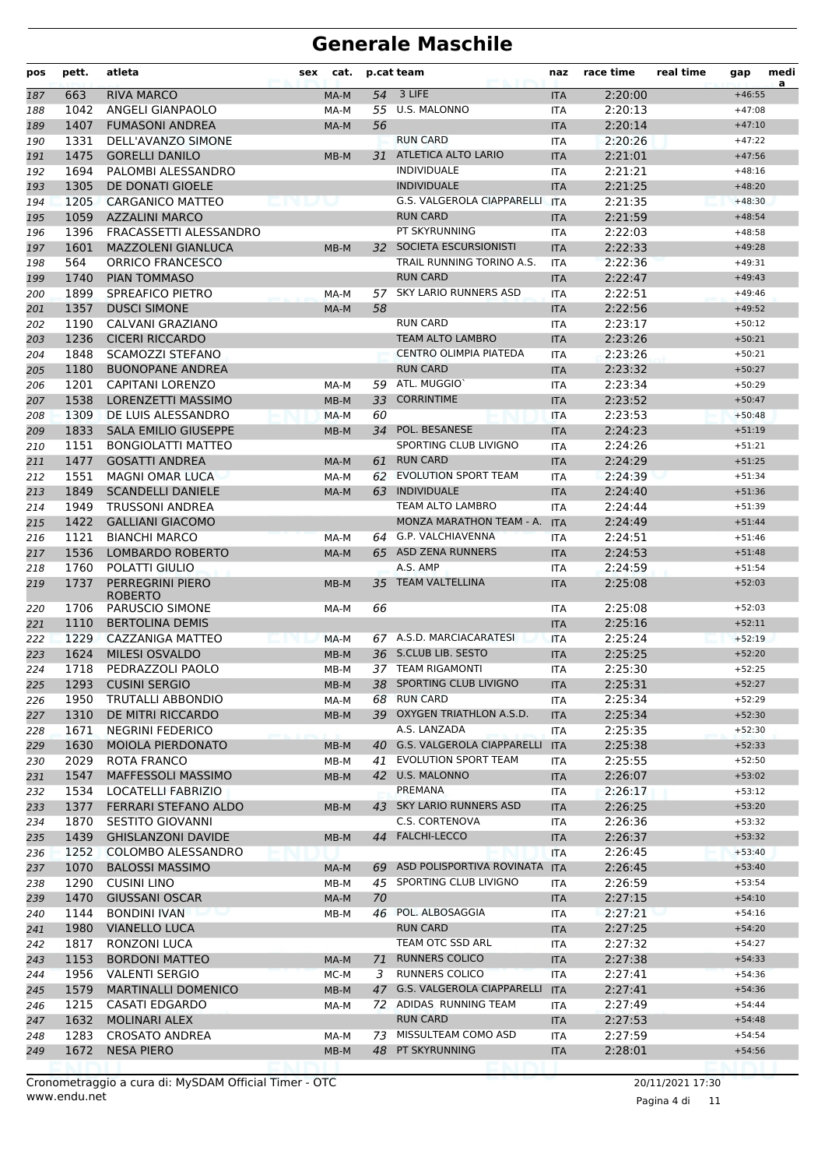| 3 LIFE<br><b>RIVA MARCO</b><br>54<br>2:20:00<br>$+46:55$<br>663<br><b>ITA</b><br>187<br>MA-M<br><b>U.S. MALONNO</b><br>55<br>2:20:13<br>1042<br>ANGELI GIANPAOLO<br>MA-M<br><b>ITA</b><br>$+47:08$<br>188<br><b>FUMASONI ANDREA</b><br>56<br>2:20:14<br>1407<br>189<br>MA-M<br><b>ITA</b><br>$+47:10$<br><b>RUN CARD</b><br>1331<br>DELL'AVANZO SIMONE<br>2:20:26<br>$+47:22$<br>190<br><b>ITA</b><br>ATLETICA ALTO LARIO<br>1475<br><b>GORELLI DANILO</b><br>2:21:01<br>31<br><b>ITA</b><br>$+47:56$<br>191<br>MB-M<br>1694<br><b>INDIVIDUALE</b><br>2:21:21<br>PALOMBI ALESSANDRO<br>192<br><b>ITA</b><br>$+48:16$<br>1305<br><b>INDIVIDUALE</b><br>2:21:25<br>DE DONATI GIOELE<br>$+48:20$<br>193<br><b>ITA</b><br>G.S. VALGEROLA CIAPPARELLI<br>1205<br>2:21:35<br><b>CARGANICO MATTEO</b><br><b>ITA</b><br>194<br>$+48:30$<br>1059<br><b>AZZALINI MARCO</b><br><b>RUN CARD</b><br>2:21:59<br>195<br><b>ITA</b><br>$+48:54$<br>PT SKYRUNNING<br>1396<br>FRACASSETTI ALESSANDRO<br>2:22:03<br>$+48:58$<br><b>ITA</b><br>196<br>SOCIETA ESCURSIONISTI<br>1601<br><b>MAZZOLENI GIANLUCA</b><br>2:22:33<br><b>ITA</b><br>$+49:28$<br>32<br>197<br>MB-M<br>564<br>TRAIL RUNNING TORINO A.S.<br>2:22:36<br><b>ORRICO FRANCESCO</b><br>$+49:31$<br>198<br><b>ITA</b><br><b>RUN CARD</b><br><b>PIAN TOMMASO</b><br>2:22:47<br>1740<br>$+49:43$<br>199<br><b>ITA</b><br>1899<br>SPREAFICO PIETRO<br><b>SKY LARIO RUNNERS ASD</b><br>2:22:51<br>57<br>200<br><b>ITA</b><br>$+49:46$<br>MA-M<br>1357<br><b>DUSCI SIMONE</b><br>58<br>2:22:56<br>MA-M<br><b>ITA</b><br>$+49:52$<br>201<br><b>RUN CARD</b><br>1190<br>CALVANI GRAZIANO<br>2:23:17<br>202<br>$+50:12$<br><b>ITA</b><br>1236<br><b>CICERI RICCARDO</b><br><b>TEAM ALTO LAMBRO</b><br>2:23:26<br>203<br><b>ITA</b><br>$+50:21$<br>CENTRO OLIMPIA PIATEDA<br>2:23:26<br>1848<br><b>SCAMOZZI STEFANO</b><br>$+50:21$<br>204<br><b>ITA</b><br><b>RUN CARD</b><br>1180<br><b>BUONOPANE ANDREA</b><br>2:23:32<br><b>ITA</b><br>$+50:27$<br>1201<br>59 ATL. MUGGIO<br>2:23:34<br><b>CAPITANI LORENZO</b><br><b>ITA</b><br>$+50:29$<br>206<br>MA-M<br>1538<br><b>CORRINTIME</b><br>2:23:52<br><b>LORENZETTI MASSIMO</b><br>33<br>MB-M<br><b>ITA</b><br>$+50:47$<br>207<br>1309<br>DE LUIS ALESSANDRO<br>60<br>2:23:53<br>MA-M<br><b>ITA</b><br>$+50:48$<br>208<br>1833<br>POL. BESANESE<br>2:24:23<br><b>SALA EMILIO GIUSEPPE</b><br>34<br><b>ITA</b><br>$+51:19$<br>MB-M<br>209<br>SPORTING CLUB LIVIGNO<br>2:24:26<br>1151<br><b>BONGIOLATTI MATTEO</b><br><b>ITA</b><br>$+51:21$<br>210<br><b>RUN CARD</b><br>1477<br><b>GOSATTI ANDREA</b><br>2:24:29<br>$+51:25$<br><b>ITA</b><br>MA-M<br>61<br>1551<br><b>EVOLUTION SPORT TEAM</b><br><b>MAGNI OMAR LUCA</b><br>2:24:39<br>212<br>MA-M<br>62<br><b>ITA</b><br>$+51:34$<br><b>SCANDELLI DANIELE</b><br>63 INDIVIDUALE<br>1849<br>2:24:40<br>MA-M<br><b>ITA</b><br>$+51:36$<br>213<br>TEAM ALTO LAMBRO<br>1949<br><b>TRUSSONI ANDREA</b><br>214<br><b>ITA</b><br>2:24:44<br>$+51:39$<br>1422<br><b>GALLIANI GIACOMO</b><br>MONZA MARATHON TEAM - A.<br>2:24:49<br>215<br><b>ITA</b><br>$+51:44$<br>G.P. VALCHIAVENNA<br>1121<br><b>BIANCHI MARCO</b><br>2:24:51<br>$+51:46$<br>216<br>MA-M<br>64<br><b>ITA</b><br>65 ASD ZENA RUNNERS<br>1536<br><b>LOMBARDO ROBERTO</b><br>2:24:53<br>217<br><b>ITA</b><br>MA-M<br>$+51:48$<br>1760<br>POLATTI GIULIO<br>A.S. AMP<br>2:24:59<br><b>ITA</b><br>$+51:54$<br>218<br>1737<br><b>PERREGRINI PIERO</b><br><b>TEAM VALTELLINA</b><br>2:25:08<br>35<br>$+52:03$<br>219<br>$MB-M$<br><b>ITA</b><br><b>ROBERTO</b><br>1706<br><b>PARUSCIO SIMONE</b><br>66<br>2:25:08<br>$+52:03$<br>MA-M<br><b>ITA</b><br>220<br>2:25:16<br>1110<br><b>BERTOLINA DEMIS</b><br><b>ITA</b><br>$+52:11$<br>221<br>1229<br>2:25:24<br>CAZZANIGA MATTEO<br>67 A.S.D. MARCIACARATESI<br>222<br>MA-M<br><b>ITA</b><br>$+52:19$<br>36 S.CLUB LIB. SESTO<br>1624<br><b>MILESI OSVALDO</b><br>2:25:25<br>$+52:20$<br>$MB-M$<br>223<br><b>ITA</b><br>37 TEAM RIGAMONTI<br>1718<br>PEDRAZZOLI PAOLO<br>2:25:30<br>224<br>MB-M<br>$+52:25$<br><b>ITA</b><br>38 SPORTING CLUB LIVIGNO<br>2:25:31<br>1293<br><b>CUSINI SERGIO</b><br>225<br>MB-M<br>ITA<br>$+52:27$<br>68 RUN CARD<br>1950<br>TRUTALLI ABBONDIO<br>2:25:34<br>$+52:29$<br>226<br>MA-M<br>ITA<br>1310<br>39 OXYGEN TRIATHLON A.S.D.<br>2:25:34<br>DE MITRI RICCARDO<br>227<br>MB-M<br><b>ITA</b><br>$+52:30$<br>A.S. LANZADA<br>1671<br>2:25:35<br>$+52:30$<br>NEGRINI FEDERICO<br>ITA<br>228<br>40 G.S. VALGEROLA CIAPPARELLI<br>1630<br><b>MOIOLA PIERDONATO</b><br><b>ITA</b><br>2:25:38<br>$+52:33$<br>229<br>$MB-M$<br><b>EVOLUTION SPORT TEAM</b><br>2029<br>ROTA FRANCO<br>2:25:55<br>$+52:50$<br>230<br>MB-M<br>41<br>ITA<br>42 U.S. MALONNO<br>1547<br>MAFFESSOLI MASSIMO<br>2:26:07<br>MB-M<br><b>ITA</b><br>$+53:02$<br>231<br>PREMANA<br>1534<br>LOCATELLI FABRIZIO<br><b>ITA</b><br>2:26:17<br>$+53:12$<br>232<br>43 SKY LARIO RUNNERS ASD<br>1377<br>FERRARI STEFANO ALDO<br>2:26:25<br>233<br><b>ITA</b><br>$+53:20$<br>MB-M<br>C.S. CORTENOVA<br>1870<br><b>SESTITO GIOVANNI</b><br>2:26:36<br>$+53:32$<br>234<br>ITA<br><b>GHISLANZONI DAVIDE</b><br><b>FALCHI-LECCO</b><br>$+53:32$<br>1439<br>44<br>2:26:37<br>MB-M<br><b>ITA</b><br>1252<br>COLOMBO ALESSANDRO<br>2:26:45<br>$+53:40$<br>236<br>ITA<br>1070<br><b>BALOSSI MASSIMO</b><br>69 ASD POLISPORTIVA ROVINATA<br><b>ITA</b><br>2:26:45<br>$+53:40$<br>MA-M<br>45 SPORTING CLUB LIVIGNO<br>$+53:54$<br>1290<br><b>CUSINI LINO</b><br>2:26:59<br>MB-M<br>ITA<br>1470<br><b>GIUSSANI OSCAR</b><br>70<br>2:27:15<br>MA-M<br><b>ITA</b><br>$+54:10$<br>POL. ALBOSAGGIA<br>1144<br><b>BONDINI IVAN</b><br>2:27:21<br>46<br>$+54:16$<br>MB-M<br>ITA<br><b>RUN CARD</b><br>$+54:20$<br>1980<br><b>VIANELLO LUCA</b><br>2:27:25<br><b>ITA</b><br>TEAM OTC SSD ARL<br>2:27:32<br>1817<br>RONZONI LUCA<br>$+54:27$<br>ITA<br>242<br><b>RUNNERS COLICO</b><br>1153<br><b>BORDONI MATTEO</b><br>2:27:38<br>$+54:33$<br>MA-M<br>71<br><b>ITA</b><br>RUNNERS COLICO<br>$+54:36$<br>1956<br><b>VALENTI SERGIO</b><br>2:27:41<br>MC-M<br>3<br><b>ITA</b><br>1579<br>G.S. VALGEROLA CIAPPARELLI<br>2:27:41<br><b>MARTINALLI DOMENICO</b><br>$+54:36$<br>245<br>MB-M<br>47<br><b>ITA</b><br>72 ADIDAS RUNNING TEAM<br>1215<br>2:27:49<br>$+54:44$<br>CASATI EDGARDO<br>246<br>MA-M<br>ITA<br><b>RUN CARD</b><br>$+54:48$<br>1632<br><b>MOLINARI ALEX</b><br>2:27:53<br>247<br><b>ITA</b><br>73 MISSULTEAM COMO ASD<br>2:27:59<br>1283<br><b>CROSATO ANDREA</b><br>$+54:54$<br>MA-M<br>ITA<br>248<br>48 PT SKYRUNNING<br>1672<br><b>NESA PIERO</b><br>2:28:01<br>$+54:56$<br>249<br>$MB-M$<br><b>ITA</b> | pos | pett. | atleta | cat.<br>sex | p.cat team | naz | race time | real time | gap | medi<br>a |
|-------------------------------------------------------------------------------------------------------------------------------------------------------------------------------------------------------------------------------------------------------------------------------------------------------------------------------------------------------------------------------------------------------------------------------------------------------------------------------------------------------------------------------------------------------------------------------------------------------------------------------------------------------------------------------------------------------------------------------------------------------------------------------------------------------------------------------------------------------------------------------------------------------------------------------------------------------------------------------------------------------------------------------------------------------------------------------------------------------------------------------------------------------------------------------------------------------------------------------------------------------------------------------------------------------------------------------------------------------------------------------------------------------------------------------------------------------------------------------------------------------------------------------------------------------------------------------------------------------------------------------------------------------------------------------------------------------------------------------------------------------------------------------------------------------------------------------------------------------------------------------------------------------------------------------------------------------------------------------------------------------------------------------------------------------------------------------------------------------------------------------------------------------------------------------------------------------------------------------------------------------------------------------------------------------------------------------------------------------------------------------------------------------------------------------------------------------------------------------------------------------------------------------------------------------------------------------------------------------------------------------------------------------------------------------------------------------------------------------------------------------------------------------------------------------------------------------------------------------------------------------------------------------------------------------------------------------------------------------------------------------------------------------------------------------------------------------------------------------------------------------------------------------------------------------------------------------------------------------------------------------------------------------------------------------------------------------------------------------------------------------------------------------------------------------------------------------------------------------------------------------------------------------------------------------------------------------------------------------------------------------------------------------------------------------------------------------------------------------------------------------------------------------------------------------------------------------------------------------------------------------------------------------------------------------------------------------------------------------------------------------------------------------------------------------------------------------------------------------------------------------------------------------------------------------------------------------------------------------------------------------------------------------------------------------------------------------------------------------------------------------------------------------------------------------------------------------------------------------------------------------------------------------------------------------------------------------------------------------------------------------------------------------------------------------------------------------------------------------------------------------------------------------------------------------------------------------------------------------------------------------------------------------------------------------------------------------------------------------------------------------------------------------------------------------------------------------------------------------------------------------------------------------------------------------------------------------------------------------------------------------------------------------------------------------------------------------------------------------------------------------------------------------------------------------------------------------------------------------------------------------------------------------------------------------------------------------------------------------------------------------------------------------------------------------------------------------------------------------------------------------------------------------------------------------------------------------------------------------------------------------------------------------------------------------------------------------------------------------------------------------------------------------------------------------------------------------------------------------------------------------------------------------------------------------------------------------------------------------------------------------------------------------------------------------------------------------------------------------------------------------------------------------------------------------------------------------------------------------------------------------------------------------------------------------------------------------------------------------------------------------------------|-----|-------|--------|-------------|------------|-----|-----------|-----------|-----|-----------|
|                                                                                                                                                                                                                                                                                                                                                                                                                                                                                                                                                                                                                                                                                                                                                                                                                                                                                                                                                                                                                                                                                                                                                                                                                                                                                                                                                                                                                                                                                                                                                                                                                                                                                                                                                                                                                                                                                                                                                                                                                                                                                                                                                                                                                                                                                                                                                                                                                                                                                                                                                                                                                                                                                                                                                                                                                                                                                                                                                                                                                                                                                                                                                                                                                                                                                                                                                                                                                                                                                                                                                                                                                                                                                                                                                                                                                                                                                                                                                                                                                                                                                                                                                                                                                                                                                                                                                                                                                                                                                                                                                                                                                                                                                                                                                                                                                                                                                                                                                                                                                                                                                                                                                                                                                                                                                                                                                                                                                                                                                                                                                                                                                                                                                                                                                                                                                                                                                                                                                                                                                                                                                                                                                                                                                                                                                                                                                                                                                                                                                                                                                                                                                                           |     |       |        |             |            |     |           |           |     |           |
|                                                                                                                                                                                                                                                                                                                                                                                                                                                                                                                                                                                                                                                                                                                                                                                                                                                                                                                                                                                                                                                                                                                                                                                                                                                                                                                                                                                                                                                                                                                                                                                                                                                                                                                                                                                                                                                                                                                                                                                                                                                                                                                                                                                                                                                                                                                                                                                                                                                                                                                                                                                                                                                                                                                                                                                                                                                                                                                                                                                                                                                                                                                                                                                                                                                                                                                                                                                                                                                                                                                                                                                                                                                                                                                                                                                                                                                                                                                                                                                                                                                                                                                                                                                                                                                                                                                                                                                                                                                                                                                                                                                                                                                                                                                                                                                                                                                                                                                                                                                                                                                                                                                                                                                                                                                                                                                                                                                                                                                                                                                                                                                                                                                                                                                                                                                                                                                                                                                                                                                                                                                                                                                                                                                                                                                                                                                                                                                                                                                                                                                                                                                                                                           |     |       |        |             |            |     |           |           |     |           |
|                                                                                                                                                                                                                                                                                                                                                                                                                                                                                                                                                                                                                                                                                                                                                                                                                                                                                                                                                                                                                                                                                                                                                                                                                                                                                                                                                                                                                                                                                                                                                                                                                                                                                                                                                                                                                                                                                                                                                                                                                                                                                                                                                                                                                                                                                                                                                                                                                                                                                                                                                                                                                                                                                                                                                                                                                                                                                                                                                                                                                                                                                                                                                                                                                                                                                                                                                                                                                                                                                                                                                                                                                                                                                                                                                                                                                                                                                                                                                                                                                                                                                                                                                                                                                                                                                                                                                                                                                                                                                                                                                                                                                                                                                                                                                                                                                                                                                                                                                                                                                                                                                                                                                                                                                                                                                                                                                                                                                                                                                                                                                                                                                                                                                                                                                                                                                                                                                                                                                                                                                                                                                                                                                                                                                                                                                                                                                                                                                                                                                                                                                                                                                                           |     |       |        |             |            |     |           |           |     |           |
|                                                                                                                                                                                                                                                                                                                                                                                                                                                                                                                                                                                                                                                                                                                                                                                                                                                                                                                                                                                                                                                                                                                                                                                                                                                                                                                                                                                                                                                                                                                                                                                                                                                                                                                                                                                                                                                                                                                                                                                                                                                                                                                                                                                                                                                                                                                                                                                                                                                                                                                                                                                                                                                                                                                                                                                                                                                                                                                                                                                                                                                                                                                                                                                                                                                                                                                                                                                                                                                                                                                                                                                                                                                                                                                                                                                                                                                                                                                                                                                                                                                                                                                                                                                                                                                                                                                                                                                                                                                                                                                                                                                                                                                                                                                                                                                                                                                                                                                                                                                                                                                                                                                                                                                                                                                                                                                                                                                                                                                                                                                                                                                                                                                                                                                                                                                                                                                                                                                                                                                                                                                                                                                                                                                                                                                                                                                                                                                                                                                                                                                                                                                                                                           |     |       |        |             |            |     |           |           |     |           |
|                                                                                                                                                                                                                                                                                                                                                                                                                                                                                                                                                                                                                                                                                                                                                                                                                                                                                                                                                                                                                                                                                                                                                                                                                                                                                                                                                                                                                                                                                                                                                                                                                                                                                                                                                                                                                                                                                                                                                                                                                                                                                                                                                                                                                                                                                                                                                                                                                                                                                                                                                                                                                                                                                                                                                                                                                                                                                                                                                                                                                                                                                                                                                                                                                                                                                                                                                                                                                                                                                                                                                                                                                                                                                                                                                                                                                                                                                                                                                                                                                                                                                                                                                                                                                                                                                                                                                                                                                                                                                                                                                                                                                                                                                                                                                                                                                                                                                                                                                                                                                                                                                                                                                                                                                                                                                                                                                                                                                                                                                                                                                                                                                                                                                                                                                                                                                                                                                                                                                                                                                                                                                                                                                                                                                                                                                                                                                                                                                                                                                                                                                                                                                                           |     |       |        |             |            |     |           |           |     |           |
|                                                                                                                                                                                                                                                                                                                                                                                                                                                                                                                                                                                                                                                                                                                                                                                                                                                                                                                                                                                                                                                                                                                                                                                                                                                                                                                                                                                                                                                                                                                                                                                                                                                                                                                                                                                                                                                                                                                                                                                                                                                                                                                                                                                                                                                                                                                                                                                                                                                                                                                                                                                                                                                                                                                                                                                                                                                                                                                                                                                                                                                                                                                                                                                                                                                                                                                                                                                                                                                                                                                                                                                                                                                                                                                                                                                                                                                                                                                                                                                                                                                                                                                                                                                                                                                                                                                                                                                                                                                                                                                                                                                                                                                                                                                                                                                                                                                                                                                                                                                                                                                                                                                                                                                                                                                                                                                                                                                                                                                                                                                                                                                                                                                                                                                                                                                                                                                                                                                                                                                                                                                                                                                                                                                                                                                                                                                                                                                                                                                                                                                                                                                                                                           |     |       |        |             |            |     |           |           |     |           |
|                                                                                                                                                                                                                                                                                                                                                                                                                                                                                                                                                                                                                                                                                                                                                                                                                                                                                                                                                                                                                                                                                                                                                                                                                                                                                                                                                                                                                                                                                                                                                                                                                                                                                                                                                                                                                                                                                                                                                                                                                                                                                                                                                                                                                                                                                                                                                                                                                                                                                                                                                                                                                                                                                                                                                                                                                                                                                                                                                                                                                                                                                                                                                                                                                                                                                                                                                                                                                                                                                                                                                                                                                                                                                                                                                                                                                                                                                                                                                                                                                                                                                                                                                                                                                                                                                                                                                                                                                                                                                                                                                                                                                                                                                                                                                                                                                                                                                                                                                                                                                                                                                                                                                                                                                                                                                                                                                                                                                                                                                                                                                                                                                                                                                                                                                                                                                                                                                                                                                                                                                                                                                                                                                                                                                                                                                                                                                                                                                                                                                                                                                                                                                                           |     |       |        |             |            |     |           |           |     |           |
|                                                                                                                                                                                                                                                                                                                                                                                                                                                                                                                                                                                                                                                                                                                                                                                                                                                                                                                                                                                                                                                                                                                                                                                                                                                                                                                                                                                                                                                                                                                                                                                                                                                                                                                                                                                                                                                                                                                                                                                                                                                                                                                                                                                                                                                                                                                                                                                                                                                                                                                                                                                                                                                                                                                                                                                                                                                                                                                                                                                                                                                                                                                                                                                                                                                                                                                                                                                                                                                                                                                                                                                                                                                                                                                                                                                                                                                                                                                                                                                                                                                                                                                                                                                                                                                                                                                                                                                                                                                                                                                                                                                                                                                                                                                                                                                                                                                                                                                                                                                                                                                                                                                                                                                                                                                                                                                                                                                                                                                                                                                                                                                                                                                                                                                                                                                                                                                                                                                                                                                                                                                                                                                                                                                                                                                                                                                                                                                                                                                                                                                                                                                                                                           |     |       |        |             |            |     |           |           |     |           |
|                                                                                                                                                                                                                                                                                                                                                                                                                                                                                                                                                                                                                                                                                                                                                                                                                                                                                                                                                                                                                                                                                                                                                                                                                                                                                                                                                                                                                                                                                                                                                                                                                                                                                                                                                                                                                                                                                                                                                                                                                                                                                                                                                                                                                                                                                                                                                                                                                                                                                                                                                                                                                                                                                                                                                                                                                                                                                                                                                                                                                                                                                                                                                                                                                                                                                                                                                                                                                                                                                                                                                                                                                                                                                                                                                                                                                                                                                                                                                                                                                                                                                                                                                                                                                                                                                                                                                                                                                                                                                                                                                                                                                                                                                                                                                                                                                                                                                                                                                                                                                                                                                                                                                                                                                                                                                                                                                                                                                                                                                                                                                                                                                                                                                                                                                                                                                                                                                                                                                                                                                                                                                                                                                                                                                                                                                                                                                                                                                                                                                                                                                                                                                                           |     |       |        |             |            |     |           |           |     |           |
|                                                                                                                                                                                                                                                                                                                                                                                                                                                                                                                                                                                                                                                                                                                                                                                                                                                                                                                                                                                                                                                                                                                                                                                                                                                                                                                                                                                                                                                                                                                                                                                                                                                                                                                                                                                                                                                                                                                                                                                                                                                                                                                                                                                                                                                                                                                                                                                                                                                                                                                                                                                                                                                                                                                                                                                                                                                                                                                                                                                                                                                                                                                                                                                                                                                                                                                                                                                                                                                                                                                                                                                                                                                                                                                                                                                                                                                                                                                                                                                                                                                                                                                                                                                                                                                                                                                                                                                                                                                                                                                                                                                                                                                                                                                                                                                                                                                                                                                                                                                                                                                                                                                                                                                                                                                                                                                                                                                                                                                                                                                                                                                                                                                                                                                                                                                                                                                                                                                                                                                                                                                                                                                                                                                                                                                                                                                                                                                                                                                                                                                                                                                                                                           |     |       |        |             |            |     |           |           |     |           |
|                                                                                                                                                                                                                                                                                                                                                                                                                                                                                                                                                                                                                                                                                                                                                                                                                                                                                                                                                                                                                                                                                                                                                                                                                                                                                                                                                                                                                                                                                                                                                                                                                                                                                                                                                                                                                                                                                                                                                                                                                                                                                                                                                                                                                                                                                                                                                                                                                                                                                                                                                                                                                                                                                                                                                                                                                                                                                                                                                                                                                                                                                                                                                                                                                                                                                                                                                                                                                                                                                                                                                                                                                                                                                                                                                                                                                                                                                                                                                                                                                                                                                                                                                                                                                                                                                                                                                                                                                                                                                                                                                                                                                                                                                                                                                                                                                                                                                                                                                                                                                                                                                                                                                                                                                                                                                                                                                                                                                                                                                                                                                                                                                                                                                                                                                                                                                                                                                                                                                                                                                                                                                                                                                                                                                                                                                                                                                                                                                                                                                                                                                                                                                                           |     |       |        |             |            |     |           |           |     |           |
|                                                                                                                                                                                                                                                                                                                                                                                                                                                                                                                                                                                                                                                                                                                                                                                                                                                                                                                                                                                                                                                                                                                                                                                                                                                                                                                                                                                                                                                                                                                                                                                                                                                                                                                                                                                                                                                                                                                                                                                                                                                                                                                                                                                                                                                                                                                                                                                                                                                                                                                                                                                                                                                                                                                                                                                                                                                                                                                                                                                                                                                                                                                                                                                                                                                                                                                                                                                                                                                                                                                                                                                                                                                                                                                                                                                                                                                                                                                                                                                                                                                                                                                                                                                                                                                                                                                                                                                                                                                                                                                                                                                                                                                                                                                                                                                                                                                                                                                                                                                                                                                                                                                                                                                                                                                                                                                                                                                                                                                                                                                                                                                                                                                                                                                                                                                                                                                                                                                                                                                                                                                                                                                                                                                                                                                                                                                                                                                                                                                                                                                                                                                                                                           |     |       |        |             |            |     |           |           |     |           |
|                                                                                                                                                                                                                                                                                                                                                                                                                                                                                                                                                                                                                                                                                                                                                                                                                                                                                                                                                                                                                                                                                                                                                                                                                                                                                                                                                                                                                                                                                                                                                                                                                                                                                                                                                                                                                                                                                                                                                                                                                                                                                                                                                                                                                                                                                                                                                                                                                                                                                                                                                                                                                                                                                                                                                                                                                                                                                                                                                                                                                                                                                                                                                                                                                                                                                                                                                                                                                                                                                                                                                                                                                                                                                                                                                                                                                                                                                                                                                                                                                                                                                                                                                                                                                                                                                                                                                                                                                                                                                                                                                                                                                                                                                                                                                                                                                                                                                                                                                                                                                                                                                                                                                                                                                                                                                                                                                                                                                                                                                                                                                                                                                                                                                                                                                                                                                                                                                                                                                                                                                                                                                                                                                                                                                                                                                                                                                                                                                                                                                                                                                                                                                                           |     |       |        |             |            |     |           |           |     |           |
|                                                                                                                                                                                                                                                                                                                                                                                                                                                                                                                                                                                                                                                                                                                                                                                                                                                                                                                                                                                                                                                                                                                                                                                                                                                                                                                                                                                                                                                                                                                                                                                                                                                                                                                                                                                                                                                                                                                                                                                                                                                                                                                                                                                                                                                                                                                                                                                                                                                                                                                                                                                                                                                                                                                                                                                                                                                                                                                                                                                                                                                                                                                                                                                                                                                                                                                                                                                                                                                                                                                                                                                                                                                                                                                                                                                                                                                                                                                                                                                                                                                                                                                                                                                                                                                                                                                                                                                                                                                                                                                                                                                                                                                                                                                                                                                                                                                                                                                                                                                                                                                                                                                                                                                                                                                                                                                                                                                                                                                                                                                                                                                                                                                                                                                                                                                                                                                                                                                                                                                                                                                                                                                                                                                                                                                                                                                                                                                                                                                                                                                                                                                                                                           |     |       |        |             |            |     |           |           |     |           |
|                                                                                                                                                                                                                                                                                                                                                                                                                                                                                                                                                                                                                                                                                                                                                                                                                                                                                                                                                                                                                                                                                                                                                                                                                                                                                                                                                                                                                                                                                                                                                                                                                                                                                                                                                                                                                                                                                                                                                                                                                                                                                                                                                                                                                                                                                                                                                                                                                                                                                                                                                                                                                                                                                                                                                                                                                                                                                                                                                                                                                                                                                                                                                                                                                                                                                                                                                                                                                                                                                                                                                                                                                                                                                                                                                                                                                                                                                                                                                                                                                                                                                                                                                                                                                                                                                                                                                                                                                                                                                                                                                                                                                                                                                                                                                                                                                                                                                                                                                                                                                                                                                                                                                                                                                                                                                                                                                                                                                                                                                                                                                                                                                                                                                                                                                                                                                                                                                                                                                                                                                                                                                                                                                                                                                                                                                                                                                                                                                                                                                                                                                                                                                                           |     |       |        |             |            |     |           |           |     |           |
|                                                                                                                                                                                                                                                                                                                                                                                                                                                                                                                                                                                                                                                                                                                                                                                                                                                                                                                                                                                                                                                                                                                                                                                                                                                                                                                                                                                                                                                                                                                                                                                                                                                                                                                                                                                                                                                                                                                                                                                                                                                                                                                                                                                                                                                                                                                                                                                                                                                                                                                                                                                                                                                                                                                                                                                                                                                                                                                                                                                                                                                                                                                                                                                                                                                                                                                                                                                                                                                                                                                                                                                                                                                                                                                                                                                                                                                                                                                                                                                                                                                                                                                                                                                                                                                                                                                                                                                                                                                                                                                                                                                                                                                                                                                                                                                                                                                                                                                                                                                                                                                                                                                                                                                                                                                                                                                                                                                                                                                                                                                                                                                                                                                                                                                                                                                                                                                                                                                                                                                                                                                                                                                                                                                                                                                                                                                                                                                                                                                                                                                                                                                                                                           |     |       |        |             |            |     |           |           |     |           |
|                                                                                                                                                                                                                                                                                                                                                                                                                                                                                                                                                                                                                                                                                                                                                                                                                                                                                                                                                                                                                                                                                                                                                                                                                                                                                                                                                                                                                                                                                                                                                                                                                                                                                                                                                                                                                                                                                                                                                                                                                                                                                                                                                                                                                                                                                                                                                                                                                                                                                                                                                                                                                                                                                                                                                                                                                                                                                                                                                                                                                                                                                                                                                                                                                                                                                                                                                                                                                                                                                                                                                                                                                                                                                                                                                                                                                                                                                                                                                                                                                                                                                                                                                                                                                                                                                                                                                                                                                                                                                                                                                                                                                                                                                                                                                                                                                                                                                                                                                                                                                                                                                                                                                                                                                                                                                                                                                                                                                                                                                                                                                                                                                                                                                                                                                                                                                                                                                                                                                                                                                                                                                                                                                                                                                                                                                                                                                                                                                                                                                                                                                                                                                                           |     |       |        |             |            |     |           |           |     |           |
|                                                                                                                                                                                                                                                                                                                                                                                                                                                                                                                                                                                                                                                                                                                                                                                                                                                                                                                                                                                                                                                                                                                                                                                                                                                                                                                                                                                                                                                                                                                                                                                                                                                                                                                                                                                                                                                                                                                                                                                                                                                                                                                                                                                                                                                                                                                                                                                                                                                                                                                                                                                                                                                                                                                                                                                                                                                                                                                                                                                                                                                                                                                                                                                                                                                                                                                                                                                                                                                                                                                                                                                                                                                                                                                                                                                                                                                                                                                                                                                                                                                                                                                                                                                                                                                                                                                                                                                                                                                                                                                                                                                                                                                                                                                                                                                                                                                                                                                                                                                                                                                                                                                                                                                                                                                                                                                                                                                                                                                                                                                                                                                                                                                                                                                                                                                                                                                                                                                                                                                                                                                                                                                                                                                                                                                                                                                                                                                                                                                                                                                                                                                                                                           | 205 |       |        |             |            |     |           |           |     |           |
|                                                                                                                                                                                                                                                                                                                                                                                                                                                                                                                                                                                                                                                                                                                                                                                                                                                                                                                                                                                                                                                                                                                                                                                                                                                                                                                                                                                                                                                                                                                                                                                                                                                                                                                                                                                                                                                                                                                                                                                                                                                                                                                                                                                                                                                                                                                                                                                                                                                                                                                                                                                                                                                                                                                                                                                                                                                                                                                                                                                                                                                                                                                                                                                                                                                                                                                                                                                                                                                                                                                                                                                                                                                                                                                                                                                                                                                                                                                                                                                                                                                                                                                                                                                                                                                                                                                                                                                                                                                                                                                                                                                                                                                                                                                                                                                                                                                                                                                                                                                                                                                                                                                                                                                                                                                                                                                                                                                                                                                                                                                                                                                                                                                                                                                                                                                                                                                                                                                                                                                                                                                                                                                                                                                                                                                                                                                                                                                                                                                                                                                                                                                                                                           |     |       |        |             |            |     |           |           |     |           |
|                                                                                                                                                                                                                                                                                                                                                                                                                                                                                                                                                                                                                                                                                                                                                                                                                                                                                                                                                                                                                                                                                                                                                                                                                                                                                                                                                                                                                                                                                                                                                                                                                                                                                                                                                                                                                                                                                                                                                                                                                                                                                                                                                                                                                                                                                                                                                                                                                                                                                                                                                                                                                                                                                                                                                                                                                                                                                                                                                                                                                                                                                                                                                                                                                                                                                                                                                                                                                                                                                                                                                                                                                                                                                                                                                                                                                                                                                                                                                                                                                                                                                                                                                                                                                                                                                                                                                                                                                                                                                                                                                                                                                                                                                                                                                                                                                                                                                                                                                                                                                                                                                                                                                                                                                                                                                                                                                                                                                                                                                                                                                                                                                                                                                                                                                                                                                                                                                                                                                                                                                                                                                                                                                                                                                                                                                                                                                                                                                                                                                                                                                                                                                                           |     |       |        |             |            |     |           |           |     |           |
|                                                                                                                                                                                                                                                                                                                                                                                                                                                                                                                                                                                                                                                                                                                                                                                                                                                                                                                                                                                                                                                                                                                                                                                                                                                                                                                                                                                                                                                                                                                                                                                                                                                                                                                                                                                                                                                                                                                                                                                                                                                                                                                                                                                                                                                                                                                                                                                                                                                                                                                                                                                                                                                                                                                                                                                                                                                                                                                                                                                                                                                                                                                                                                                                                                                                                                                                                                                                                                                                                                                                                                                                                                                                                                                                                                                                                                                                                                                                                                                                                                                                                                                                                                                                                                                                                                                                                                                                                                                                                                                                                                                                                                                                                                                                                                                                                                                                                                                                                                                                                                                                                                                                                                                                                                                                                                                                                                                                                                                                                                                                                                                                                                                                                                                                                                                                                                                                                                                                                                                                                                                                                                                                                                                                                                                                                                                                                                                                                                                                                                                                                                                                                                           |     |       |        |             |            |     |           |           |     |           |
|                                                                                                                                                                                                                                                                                                                                                                                                                                                                                                                                                                                                                                                                                                                                                                                                                                                                                                                                                                                                                                                                                                                                                                                                                                                                                                                                                                                                                                                                                                                                                                                                                                                                                                                                                                                                                                                                                                                                                                                                                                                                                                                                                                                                                                                                                                                                                                                                                                                                                                                                                                                                                                                                                                                                                                                                                                                                                                                                                                                                                                                                                                                                                                                                                                                                                                                                                                                                                                                                                                                                                                                                                                                                                                                                                                                                                                                                                                                                                                                                                                                                                                                                                                                                                                                                                                                                                                                                                                                                                                                                                                                                                                                                                                                                                                                                                                                                                                                                                                                                                                                                                                                                                                                                                                                                                                                                                                                                                                                                                                                                                                                                                                                                                                                                                                                                                                                                                                                                                                                                                                                                                                                                                                                                                                                                                                                                                                                                                                                                                                                                                                                                                                           |     |       |        |             |            |     |           |           |     |           |
|                                                                                                                                                                                                                                                                                                                                                                                                                                                                                                                                                                                                                                                                                                                                                                                                                                                                                                                                                                                                                                                                                                                                                                                                                                                                                                                                                                                                                                                                                                                                                                                                                                                                                                                                                                                                                                                                                                                                                                                                                                                                                                                                                                                                                                                                                                                                                                                                                                                                                                                                                                                                                                                                                                                                                                                                                                                                                                                                                                                                                                                                                                                                                                                                                                                                                                                                                                                                                                                                                                                                                                                                                                                                                                                                                                                                                                                                                                                                                                                                                                                                                                                                                                                                                                                                                                                                                                                                                                                                                                                                                                                                                                                                                                                                                                                                                                                                                                                                                                                                                                                                                                                                                                                                                                                                                                                                                                                                                                                                                                                                                                                                                                                                                                                                                                                                                                                                                                                                                                                                                                                                                                                                                                                                                                                                                                                                                                                                                                                                                                                                                                                                                                           |     |       |        |             |            |     |           |           |     |           |
|                                                                                                                                                                                                                                                                                                                                                                                                                                                                                                                                                                                                                                                                                                                                                                                                                                                                                                                                                                                                                                                                                                                                                                                                                                                                                                                                                                                                                                                                                                                                                                                                                                                                                                                                                                                                                                                                                                                                                                                                                                                                                                                                                                                                                                                                                                                                                                                                                                                                                                                                                                                                                                                                                                                                                                                                                                                                                                                                                                                                                                                                                                                                                                                                                                                                                                                                                                                                                                                                                                                                                                                                                                                                                                                                                                                                                                                                                                                                                                                                                                                                                                                                                                                                                                                                                                                                                                                                                                                                                                                                                                                                                                                                                                                                                                                                                                                                                                                                                                                                                                                                                                                                                                                                                                                                                                                                                                                                                                                                                                                                                                                                                                                                                                                                                                                                                                                                                                                                                                                                                                                                                                                                                                                                                                                                                                                                                                                                                                                                                                                                                                                                                                           | 211 |       |        |             |            |     |           |           |     |           |
|                                                                                                                                                                                                                                                                                                                                                                                                                                                                                                                                                                                                                                                                                                                                                                                                                                                                                                                                                                                                                                                                                                                                                                                                                                                                                                                                                                                                                                                                                                                                                                                                                                                                                                                                                                                                                                                                                                                                                                                                                                                                                                                                                                                                                                                                                                                                                                                                                                                                                                                                                                                                                                                                                                                                                                                                                                                                                                                                                                                                                                                                                                                                                                                                                                                                                                                                                                                                                                                                                                                                                                                                                                                                                                                                                                                                                                                                                                                                                                                                                                                                                                                                                                                                                                                                                                                                                                                                                                                                                                                                                                                                                                                                                                                                                                                                                                                                                                                                                                                                                                                                                                                                                                                                                                                                                                                                                                                                                                                                                                                                                                                                                                                                                                                                                                                                                                                                                                                                                                                                                                                                                                                                                                                                                                                                                                                                                                                                                                                                                                                                                                                                                                           |     |       |        |             |            |     |           |           |     |           |
|                                                                                                                                                                                                                                                                                                                                                                                                                                                                                                                                                                                                                                                                                                                                                                                                                                                                                                                                                                                                                                                                                                                                                                                                                                                                                                                                                                                                                                                                                                                                                                                                                                                                                                                                                                                                                                                                                                                                                                                                                                                                                                                                                                                                                                                                                                                                                                                                                                                                                                                                                                                                                                                                                                                                                                                                                                                                                                                                                                                                                                                                                                                                                                                                                                                                                                                                                                                                                                                                                                                                                                                                                                                                                                                                                                                                                                                                                                                                                                                                                                                                                                                                                                                                                                                                                                                                                                                                                                                                                                                                                                                                                                                                                                                                                                                                                                                                                                                                                                                                                                                                                                                                                                                                                                                                                                                                                                                                                                                                                                                                                                                                                                                                                                                                                                                                                                                                                                                                                                                                                                                                                                                                                                                                                                                                                                                                                                                                                                                                                                                                                                                                                                           |     |       |        |             |            |     |           |           |     |           |
|                                                                                                                                                                                                                                                                                                                                                                                                                                                                                                                                                                                                                                                                                                                                                                                                                                                                                                                                                                                                                                                                                                                                                                                                                                                                                                                                                                                                                                                                                                                                                                                                                                                                                                                                                                                                                                                                                                                                                                                                                                                                                                                                                                                                                                                                                                                                                                                                                                                                                                                                                                                                                                                                                                                                                                                                                                                                                                                                                                                                                                                                                                                                                                                                                                                                                                                                                                                                                                                                                                                                                                                                                                                                                                                                                                                                                                                                                                                                                                                                                                                                                                                                                                                                                                                                                                                                                                                                                                                                                                                                                                                                                                                                                                                                                                                                                                                                                                                                                                                                                                                                                                                                                                                                                                                                                                                                                                                                                                                                                                                                                                                                                                                                                                                                                                                                                                                                                                                                                                                                                                                                                                                                                                                                                                                                                                                                                                                                                                                                                                                                                                                                                                           |     |       |        |             |            |     |           |           |     |           |
|                                                                                                                                                                                                                                                                                                                                                                                                                                                                                                                                                                                                                                                                                                                                                                                                                                                                                                                                                                                                                                                                                                                                                                                                                                                                                                                                                                                                                                                                                                                                                                                                                                                                                                                                                                                                                                                                                                                                                                                                                                                                                                                                                                                                                                                                                                                                                                                                                                                                                                                                                                                                                                                                                                                                                                                                                                                                                                                                                                                                                                                                                                                                                                                                                                                                                                                                                                                                                                                                                                                                                                                                                                                                                                                                                                                                                                                                                                                                                                                                                                                                                                                                                                                                                                                                                                                                                                                                                                                                                                                                                                                                                                                                                                                                                                                                                                                                                                                                                                                                                                                                                                                                                                                                                                                                                                                                                                                                                                                                                                                                                                                                                                                                                                                                                                                                                                                                                                                                                                                                                                                                                                                                                                                                                                                                                                                                                                                                                                                                                                                                                                                                                                           |     |       |        |             |            |     |           |           |     |           |
|                                                                                                                                                                                                                                                                                                                                                                                                                                                                                                                                                                                                                                                                                                                                                                                                                                                                                                                                                                                                                                                                                                                                                                                                                                                                                                                                                                                                                                                                                                                                                                                                                                                                                                                                                                                                                                                                                                                                                                                                                                                                                                                                                                                                                                                                                                                                                                                                                                                                                                                                                                                                                                                                                                                                                                                                                                                                                                                                                                                                                                                                                                                                                                                                                                                                                                                                                                                                                                                                                                                                                                                                                                                                                                                                                                                                                                                                                                                                                                                                                                                                                                                                                                                                                                                                                                                                                                                                                                                                                                                                                                                                                                                                                                                                                                                                                                                                                                                                                                                                                                                                                                                                                                                                                                                                                                                                                                                                                                                                                                                                                                                                                                                                                                                                                                                                                                                                                                                                                                                                                                                                                                                                                                                                                                                                                                                                                                                                                                                                                                                                                                                                                                           |     |       |        |             |            |     |           |           |     |           |
|                                                                                                                                                                                                                                                                                                                                                                                                                                                                                                                                                                                                                                                                                                                                                                                                                                                                                                                                                                                                                                                                                                                                                                                                                                                                                                                                                                                                                                                                                                                                                                                                                                                                                                                                                                                                                                                                                                                                                                                                                                                                                                                                                                                                                                                                                                                                                                                                                                                                                                                                                                                                                                                                                                                                                                                                                                                                                                                                                                                                                                                                                                                                                                                                                                                                                                                                                                                                                                                                                                                                                                                                                                                                                                                                                                                                                                                                                                                                                                                                                                                                                                                                                                                                                                                                                                                                                                                                                                                                                                                                                                                                                                                                                                                                                                                                                                                                                                                                                                                                                                                                                                                                                                                                                                                                                                                                                                                                                                                                                                                                                                                                                                                                                                                                                                                                                                                                                                                                                                                                                                                                                                                                                                                                                                                                                                                                                                                                                                                                                                                                                                                                                                           |     |       |        |             |            |     |           |           |     |           |
|                                                                                                                                                                                                                                                                                                                                                                                                                                                                                                                                                                                                                                                                                                                                                                                                                                                                                                                                                                                                                                                                                                                                                                                                                                                                                                                                                                                                                                                                                                                                                                                                                                                                                                                                                                                                                                                                                                                                                                                                                                                                                                                                                                                                                                                                                                                                                                                                                                                                                                                                                                                                                                                                                                                                                                                                                                                                                                                                                                                                                                                                                                                                                                                                                                                                                                                                                                                                                                                                                                                                                                                                                                                                                                                                                                                                                                                                                                                                                                                                                                                                                                                                                                                                                                                                                                                                                                                                                                                                                                                                                                                                                                                                                                                                                                                                                                                                                                                                                                                                                                                                                                                                                                                                                                                                                                                                                                                                                                                                                                                                                                                                                                                                                                                                                                                                                                                                                                                                                                                                                                                                                                                                                                                                                                                                                                                                                                                                                                                                                                                                                                                                                                           |     |       |        |             |            |     |           |           |     |           |
|                                                                                                                                                                                                                                                                                                                                                                                                                                                                                                                                                                                                                                                                                                                                                                                                                                                                                                                                                                                                                                                                                                                                                                                                                                                                                                                                                                                                                                                                                                                                                                                                                                                                                                                                                                                                                                                                                                                                                                                                                                                                                                                                                                                                                                                                                                                                                                                                                                                                                                                                                                                                                                                                                                                                                                                                                                                                                                                                                                                                                                                                                                                                                                                                                                                                                                                                                                                                                                                                                                                                                                                                                                                                                                                                                                                                                                                                                                                                                                                                                                                                                                                                                                                                                                                                                                                                                                                                                                                                                                                                                                                                                                                                                                                                                                                                                                                                                                                                                                                                                                                                                                                                                                                                                                                                                                                                                                                                                                                                                                                                                                                                                                                                                                                                                                                                                                                                                                                                                                                                                                                                                                                                                                                                                                                                                                                                                                                                                                                                                                                                                                                                                                           |     |       |        |             |            |     |           |           |     |           |
|                                                                                                                                                                                                                                                                                                                                                                                                                                                                                                                                                                                                                                                                                                                                                                                                                                                                                                                                                                                                                                                                                                                                                                                                                                                                                                                                                                                                                                                                                                                                                                                                                                                                                                                                                                                                                                                                                                                                                                                                                                                                                                                                                                                                                                                                                                                                                                                                                                                                                                                                                                                                                                                                                                                                                                                                                                                                                                                                                                                                                                                                                                                                                                                                                                                                                                                                                                                                                                                                                                                                                                                                                                                                                                                                                                                                                                                                                                                                                                                                                                                                                                                                                                                                                                                                                                                                                                                                                                                                                                                                                                                                                                                                                                                                                                                                                                                                                                                                                                                                                                                                                                                                                                                                                                                                                                                                                                                                                                                                                                                                                                                                                                                                                                                                                                                                                                                                                                                                                                                                                                                                                                                                                                                                                                                                                                                                                                                                                                                                                                                                                                                                                                           |     |       |        |             |            |     |           |           |     |           |
|                                                                                                                                                                                                                                                                                                                                                                                                                                                                                                                                                                                                                                                                                                                                                                                                                                                                                                                                                                                                                                                                                                                                                                                                                                                                                                                                                                                                                                                                                                                                                                                                                                                                                                                                                                                                                                                                                                                                                                                                                                                                                                                                                                                                                                                                                                                                                                                                                                                                                                                                                                                                                                                                                                                                                                                                                                                                                                                                                                                                                                                                                                                                                                                                                                                                                                                                                                                                                                                                                                                                                                                                                                                                                                                                                                                                                                                                                                                                                                                                                                                                                                                                                                                                                                                                                                                                                                                                                                                                                                                                                                                                                                                                                                                                                                                                                                                                                                                                                                                                                                                                                                                                                                                                                                                                                                                                                                                                                                                                                                                                                                                                                                                                                                                                                                                                                                                                                                                                                                                                                                                                                                                                                                                                                                                                                                                                                                                                                                                                                                                                                                                                                                           |     |       |        |             |            |     |           |           |     |           |
|                                                                                                                                                                                                                                                                                                                                                                                                                                                                                                                                                                                                                                                                                                                                                                                                                                                                                                                                                                                                                                                                                                                                                                                                                                                                                                                                                                                                                                                                                                                                                                                                                                                                                                                                                                                                                                                                                                                                                                                                                                                                                                                                                                                                                                                                                                                                                                                                                                                                                                                                                                                                                                                                                                                                                                                                                                                                                                                                                                                                                                                                                                                                                                                                                                                                                                                                                                                                                                                                                                                                                                                                                                                                                                                                                                                                                                                                                                                                                                                                                                                                                                                                                                                                                                                                                                                                                                                                                                                                                                                                                                                                                                                                                                                                                                                                                                                                                                                                                                                                                                                                                                                                                                                                                                                                                                                                                                                                                                                                                                                                                                                                                                                                                                                                                                                                                                                                                                                                                                                                                                                                                                                                                                                                                                                                                                                                                                                                                                                                                                                                                                                                                                           |     |       |        |             |            |     |           |           |     |           |
|                                                                                                                                                                                                                                                                                                                                                                                                                                                                                                                                                                                                                                                                                                                                                                                                                                                                                                                                                                                                                                                                                                                                                                                                                                                                                                                                                                                                                                                                                                                                                                                                                                                                                                                                                                                                                                                                                                                                                                                                                                                                                                                                                                                                                                                                                                                                                                                                                                                                                                                                                                                                                                                                                                                                                                                                                                                                                                                                                                                                                                                                                                                                                                                                                                                                                                                                                                                                                                                                                                                                                                                                                                                                                                                                                                                                                                                                                                                                                                                                                                                                                                                                                                                                                                                                                                                                                                                                                                                                                                                                                                                                                                                                                                                                                                                                                                                                                                                                                                                                                                                                                                                                                                                                                                                                                                                                                                                                                                                                                                                                                                                                                                                                                                                                                                                                                                                                                                                                                                                                                                                                                                                                                                                                                                                                                                                                                                                                                                                                                                                                                                                                                                           |     |       |        |             |            |     |           |           |     |           |
|                                                                                                                                                                                                                                                                                                                                                                                                                                                                                                                                                                                                                                                                                                                                                                                                                                                                                                                                                                                                                                                                                                                                                                                                                                                                                                                                                                                                                                                                                                                                                                                                                                                                                                                                                                                                                                                                                                                                                                                                                                                                                                                                                                                                                                                                                                                                                                                                                                                                                                                                                                                                                                                                                                                                                                                                                                                                                                                                                                                                                                                                                                                                                                                                                                                                                                                                                                                                                                                                                                                                                                                                                                                                                                                                                                                                                                                                                                                                                                                                                                                                                                                                                                                                                                                                                                                                                                                                                                                                                                                                                                                                                                                                                                                                                                                                                                                                                                                                                                                                                                                                                                                                                                                                                                                                                                                                                                                                                                                                                                                                                                                                                                                                                                                                                                                                                                                                                                                                                                                                                                                                                                                                                                                                                                                                                                                                                                                                                                                                                                                                                                                                                                           |     |       |        |             |            |     |           |           |     |           |
|                                                                                                                                                                                                                                                                                                                                                                                                                                                                                                                                                                                                                                                                                                                                                                                                                                                                                                                                                                                                                                                                                                                                                                                                                                                                                                                                                                                                                                                                                                                                                                                                                                                                                                                                                                                                                                                                                                                                                                                                                                                                                                                                                                                                                                                                                                                                                                                                                                                                                                                                                                                                                                                                                                                                                                                                                                                                                                                                                                                                                                                                                                                                                                                                                                                                                                                                                                                                                                                                                                                                                                                                                                                                                                                                                                                                                                                                                                                                                                                                                                                                                                                                                                                                                                                                                                                                                                                                                                                                                                                                                                                                                                                                                                                                                                                                                                                                                                                                                                                                                                                                                                                                                                                                                                                                                                                                                                                                                                                                                                                                                                                                                                                                                                                                                                                                                                                                                                                                                                                                                                                                                                                                                                                                                                                                                                                                                                                                                                                                                                                                                                                                                                           |     |       |        |             |            |     |           |           |     |           |
|                                                                                                                                                                                                                                                                                                                                                                                                                                                                                                                                                                                                                                                                                                                                                                                                                                                                                                                                                                                                                                                                                                                                                                                                                                                                                                                                                                                                                                                                                                                                                                                                                                                                                                                                                                                                                                                                                                                                                                                                                                                                                                                                                                                                                                                                                                                                                                                                                                                                                                                                                                                                                                                                                                                                                                                                                                                                                                                                                                                                                                                                                                                                                                                                                                                                                                                                                                                                                                                                                                                                                                                                                                                                                                                                                                                                                                                                                                                                                                                                                                                                                                                                                                                                                                                                                                                                                                                                                                                                                                                                                                                                                                                                                                                                                                                                                                                                                                                                                                                                                                                                                                                                                                                                                                                                                                                                                                                                                                                                                                                                                                                                                                                                                                                                                                                                                                                                                                                                                                                                                                                                                                                                                                                                                                                                                                                                                                                                                                                                                                                                                                                                                                           |     |       |        |             |            |     |           |           |     |           |
|                                                                                                                                                                                                                                                                                                                                                                                                                                                                                                                                                                                                                                                                                                                                                                                                                                                                                                                                                                                                                                                                                                                                                                                                                                                                                                                                                                                                                                                                                                                                                                                                                                                                                                                                                                                                                                                                                                                                                                                                                                                                                                                                                                                                                                                                                                                                                                                                                                                                                                                                                                                                                                                                                                                                                                                                                                                                                                                                                                                                                                                                                                                                                                                                                                                                                                                                                                                                                                                                                                                                                                                                                                                                                                                                                                                                                                                                                                                                                                                                                                                                                                                                                                                                                                                                                                                                                                                                                                                                                                                                                                                                                                                                                                                                                                                                                                                                                                                                                                                                                                                                                                                                                                                                                                                                                                                                                                                                                                                                                                                                                                                                                                                                                                                                                                                                                                                                                                                                                                                                                                                                                                                                                                                                                                                                                                                                                                                                                                                                                                                                                                                                                                           |     |       |        |             |            |     |           |           |     |           |
|                                                                                                                                                                                                                                                                                                                                                                                                                                                                                                                                                                                                                                                                                                                                                                                                                                                                                                                                                                                                                                                                                                                                                                                                                                                                                                                                                                                                                                                                                                                                                                                                                                                                                                                                                                                                                                                                                                                                                                                                                                                                                                                                                                                                                                                                                                                                                                                                                                                                                                                                                                                                                                                                                                                                                                                                                                                                                                                                                                                                                                                                                                                                                                                                                                                                                                                                                                                                                                                                                                                                                                                                                                                                                                                                                                                                                                                                                                                                                                                                                                                                                                                                                                                                                                                                                                                                                                                                                                                                                                                                                                                                                                                                                                                                                                                                                                                                                                                                                                                                                                                                                                                                                                                                                                                                                                                                                                                                                                                                                                                                                                                                                                                                                                                                                                                                                                                                                                                                                                                                                                                                                                                                                                                                                                                                                                                                                                                                                                                                                                                                                                                                                                           |     |       |        |             |            |     |           |           |     |           |
|                                                                                                                                                                                                                                                                                                                                                                                                                                                                                                                                                                                                                                                                                                                                                                                                                                                                                                                                                                                                                                                                                                                                                                                                                                                                                                                                                                                                                                                                                                                                                                                                                                                                                                                                                                                                                                                                                                                                                                                                                                                                                                                                                                                                                                                                                                                                                                                                                                                                                                                                                                                                                                                                                                                                                                                                                                                                                                                                                                                                                                                                                                                                                                                                                                                                                                                                                                                                                                                                                                                                                                                                                                                                                                                                                                                                                                                                                                                                                                                                                                                                                                                                                                                                                                                                                                                                                                                                                                                                                                                                                                                                                                                                                                                                                                                                                                                                                                                                                                                                                                                                                                                                                                                                                                                                                                                                                                                                                                                                                                                                                                                                                                                                                                                                                                                                                                                                                                                                                                                                                                                                                                                                                                                                                                                                                                                                                                                                                                                                                                                                                                                                                                           |     |       |        |             |            |     |           |           |     |           |
|                                                                                                                                                                                                                                                                                                                                                                                                                                                                                                                                                                                                                                                                                                                                                                                                                                                                                                                                                                                                                                                                                                                                                                                                                                                                                                                                                                                                                                                                                                                                                                                                                                                                                                                                                                                                                                                                                                                                                                                                                                                                                                                                                                                                                                                                                                                                                                                                                                                                                                                                                                                                                                                                                                                                                                                                                                                                                                                                                                                                                                                                                                                                                                                                                                                                                                                                                                                                                                                                                                                                                                                                                                                                                                                                                                                                                                                                                                                                                                                                                                                                                                                                                                                                                                                                                                                                                                                                                                                                                                                                                                                                                                                                                                                                                                                                                                                                                                                                                                                                                                                                                                                                                                                                                                                                                                                                                                                                                                                                                                                                                                                                                                                                                                                                                                                                                                                                                                                                                                                                                                                                                                                                                                                                                                                                                                                                                                                                                                                                                                                                                                                                                                           |     |       |        |             |            |     |           |           |     |           |
|                                                                                                                                                                                                                                                                                                                                                                                                                                                                                                                                                                                                                                                                                                                                                                                                                                                                                                                                                                                                                                                                                                                                                                                                                                                                                                                                                                                                                                                                                                                                                                                                                                                                                                                                                                                                                                                                                                                                                                                                                                                                                                                                                                                                                                                                                                                                                                                                                                                                                                                                                                                                                                                                                                                                                                                                                                                                                                                                                                                                                                                                                                                                                                                                                                                                                                                                                                                                                                                                                                                                                                                                                                                                                                                                                                                                                                                                                                                                                                                                                                                                                                                                                                                                                                                                                                                                                                                                                                                                                                                                                                                                                                                                                                                                                                                                                                                                                                                                                                                                                                                                                                                                                                                                                                                                                                                                                                                                                                                                                                                                                                                                                                                                                                                                                                                                                                                                                                                                                                                                                                                                                                                                                                                                                                                                                                                                                                                                                                                                                                                                                                                                                                           |     |       |        |             |            |     |           |           |     |           |
|                                                                                                                                                                                                                                                                                                                                                                                                                                                                                                                                                                                                                                                                                                                                                                                                                                                                                                                                                                                                                                                                                                                                                                                                                                                                                                                                                                                                                                                                                                                                                                                                                                                                                                                                                                                                                                                                                                                                                                                                                                                                                                                                                                                                                                                                                                                                                                                                                                                                                                                                                                                                                                                                                                                                                                                                                                                                                                                                                                                                                                                                                                                                                                                                                                                                                                                                                                                                                                                                                                                                                                                                                                                                                                                                                                                                                                                                                                                                                                                                                                                                                                                                                                                                                                                                                                                                                                                                                                                                                                                                                                                                                                                                                                                                                                                                                                                                                                                                                                                                                                                                                                                                                                                                                                                                                                                                                                                                                                                                                                                                                                                                                                                                                                                                                                                                                                                                                                                                                                                                                                                                                                                                                                                                                                                                                                                                                                                                                                                                                                                                                                                                                                           |     |       |        |             |            |     |           |           |     |           |
|                                                                                                                                                                                                                                                                                                                                                                                                                                                                                                                                                                                                                                                                                                                                                                                                                                                                                                                                                                                                                                                                                                                                                                                                                                                                                                                                                                                                                                                                                                                                                                                                                                                                                                                                                                                                                                                                                                                                                                                                                                                                                                                                                                                                                                                                                                                                                                                                                                                                                                                                                                                                                                                                                                                                                                                                                                                                                                                                                                                                                                                                                                                                                                                                                                                                                                                                                                                                                                                                                                                                                                                                                                                                                                                                                                                                                                                                                                                                                                                                                                                                                                                                                                                                                                                                                                                                                                                                                                                                                                                                                                                                                                                                                                                                                                                                                                                                                                                                                                                                                                                                                                                                                                                                                                                                                                                                                                                                                                                                                                                                                                                                                                                                                                                                                                                                                                                                                                                                                                                                                                                                                                                                                                                                                                                                                                                                                                                                                                                                                                                                                                                                                                           |     |       |        |             |            |     |           |           |     |           |
|                                                                                                                                                                                                                                                                                                                                                                                                                                                                                                                                                                                                                                                                                                                                                                                                                                                                                                                                                                                                                                                                                                                                                                                                                                                                                                                                                                                                                                                                                                                                                                                                                                                                                                                                                                                                                                                                                                                                                                                                                                                                                                                                                                                                                                                                                                                                                                                                                                                                                                                                                                                                                                                                                                                                                                                                                                                                                                                                                                                                                                                                                                                                                                                                                                                                                                                                                                                                                                                                                                                                                                                                                                                                                                                                                                                                                                                                                                                                                                                                                                                                                                                                                                                                                                                                                                                                                                                                                                                                                                                                                                                                                                                                                                                                                                                                                                                                                                                                                                                                                                                                                                                                                                                                                                                                                                                                                                                                                                                                                                                                                                                                                                                                                                                                                                                                                                                                                                                                                                                                                                                                                                                                                                                                                                                                                                                                                                                                                                                                                                                                                                                                                                           | 235 |       |        |             |            |     |           |           |     |           |
|                                                                                                                                                                                                                                                                                                                                                                                                                                                                                                                                                                                                                                                                                                                                                                                                                                                                                                                                                                                                                                                                                                                                                                                                                                                                                                                                                                                                                                                                                                                                                                                                                                                                                                                                                                                                                                                                                                                                                                                                                                                                                                                                                                                                                                                                                                                                                                                                                                                                                                                                                                                                                                                                                                                                                                                                                                                                                                                                                                                                                                                                                                                                                                                                                                                                                                                                                                                                                                                                                                                                                                                                                                                                                                                                                                                                                                                                                                                                                                                                                                                                                                                                                                                                                                                                                                                                                                                                                                                                                                                                                                                                                                                                                                                                                                                                                                                                                                                                                                                                                                                                                                                                                                                                                                                                                                                                                                                                                                                                                                                                                                                                                                                                                                                                                                                                                                                                                                                                                                                                                                                                                                                                                                                                                                                                                                                                                                                                                                                                                                                                                                                                                                           |     |       |        |             |            |     |           |           |     |           |
|                                                                                                                                                                                                                                                                                                                                                                                                                                                                                                                                                                                                                                                                                                                                                                                                                                                                                                                                                                                                                                                                                                                                                                                                                                                                                                                                                                                                                                                                                                                                                                                                                                                                                                                                                                                                                                                                                                                                                                                                                                                                                                                                                                                                                                                                                                                                                                                                                                                                                                                                                                                                                                                                                                                                                                                                                                                                                                                                                                                                                                                                                                                                                                                                                                                                                                                                                                                                                                                                                                                                                                                                                                                                                                                                                                                                                                                                                                                                                                                                                                                                                                                                                                                                                                                                                                                                                                                                                                                                                                                                                                                                                                                                                                                                                                                                                                                                                                                                                                                                                                                                                                                                                                                                                                                                                                                                                                                                                                                                                                                                                                                                                                                                                                                                                                                                                                                                                                                                                                                                                                                                                                                                                                                                                                                                                                                                                                                                                                                                                                                                                                                                                                           | 237 |       |        |             |            |     |           |           |     |           |
|                                                                                                                                                                                                                                                                                                                                                                                                                                                                                                                                                                                                                                                                                                                                                                                                                                                                                                                                                                                                                                                                                                                                                                                                                                                                                                                                                                                                                                                                                                                                                                                                                                                                                                                                                                                                                                                                                                                                                                                                                                                                                                                                                                                                                                                                                                                                                                                                                                                                                                                                                                                                                                                                                                                                                                                                                                                                                                                                                                                                                                                                                                                                                                                                                                                                                                                                                                                                                                                                                                                                                                                                                                                                                                                                                                                                                                                                                                                                                                                                                                                                                                                                                                                                                                                                                                                                                                                                                                                                                                                                                                                                                                                                                                                                                                                                                                                                                                                                                                                                                                                                                                                                                                                                                                                                                                                                                                                                                                                                                                                                                                                                                                                                                                                                                                                                                                                                                                                                                                                                                                                                                                                                                                                                                                                                                                                                                                                                                                                                                                                                                                                                                                           | 238 |       |        |             |            |     |           |           |     |           |
|                                                                                                                                                                                                                                                                                                                                                                                                                                                                                                                                                                                                                                                                                                                                                                                                                                                                                                                                                                                                                                                                                                                                                                                                                                                                                                                                                                                                                                                                                                                                                                                                                                                                                                                                                                                                                                                                                                                                                                                                                                                                                                                                                                                                                                                                                                                                                                                                                                                                                                                                                                                                                                                                                                                                                                                                                                                                                                                                                                                                                                                                                                                                                                                                                                                                                                                                                                                                                                                                                                                                                                                                                                                                                                                                                                                                                                                                                                                                                                                                                                                                                                                                                                                                                                                                                                                                                                                                                                                                                                                                                                                                                                                                                                                                                                                                                                                                                                                                                                                                                                                                                                                                                                                                                                                                                                                                                                                                                                                                                                                                                                                                                                                                                                                                                                                                                                                                                                                                                                                                                                                                                                                                                                                                                                                                                                                                                                                                                                                                                                                                                                                                                                           | 239 |       |        |             |            |     |           |           |     |           |
|                                                                                                                                                                                                                                                                                                                                                                                                                                                                                                                                                                                                                                                                                                                                                                                                                                                                                                                                                                                                                                                                                                                                                                                                                                                                                                                                                                                                                                                                                                                                                                                                                                                                                                                                                                                                                                                                                                                                                                                                                                                                                                                                                                                                                                                                                                                                                                                                                                                                                                                                                                                                                                                                                                                                                                                                                                                                                                                                                                                                                                                                                                                                                                                                                                                                                                                                                                                                                                                                                                                                                                                                                                                                                                                                                                                                                                                                                                                                                                                                                                                                                                                                                                                                                                                                                                                                                                                                                                                                                                                                                                                                                                                                                                                                                                                                                                                                                                                                                                                                                                                                                                                                                                                                                                                                                                                                                                                                                                                                                                                                                                                                                                                                                                                                                                                                                                                                                                                                                                                                                                                                                                                                                                                                                                                                                                                                                                                                                                                                                                                                                                                                                                           | 240 |       |        |             |            |     |           |           |     |           |
|                                                                                                                                                                                                                                                                                                                                                                                                                                                                                                                                                                                                                                                                                                                                                                                                                                                                                                                                                                                                                                                                                                                                                                                                                                                                                                                                                                                                                                                                                                                                                                                                                                                                                                                                                                                                                                                                                                                                                                                                                                                                                                                                                                                                                                                                                                                                                                                                                                                                                                                                                                                                                                                                                                                                                                                                                                                                                                                                                                                                                                                                                                                                                                                                                                                                                                                                                                                                                                                                                                                                                                                                                                                                                                                                                                                                                                                                                                                                                                                                                                                                                                                                                                                                                                                                                                                                                                                                                                                                                                                                                                                                                                                                                                                                                                                                                                                                                                                                                                                                                                                                                                                                                                                                                                                                                                                                                                                                                                                                                                                                                                                                                                                                                                                                                                                                                                                                                                                                                                                                                                                                                                                                                                                                                                                                                                                                                                                                                                                                                                                                                                                                                                           | 241 |       |        |             |            |     |           |           |     |           |
|                                                                                                                                                                                                                                                                                                                                                                                                                                                                                                                                                                                                                                                                                                                                                                                                                                                                                                                                                                                                                                                                                                                                                                                                                                                                                                                                                                                                                                                                                                                                                                                                                                                                                                                                                                                                                                                                                                                                                                                                                                                                                                                                                                                                                                                                                                                                                                                                                                                                                                                                                                                                                                                                                                                                                                                                                                                                                                                                                                                                                                                                                                                                                                                                                                                                                                                                                                                                                                                                                                                                                                                                                                                                                                                                                                                                                                                                                                                                                                                                                                                                                                                                                                                                                                                                                                                                                                                                                                                                                                                                                                                                                                                                                                                                                                                                                                                                                                                                                                                                                                                                                                                                                                                                                                                                                                                                                                                                                                                                                                                                                                                                                                                                                                                                                                                                                                                                                                                                                                                                                                                                                                                                                                                                                                                                                                                                                                                                                                                                                                                                                                                                                                           |     |       |        |             |            |     |           |           |     |           |
|                                                                                                                                                                                                                                                                                                                                                                                                                                                                                                                                                                                                                                                                                                                                                                                                                                                                                                                                                                                                                                                                                                                                                                                                                                                                                                                                                                                                                                                                                                                                                                                                                                                                                                                                                                                                                                                                                                                                                                                                                                                                                                                                                                                                                                                                                                                                                                                                                                                                                                                                                                                                                                                                                                                                                                                                                                                                                                                                                                                                                                                                                                                                                                                                                                                                                                                                                                                                                                                                                                                                                                                                                                                                                                                                                                                                                                                                                                                                                                                                                                                                                                                                                                                                                                                                                                                                                                                                                                                                                                                                                                                                                                                                                                                                                                                                                                                                                                                                                                                                                                                                                                                                                                                                                                                                                                                                                                                                                                                                                                                                                                                                                                                                                                                                                                                                                                                                                                                                                                                                                                                                                                                                                                                                                                                                                                                                                                                                                                                                                                                                                                                                                                           | 243 |       |        |             |            |     |           |           |     |           |
|                                                                                                                                                                                                                                                                                                                                                                                                                                                                                                                                                                                                                                                                                                                                                                                                                                                                                                                                                                                                                                                                                                                                                                                                                                                                                                                                                                                                                                                                                                                                                                                                                                                                                                                                                                                                                                                                                                                                                                                                                                                                                                                                                                                                                                                                                                                                                                                                                                                                                                                                                                                                                                                                                                                                                                                                                                                                                                                                                                                                                                                                                                                                                                                                                                                                                                                                                                                                                                                                                                                                                                                                                                                                                                                                                                                                                                                                                                                                                                                                                                                                                                                                                                                                                                                                                                                                                                                                                                                                                                                                                                                                                                                                                                                                                                                                                                                                                                                                                                                                                                                                                                                                                                                                                                                                                                                                                                                                                                                                                                                                                                                                                                                                                                                                                                                                                                                                                                                                                                                                                                                                                                                                                                                                                                                                                                                                                                                                                                                                                                                                                                                                                                           | 244 |       |        |             |            |     |           |           |     |           |
|                                                                                                                                                                                                                                                                                                                                                                                                                                                                                                                                                                                                                                                                                                                                                                                                                                                                                                                                                                                                                                                                                                                                                                                                                                                                                                                                                                                                                                                                                                                                                                                                                                                                                                                                                                                                                                                                                                                                                                                                                                                                                                                                                                                                                                                                                                                                                                                                                                                                                                                                                                                                                                                                                                                                                                                                                                                                                                                                                                                                                                                                                                                                                                                                                                                                                                                                                                                                                                                                                                                                                                                                                                                                                                                                                                                                                                                                                                                                                                                                                                                                                                                                                                                                                                                                                                                                                                                                                                                                                                                                                                                                                                                                                                                                                                                                                                                                                                                                                                                                                                                                                                                                                                                                                                                                                                                                                                                                                                                                                                                                                                                                                                                                                                                                                                                                                                                                                                                                                                                                                                                                                                                                                                                                                                                                                                                                                                                                                                                                                                                                                                                                                                           |     |       |        |             |            |     |           |           |     |           |
|                                                                                                                                                                                                                                                                                                                                                                                                                                                                                                                                                                                                                                                                                                                                                                                                                                                                                                                                                                                                                                                                                                                                                                                                                                                                                                                                                                                                                                                                                                                                                                                                                                                                                                                                                                                                                                                                                                                                                                                                                                                                                                                                                                                                                                                                                                                                                                                                                                                                                                                                                                                                                                                                                                                                                                                                                                                                                                                                                                                                                                                                                                                                                                                                                                                                                                                                                                                                                                                                                                                                                                                                                                                                                                                                                                                                                                                                                                                                                                                                                                                                                                                                                                                                                                                                                                                                                                                                                                                                                                                                                                                                                                                                                                                                                                                                                                                                                                                                                                                                                                                                                                                                                                                                                                                                                                                                                                                                                                                                                                                                                                                                                                                                                                                                                                                                                                                                                                                                                                                                                                                                                                                                                                                                                                                                                                                                                                                                                                                                                                                                                                                                                                           |     |       |        |             |            |     |           |           |     |           |
|                                                                                                                                                                                                                                                                                                                                                                                                                                                                                                                                                                                                                                                                                                                                                                                                                                                                                                                                                                                                                                                                                                                                                                                                                                                                                                                                                                                                                                                                                                                                                                                                                                                                                                                                                                                                                                                                                                                                                                                                                                                                                                                                                                                                                                                                                                                                                                                                                                                                                                                                                                                                                                                                                                                                                                                                                                                                                                                                                                                                                                                                                                                                                                                                                                                                                                                                                                                                                                                                                                                                                                                                                                                                                                                                                                                                                                                                                                                                                                                                                                                                                                                                                                                                                                                                                                                                                                                                                                                                                                                                                                                                                                                                                                                                                                                                                                                                                                                                                                                                                                                                                                                                                                                                                                                                                                                                                                                                                                                                                                                                                                                                                                                                                                                                                                                                                                                                                                                                                                                                                                                                                                                                                                                                                                                                                                                                                                                                                                                                                                                                                                                                                                           |     |       |        |             |            |     |           |           |     |           |
|                                                                                                                                                                                                                                                                                                                                                                                                                                                                                                                                                                                                                                                                                                                                                                                                                                                                                                                                                                                                                                                                                                                                                                                                                                                                                                                                                                                                                                                                                                                                                                                                                                                                                                                                                                                                                                                                                                                                                                                                                                                                                                                                                                                                                                                                                                                                                                                                                                                                                                                                                                                                                                                                                                                                                                                                                                                                                                                                                                                                                                                                                                                                                                                                                                                                                                                                                                                                                                                                                                                                                                                                                                                                                                                                                                                                                                                                                                                                                                                                                                                                                                                                                                                                                                                                                                                                                                                                                                                                                                                                                                                                                                                                                                                                                                                                                                                                                                                                                                                                                                                                                                                                                                                                                                                                                                                                                                                                                                                                                                                                                                                                                                                                                                                                                                                                                                                                                                                                                                                                                                                                                                                                                                                                                                                                                                                                                                                                                                                                                                                                                                                                                                           |     |       |        |             |            |     |           |           |     |           |
|                                                                                                                                                                                                                                                                                                                                                                                                                                                                                                                                                                                                                                                                                                                                                                                                                                                                                                                                                                                                                                                                                                                                                                                                                                                                                                                                                                                                                                                                                                                                                                                                                                                                                                                                                                                                                                                                                                                                                                                                                                                                                                                                                                                                                                                                                                                                                                                                                                                                                                                                                                                                                                                                                                                                                                                                                                                                                                                                                                                                                                                                                                                                                                                                                                                                                                                                                                                                                                                                                                                                                                                                                                                                                                                                                                                                                                                                                                                                                                                                                                                                                                                                                                                                                                                                                                                                                                                                                                                                                                                                                                                                                                                                                                                                                                                                                                                                                                                                                                                                                                                                                                                                                                                                                                                                                                                                                                                                                                                                                                                                                                                                                                                                                                                                                                                                                                                                                                                                                                                                                                                                                                                                                                                                                                                                                                                                                                                                                                                                                                                                                                                                                                           |     |       |        |             |            |     |           |           |     |           |

Pagina 4 di 11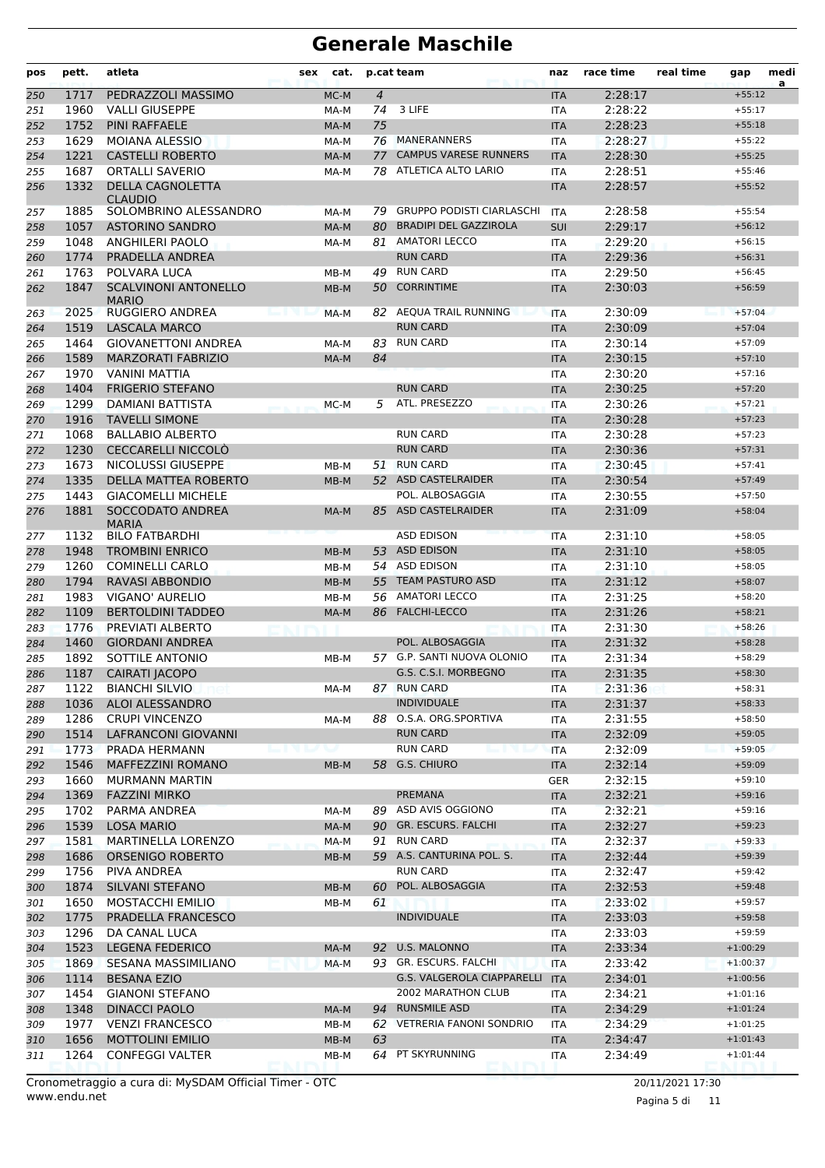| pos        | pett.        | atleta                                            | sex | cat.   |                | p.cat team                                | naz                      | race time          | real time | gap                  | medi<br>a |
|------------|--------------|---------------------------------------------------|-----|--------|----------------|-------------------------------------------|--------------------------|--------------------|-----------|----------------------|-----------|
| 250        | 1717         | PEDRAZZOLI MASSIMO                                |     | MC-M   | $\overline{4}$ |                                           | <b>ITA</b>               | 2:28:17            |           | $+55:12$             |           |
| 251        | 1960         | <b>VALLI GIUSEPPE</b>                             |     | MA-M   | 74             | 3 LIFE                                    | ITA                      | 2:28:22            |           | $+55:17$             |           |
| 252        | 1752         | <b>PINI RAFFAELE</b>                              |     | MA-M   | 75             |                                           | <b>ITA</b>               | 2:28:23            |           | $+55:18$             |           |
| 253        | 1629         | <b>MOIANA ALESSIO</b>                             |     | MA-M   | 76             | <b>MANERANNERS</b>                        | <b>ITA</b>               | 2:28:27            |           | $+55:22$             |           |
| 254        | 1221         | <b>CASTELLI ROBERTO</b>                           |     | MA-M   | 77             | <b>CAMPUS VARESE RUNNERS</b>              | <b>ITA</b>               | 2:28:30            |           | $+55:25$             |           |
| 255        | 1687         | <b>ORTALLI SAVERIO</b>                            |     | MA-M   |                | 78 ATLETICA ALTO LARIO                    | <b>ITA</b>               | 2:28:51            |           | $+55:46$             |           |
| 256        | 1332         | <b>DELLA CAGNOLETTA</b><br><b>CLAUDIO</b>         |     |        |                |                                           | <b>ITA</b>               | 2:28:57            |           | $+55:52$             |           |
| 257        | 1885         | SOLOMBRINO ALESSANDRO                             |     | MA-M   | 79             | <b>GRUPPO PODISTI CIARLASCHI</b>          | <b>ITA</b>               | 2:28:58            |           | $+55:54$             |           |
| 258        | 1057         | <b>ASTORINO SANDRO</b>                            |     | MA-M   | 80             | <b>BRADIPI DEL GAZZIROLA</b>              | <b>SUI</b>               | 2:29:17            |           | $+56:12$             |           |
| 259        | 1048         | ANGHILERI PAOLO                                   |     | MA-M   |                | 81 AMATORI LECCO                          | <b>ITA</b>               | 2:29:20            |           | $+56:15$             |           |
| 260        | 1774         | PRADELLA ANDREA                                   |     |        |                | <b>RUN CARD</b>                           | <b>ITA</b>               | 2:29:36            |           | $+56:31$             |           |
| 261        | 1763         | POLVARA LUCA                                      |     | MB-M   | 49             | <b>RUN CARD</b>                           | <b>ITA</b>               | 2:29:50            |           | $+56:45$             |           |
| 262        | 1847         | <b>SCALVINONI ANTONELLO</b><br><b>MARIO</b>       |     | MB-M   | 50             | <b>CORRINTIME</b>                         | <b>ITA</b>               | 2:30:03            |           | $+56:59$             |           |
| 263        | 2025         | RUGGIERO ANDREA                                   |     | MA-M   |                | 82 AEQUA TRAIL RUNNING                    | <b>ITA</b>               | 2:30:09            |           | $+57:04$             |           |
| 264        | 1519         | <b>LASCALA MARCO</b>                              |     |        |                | <b>RUN CARD</b>                           | <b>ITA</b>               | 2:30:09            |           | $+57:04$             |           |
| 265        | 1464<br>1589 | <b>GIOVANETTONI ANDREA</b>                        |     | MA-M   |                | 83 RUN CARD                               | ITA                      | 2:30:14            |           | $+57:09$             |           |
| 266        | 1970         | <b>MARZORATI FABRIZIO</b><br><b>VANINI MATTIA</b> |     | MA-M   | 84             |                                           | <b>ITA</b>               | 2:30:15<br>2:30:20 |           | $+57:10$<br>$+57:16$ |           |
| 267<br>268 | 1404         | <b>FRIGERIO STEFANO</b>                           |     |        |                | <b>RUN CARD</b>                           | ITA<br><b>ITA</b>        | 2:30:25            |           | $+57:20$             |           |
| 269        | 1299         | DAMIANI BATTISTA                                  |     | MC-M   | 5.             | ATL. PRESEZZO                             | <b>ITA</b>               | 2:30:26            |           | $+57:21$             |           |
| 270        | 1916         | <b>TAVELLI SIMONE</b>                             |     |        |                |                                           | <b>ITA</b>               | 2:30:28            |           | $+57:23$             |           |
| 271        | 1068         | <b>BALLABIO ALBERTO</b>                           |     |        |                | <b>RUN CARD</b>                           | ITA                      | 2:30:28            |           | $+57:23$             |           |
| 272        | 1230         | CECCARELLI NICCOLÒ                                |     |        |                | <b>RUN CARD</b>                           | <b>ITA</b>               | 2:30:36            |           | $+57:31$             |           |
| 273        | 1673         | NICOLUSSI GIUSEPPE                                |     | MB-M   | 51             | <b>RUN CARD</b>                           | ITA                      | 2:30:45            |           | $+57:41$             |           |
| 274        | 1335         | DELLA MATTEA ROBERTO                              |     | MB-M   |                | 52 ASD CASTELRAIDER                       | <b>ITA</b>               | 2:30:54            |           | $+57:49$             |           |
| 275        | 1443         | <b>GIACOMELLI MICHELE</b>                         |     |        |                | POL. ALBOSAGGIA                           | <b>ITA</b>               | 2:30:55            |           | $+57:50$             |           |
| 276        | 1881         | SOCCODATO ANDREA<br><b>MARIA</b>                  |     | MA-M   | 85             | <b>ASD CASTELRAIDER</b>                   | <b>ITA</b>               | 2:31:09            |           | $+58:04$             |           |
| 277        | 1132         | <b>BILO FATBARDHI</b>                             |     |        |                | <b>ASD EDISON</b>                         | <b>ITA</b>               | 2:31:10            |           | $+58:05$             |           |
| 278        | 1948         | <b>TROMBINI ENRICO</b>                            |     | $MB-M$ |                | 53 ASD EDISON                             | <b>ITA</b>               | 2:31:10            |           | $+58:05$             |           |
| 279        | 1260         | <b>COMINELLI CARLO</b>                            |     | MB-M   |                | 54 ASD EDISON                             | <b>ITA</b>               | 2:31:10            |           | $+58:05$             |           |
| 280        | 1794         | <b>RAVASI ABBONDIO</b>                            |     | MB-M   | 55             | <b>TEAM PASTURO ASD</b>                   | <b>ITA</b>               | 2:31:12            |           | $+58:07$             |           |
| 281        | 1983         | VIGANO' AURELIO                                   |     | MB-M   | 56             | <b>AMATORI LECCO</b>                      | <b>ITA</b>               | 2:31:25            |           | $+58:20$             |           |
| 282        | 1109         | <b>BERTOLDINI TADDEO</b>                          |     | MA-M   | 86             | <b>FALCHI-LECCO</b>                       | <b>ITA</b>               | 2:31:26            |           | $+58:21$             |           |
| 283        | 1776         | PREVIATI ALBERTO                                  |     |        |                |                                           | <b>ITA</b>               | 2:31:30            |           | $+58:26$             |           |
| 284        | 1460         | <b>GIORDANI ANDREA</b>                            |     |        |                | POL. ALBOSAGGIA                           | <b>ITA</b>               | 2:31:32            |           | $+58:28$             |           |
| 285        | 1892         | SOTTILE ANTONIO                                   |     | MB-M   |                | 57 G.P. SANTI NUOVA OLONIO                | <b>ITA</b>               | 2:31:34            |           | $+58:29$             |           |
| 286        | 1187         | CAIRATI JACOPO                                    |     |        |                | G.S. C.S.I. MORBEGNO                      | <b>ITA</b>               | 2:31:35            |           | $+58:30$             |           |
| 287        | 1122         | <b>BIANCHI SILVIO</b>                             |     | MA-M   |                | 87 RUN CARD                               | ITA                      | 2:31:36            |           | $+58:31$             |           |
| 288        | 1036         | <b>ALOI ALESSANDRO</b>                            |     |        |                | <b>INDIVIDUALE</b>                        | <b>ITA</b>               | 2:31:37            |           | $+58:33$             |           |
| 289        | 1286<br>1514 | <b>CRUPI VINCENZO</b><br>LAFRANCONI GIOVANNI      |     | MA-M   |                | 88 O.S.A. ORG.SPORTIVA<br><b>RUN CARD</b> | ITA                      | 2:31:55            |           | $+58:50$<br>$+59:05$ |           |
| 290<br>291 | 1773         | PRADA HERMANN                                     |     | w      |                | <b>RUN CARD</b>                           | <b>ITA</b><br><b>ITA</b> | 2:32:09<br>2:32:09 |           | $+59:05$             |           |
| 292        | 1546         | <b>MAFFEZZINI ROMANO</b>                          |     | MB-M   | 58             | G.S. CHIURO                               | <b>ITA</b>               | 2:32:14            |           | $+59:09$             |           |
| 293        | 1660         | <b>MURMANN MARTIN</b>                             |     |        |                |                                           | <b>GER</b>               | 2:32:15            |           | $+59:10$             |           |
| 294        | 1369         | <b>FAZZINI MIRKO</b>                              |     |        |                | PREMANA                                   | <b>ITA</b>               | 2:32:21            |           | $+59:16$             |           |
| 295        | 1702         | PARMA ANDREA                                      |     | MA-M   |                | 89 ASD AVIS OGGIONO                       | ITA                      | 2:32:21            |           | $+59:16$             |           |
| 296        | 1539         | <b>LOSA MARIO</b>                                 |     | MA-M   |                | 90 GR. ESCURS. FALCHI                     | <b>ITA</b>               | 2:32:27            |           | $+59:23$             |           |
| 297        | 1581         | <b>MARTINELLA LORENZO</b>                         |     | MA-M   |                | 91 RUN CARD                               | ITA                      | 2:32:37            |           | $+59:33$             |           |
| 298        | 1686         | <b>ORSENIGO ROBERTO</b>                           |     | MB-M   |                | 59 A.S. CANTURINA POL. S.                 | <b>ITA</b>               | 2:32:44            |           | $+59:39$             |           |
| 299        | 1756         | PIVA ANDREA                                       |     |        |                | <b>RUN CARD</b>                           | ITA                      | 2:32:47            |           | $+59:42$             |           |
| 300        | 1874         | SILVANI STEFANO                                   |     | MB-M   | 60             | POL. ALBOSAGGIA                           | <b>ITA</b>               | 2:32:53            |           | $+59:48$             |           |
| 301        | 1650         | MOSTACCHI EMILIO                                  |     | MB-M   | 61             |                                           | ITA                      | 2:33:02            |           | $+59:57$             |           |
| 302        | 1775         | PRADELLA FRANCESCO                                |     |        |                | <b>INDIVIDUALE</b>                        | <b>ITA</b>               | 2:33:03            |           | $+59:58$             |           |
| 303        | 1296         | DA CANAL LUCA                                     |     |        |                |                                           | ITA                      | 2:33:03            |           | $+59:59$             |           |
| 304        | 1523         | <b>LEGENA FEDERICO</b>                            |     | MA-M   | 92             | U.S. MALONNO                              | <b>ITA</b>               | 2:33:34            |           | $+1:00:29$           |           |
| 305        | 1869         | SESANA MASSIMILIANO                               |     | MA-M   |                | 93 GR. ESCURS. FALCHI                     | ITA                      | 2:33:42            |           | $+1:00:37$           |           |
| 306        | 1114         | <b>BESANA EZIO</b>                                |     |        |                | G.S. VALGEROLA CIAPPARELLI                | <b>ITA</b>               | 2:34:01            |           | $+1:00:56$           |           |
| 307        | 1454         | <b>GIANONI STEFANO</b>                            |     |        |                | 2002 MARATHON CLUB                        | ITA                      | 2:34:21            |           | $+1:01:16$           |           |
| 308        | 1348         | <b>DINACCI PAOLO</b>                              |     | MA-M   |                | 94 RUNSMILE ASD                           | <b>ITA</b>               | 2:34:29            |           | $+1:01:24$           |           |
| 309        | 1977         | <b>VENZI FRANCESCO</b>                            |     | MB-M   |                | 62 VETRERIA FANONI SONDRIO                | ITA                      | 2:34:29            |           | $+1:01:25$           |           |
| 310        | 1656         | <b>MOTTOLINI EMILIO</b>                           |     | $MB-M$ | 63             |                                           | <b>ITA</b>               | 2:34:47            |           | $+1:01:43$           |           |
| 311        | 1264         | <b>CONFEGGI VALTER</b>                            |     | MB-M   | 64             | PT SKYRUNNING                             | ITA                      | 2:34:49            |           | $+1:01:44$           |           |

Pagina 5 di 11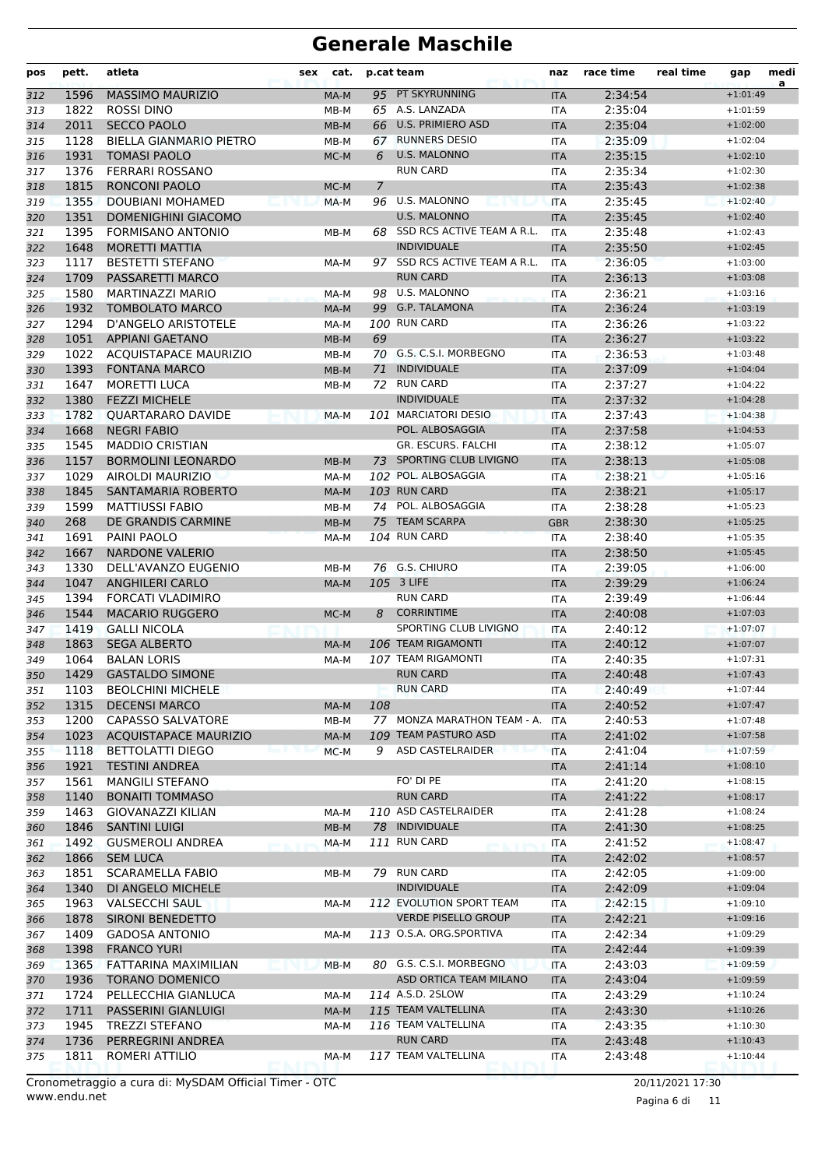| pos        | pett.        | atleta                                          | sex | cat.         |     | p.cat team                    | naz                      | race time          | real time | gap                      | medi<br>a |
|------------|--------------|-------------------------------------------------|-----|--------------|-----|-------------------------------|--------------------------|--------------------|-----------|--------------------------|-----------|
| 312        | 1596         | <b>MASSIMO MAURIZIO</b>                         |     | MA-M         |     | 95 PT SKYRUNNING              | <b>ITA</b>               | 2:34:54            |           | $+1:01:49$               |           |
| 313        | 1822         | <b>ROSSI DINO</b>                               |     | MB-M         |     | 65 A.S. LANZADA               | ITA                      | 2:35:04            |           | $+1:01:59$               |           |
| 314        | 2011         | <b>SECCO PAOLO</b>                              |     | MB-M         | 66  | <b>U.S. PRIMIERO ASD</b>      | <b>ITA</b>               | 2:35:04            |           | $+1:02:00$               |           |
| 315        | 1128         | <b>BIELLA GIANMARIO PIETRO</b>                  |     | MB-M         | 67  | <b>RUNNERS DESIO</b>          | <b>ITA</b>               | 2:35:09            |           | $+1:02:04$               |           |
| 316        | 1931         | <b>TOMASI PAOLO</b>                             |     | MC-M         | 6   | U.S. MALONNO                  | <b>ITA</b>               | 2:35:15            |           | $+1:02:10$               |           |
| 317        | 1376         | <b>FERRARI ROSSANO</b>                          |     |              |     | <b>RUN CARD</b>               | <b>ITA</b>               | 2:35:34            |           | $+1:02:30$               |           |
| 318        | 1815         | <b>RONCONI PAOLO</b>                            |     | MC-M         | 7   |                               | <b>ITA</b>               | 2:35:43            |           | $+1:02:38$               |           |
| 319        | 1355         | DOUBIANI MOHAMED                                |     | MA-M         |     | 96 U.S. MALONNO               | <b>ITA</b>               | 2:35:45            |           | $+1:02:40$               |           |
| 320        | 1351         | <b>DOMENIGHINI GIACOMO</b>                      |     |              |     | <b>U.S. MALONNO</b>           | <b>ITA</b>               | 2:35:45            |           | $+1:02:40$               |           |
| 321        | 1395         | <b>FORMISANO ANTONIO</b>                        |     | MB-M         | 68  | SSD RCS ACTIVE TEAM A R.L.    | <b>ITA</b>               | 2:35:48            |           | $+1:02:43$               |           |
| 322        | 1648         | <b>MORETTI MATTIA</b>                           |     |              |     | <b>INDIVIDUALE</b>            | <b>ITA</b>               | 2:35:50            |           | $+1:02:45$               |           |
| 323        | 1117         | <b>BESTETTI STEFANO</b>                         |     | MA-M         |     | 97 SSD RCS ACTIVE TEAM A R.L. | <b>ITA</b>               | 2:36:05            |           | $+1:03:00$               |           |
| 324        | 1709         | PASSARETTI MARCO                                |     |              |     | <b>RUN CARD</b>               | <b>ITA</b>               | 2:36:13            |           | $+1:03:08$               |           |
| 325        | 1580         | MARTINAZZI MARIO                                |     | MA-M         |     | 98 U.S. MALONNO               | ITA                      | 2:36:21            |           | $+1:03:16$               |           |
| 326        | 1932         | <b>TOMBOLATO MARCO</b>                          |     | MA-M         |     | 99 G.P. TALAMONA              | <b>ITA</b>               | 2:36:24            |           | $+1:03:19$               |           |
| 327        | 1294         | D'ANGELO ARISTOTELE                             |     | MA-M         |     | 100 RUN CARD                  | <b>ITA</b>               | 2:36:26            |           | $+1:03:22$               |           |
| 328        | 1051         | <b>APPIANI GAETANO</b>                          |     | MB-M         | 69  |                               | <b>ITA</b>               | 2:36:27            |           | $+1:03:22$               |           |
| 329        | 1022         | <b>ACOUISTAPACE MAURIZIO</b>                    |     | MB-M         |     | 70 G.S. C.S.I. MORBEGNO       | <b>ITA</b>               | 2:36:53            |           | $+1:03:48$               |           |
| 330        | 1393         | <b>FONTANA MARCO</b>                            |     | MB-M         | 71  | <b>INDIVIDUALE</b>            | <b>ITA</b>               | 2:37:09            |           | $+1:04:04$               |           |
| 331        | 1647         | <b>MORETTI LUCA</b>                             |     | MB-M         |     | 72 RUN CARD                   | ITA                      | 2:37:27            |           | $+1:04:22$               |           |
| 332        | 1380         | <b>FEZZI MICHELE</b>                            |     |              |     | <b>INDIVIDUALE</b>            | <b>ITA</b>               | 2:37:32            |           | $+1:04:28$               |           |
| 333        | 1782         | QUARTARARO DAVIDE                               |     | MA-M         |     | 101 MARCIATORI DESIO          | <b>ITA</b>               | 2:37:43            |           | $+1:04:38$               |           |
| 334        | 1668         | <b>NEGRI FABIO</b>                              |     |              |     | POL. ALBOSAGGIA               | <b>ITA</b>               | 2:37:58            |           | $+1:04:53$               |           |
| 335        | 1545         | <b>MADDIO CRISTIAN</b>                          |     |              |     | GR. ESCURS. FALCHI            | <b>ITA</b>               | 2:38:12            |           | $+1:05:07$               |           |
| 336        | 1157         | <b>BORMOLINI LEONARDO</b>                       |     | $MB-M$       | 73  | SPORTING CLUB LIVIGNO         | <b>ITA</b>               | 2:38:13            |           | $+1:05:08$               |           |
| 337        | 1029         | AIROLDI MAURIZIO                                |     | MA-M         |     | 102 POL. ALBOSAGGIA           | <b>ITA</b>               | 2:38:21            |           | $+1:05:16$               |           |
| 338        | 1845         | SANTAMARIA ROBERTO                              |     | MA-M         |     | 103 RUN CARD                  | <b>ITA</b>               | 2:38:21            |           | $+1:05:17$               |           |
| 339        | 1599         | <b>MATTIUSSI FABIO</b>                          |     | MB-M         |     | 74 POL. ALBOSAGGIA            | ITA                      | 2:38:28            |           | $+1:05:23$               |           |
| 340        | 268          | DE GRANDIS CARMINE                              |     | MB-M         | 75  | <b>TEAM SCARPA</b>            | <b>GBR</b>               | 2:38:30            |           | $+1:05:25$               |           |
| 341        | 1691         | PAINI PAOLO                                     |     | MA-M         |     | 104 RUN CARD                  | <b>ITA</b>               | 2:38:40            |           | $+1:05:35$               |           |
| 342        | 1667         | <b>NARDONE VALERIO</b>                          |     |              |     |                               | <b>ITA</b>               | 2:38:50            |           | $+1:05:45$               |           |
| 343        | 1330         | DELL'AVANZO EUGENIO                             |     | MB-M         |     | 76 G.S. CHIURO                | ITA                      | 2:39:05            |           | $+1:06:00$               |           |
| 344        | 1047         | <b>ANGHILERI CARLO</b>                          |     | MA-M         |     | 105 3 LIFE                    | <b>ITA</b>               | 2:39:29            |           | $+1:06:24$               |           |
| 345        | 1394         | <b>FORCATI VLADIMIRO</b>                        |     |              |     | <b>RUN CARD</b>               | <b>ITA</b>               | 2:39:49            |           | $+1:06:44$               |           |
| 346        | 1544         | <b>MACARIO RUGGERO</b>                          |     | MC-M         | 8   | <b>CORRINTIME</b>             | <b>ITA</b>               | 2:40:08            |           | $+1:07:03$               |           |
| 347        | 1419         | <b>GALLI NICOLA</b>                             |     |              |     | SPORTING CLUB LIVIGNO         | <b>ITA</b>               | 2:40:12            |           | $+1:07:07$               |           |
| 348        | 1863         | <b>SEGA ALBERTO</b>                             |     | MA-M         |     | 106 TEAM RIGAMONTI            | <b>ITA</b>               | 2:40:12            |           | $+1:07:07$               |           |
| 349        | 1064         | <b>BALAN LORIS</b>                              |     | MA-M         |     | 107 TEAM RIGAMONTI            | <b>ITA</b>               | 2:40:35            |           | $+1:07:31$               |           |
| 350        | 1429         | <b>GASTALDO SIMONE</b>                          |     |              |     | <b>RUN CARD</b>               | <b>ITA</b>               | 2:40:48            |           | $+1:07:43$               |           |
| 351        | 1103         | <b>BEOLCHINI MICHELE</b>                        |     |              |     | <b>RUN CARD</b>               | ITA                      | 2:40:49            |           | $+1:07:44$               |           |
| 352        | 1315         | <b>DECENSI MARCO</b>                            |     | MA-M         | 108 |                               | <b>ITA</b>               | 2:40:52            |           | $+1:07:47$               |           |
| 353        | 1200         | CAPASSO SALVATORE                               |     | MB-M         |     | 77 MONZA MARATHON TEAM - A.   | <b>ITA</b>               | 2:40:53            |           | $+1:07:48$               |           |
| 354        | 1023         | <b>ACOUISTAPACE MAURIZIO</b>                    |     | MA-M         |     | 109 TEAM PASTURO ASD          | <b>ITA</b>               | 2:41:02            |           | $+1:07:58$               |           |
| 355        | 1118         | <b>BETTOLATTI DIEGO</b>                         |     | MC-M         | 9   | ASD CASTELRAIDER              | <b>ITA</b>               | 2:41:04            |           | $+1:07:59$               |           |
| 356        | 1921         | <b>TESTINI ANDREA</b><br><b>MANGILI STEFANO</b> |     |              |     | FO' DI PE                     | <b>ITA</b>               | 2:41:14            |           | $+1:08:10$               |           |
| 357        | 1561         |                                                 |     |              |     | <b>RUN CARD</b>               | ITA                      | 2:41:20            |           | $+1:08:15$               |           |
| 358        | 1140<br>1463 | <b>BONAITI TOMMASO</b><br>GIOVANAZZI KILIAN     |     | MA-M         |     | 110 ASD CASTELRAIDER          | <b>ITA</b><br>ITA        | 2:41:22<br>2:41:28 |           | $+1:08:17$<br>$+1:08:24$ |           |
| 359        |              |                                                 |     |              |     | 78 INDIVIDUALE                |                          |                    |           |                          |           |
| 360<br>361 | 1846<br>1492 | <b>SANTINI LUIGI</b><br><b>GUSMEROLI ANDREA</b> |     | MB-M<br>MA-M |     | 111 RUN CARD                  | <b>ITA</b><br><b>ITA</b> | 2:41:30<br>2:41:52 |           | $+1:08:25$<br>$+1:08:47$ |           |
|            | 1866         | <b>SEM LUCA</b>                                 |     |              |     |                               |                          | 2:42:02            |           | $+1:08:57$               |           |
| 362        | 1851         | <b>SCARAMELLA FABIO</b>                         |     |              |     | 79 RUN CARD                   | <b>ITA</b>               | 2:42:05            |           | $+1:09:00$               |           |
| 363        | 1340         | DI ANGELO MICHELE                               |     | MB-M         |     | <b>INDIVIDUALE</b>            | ITA                      | 2:42:09            |           | $+1:09:04$               |           |
| 364<br>365 | 1963         | <b>VALSECCHI SAUL</b>                           |     | MA-M         |     | 112 EVOLUTION SPORT TEAM      | <b>ITA</b><br>ITA        | 2:42:15            |           | $+1:09:10$               |           |
|            | 1878         | SIRONI BENEDETTO                                |     |              |     | <b>VERDE PISELLO GROUP</b>    | <b>ITA</b>               | 2:42:21            |           | $+1:09:16$               |           |
| 366        | 1409         | <b>GADOSA ANTONIO</b>                           |     | MA-M         |     | 113 O.S.A. ORG.SPORTIVA       |                          | 2:42:34            |           | $+1:09:29$               |           |
| 367<br>368 | 1398         | <b>FRANCO YURI</b>                              |     |              |     |                               | ITA<br><b>ITA</b>        | 2:42:44            |           | $+1:09:39$               |           |
| 369        | 1365         | FATTARINA MAXIMILIAN                            |     | $MB-M$       |     | 80 G.S. C.S.I. MORBEGNO       | <b>ITA</b>               | 2:43:03            |           | $+1:09:59$               |           |
|            | 1936         | <b>TORANO DOMENICO</b>                          |     |              |     | ASD ORTICA TEAM MILANO        | <b>ITA</b>               | 2:43:04            |           | $+1:09:59$               |           |
| 370<br>371 | 1724         | PELLECCHIA GIANLUCA                             |     | MA-M         |     | 114 A.S.D. 2SLOW              | ITA                      | 2:43:29            |           | $+1:10:24$               |           |
| 372        | 1711         | <b>PASSERINI GIANLUIGI</b>                      |     | MA-M         |     | 115 TEAM VALTELLINA           | <b>ITA</b>               | 2:43:30            |           | $+1:10:26$               |           |
|            | 1945         | <b>TREZZI STEFANO</b>                           |     | MA-M         |     | 116 TEAM VALTELLINA           |                          | 2:43:35            |           | $+1:10:30$               |           |
| 373<br>374 | 1736         | PERREGRINI ANDREA                               |     |              |     | <b>RUN CARD</b>               | ITA<br><b>ITA</b>        | 2:43:48            |           | $+1:10:43$               |           |
| 375        | 1811         | ROMERI ATTILIO                                  |     | MA-M         |     | 117 TEAM VALTELLINA           | ITA                      | 2:43:48            |           | $+1:10:44$               |           |
|            |              |                                                 |     |              |     |                               |                          |                    |           |                          |           |

www.endu.net Cronometraggio a cura di: MySDAM Official Timer - OTC 20/11/2021 17:30

Pagina 6 di 11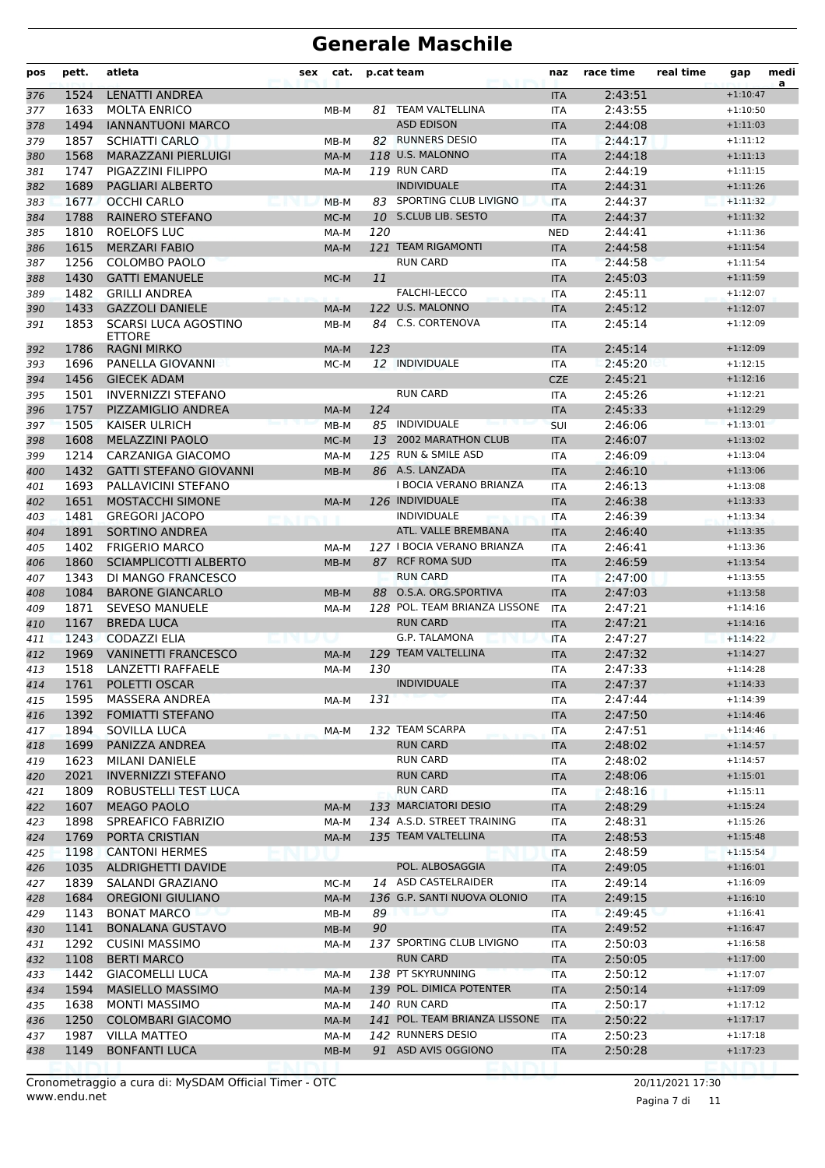| pos | pett. | atleta                              | sex | cat.   |     | p.cat team                    | naz        | race time | real time | gap        | medi<br>a |
|-----|-------|-------------------------------------|-----|--------|-----|-------------------------------|------------|-----------|-----------|------------|-----------|
| 376 | 1524  | <b>LENATTI ANDREA</b>               |     |        |     |                               | <b>ITA</b> | 2:43:51   |           | $+1:10:47$ |           |
| 377 | 1633  | <b>MOLTA ENRICO</b>                 |     | MB-M   |     | 81 TEAM VALTELLINA            | <b>ITA</b> | 2:43:55   |           | $+1:10:50$ |           |
| 378 | 1494  | <b>IANNANTUONI MARCO</b>            |     |        |     | <b>ASD EDISON</b>             | <b>ITA</b> | 2:44:08   |           | $+1:11:03$ |           |
| 379 | 1857  | <b>SCHIATTI CARLO</b>               |     | MB-M   |     | 82 RUNNERS DESIO              | <b>ITA</b> | 2:44:17   |           | $+1:11:12$ |           |
| 380 | 1568  | MARAZZANI PIERLUIGI                 |     | MA-M   |     | 118 U.S. MALONNO              | <b>ITA</b> | 2:44:18   |           | $+1:11:13$ |           |
| 381 | 1747  | PIGAZZINI FILIPPO                   |     | MA-M   |     | 119 RUN CARD                  | <b>ITA</b> | 2:44:19   |           | $+1:11:15$ |           |
| 382 | 1689  | PAGLIARI ALBERTO                    |     |        |     | <b>INDIVIDUALE</b>            | <b>ITA</b> | 2:44:31   |           | $+1:11:26$ |           |
| 383 | 1677  | <b>OCCHI CARLO</b>                  |     | $MB-M$ |     | 83 SPORTING CLUB LIVIGNO      | <b>ITA</b> | 2:44:37   |           | $+1:11:32$ |           |
| 384 | 1788  | RAINERO STEFANO                     |     | MC-M   |     | 10 S.CLUB LIB. SESTO          | <b>ITA</b> | 2:44:37   |           | $+1:11:32$ |           |
| 385 | 1810  | <b>ROELOFS LUC</b>                  |     | MA-M   | 120 |                               | <b>NED</b> | 2:44:41   |           | $+1:11:36$ |           |
| 386 | 1615  | <b>MERZARI FABIO</b>                |     | MA-M   |     | 121 TEAM RIGAMONTI            | <b>ITA</b> | 2:44:58   |           | $+1:11:54$ |           |
| 387 | 1256  | COLOMBO PAOLO                       |     |        |     | <b>RUN CARD</b>               | <b>ITA</b> | 2:44:58   |           | $+1:11:54$ |           |
| 388 | 1430  | <b>GATTI EMANUELE</b>               |     | MC-M   | 11  |                               | <b>ITA</b> | 2:45:03   |           | $+1:11:59$ |           |
| 389 | 1482  | <b>GRILLI ANDREA</b>                |     |        |     | FALCHI-LECCO                  | <b>ITA</b> | 2:45:11   |           | $+1:12:07$ |           |
| 390 | 1433  | <b>GAZZOLI DANIELE</b>              |     | MA-M   |     | 122 U.S. MALONNO              | <b>ITA</b> | 2:45:12   |           | $+1:12:07$ |           |
| 391 | 1853  | <b>SCARSI LUCA AGOSTINO</b>         |     | MB-M   |     | 84 C.S. CORTENOVA             | <b>ITA</b> | 2:45:14   |           | $+1:12:09$ |           |
| 392 | 1786  | <b>ETTORE</b><br><b>RAGNI MIRKO</b> |     | MA-M   | 123 |                               | <b>ITA</b> | 2:45:14   |           | $+1:12:09$ |           |
| 393 | 1696  | PANELLA GIOVANNI                    |     | MC-M   |     | 12 INDIVIDUALE                | <b>ITA</b> | 2:45:20   |           | $+1:12:15$ |           |
| 394 | 1456  | <b>GIECEK ADAM</b>                  |     |        |     |                               | <b>CZE</b> | 2:45:21   |           | $+1:12:16$ |           |
| 395 | 1501  | <b>INVERNIZZI STEFANO</b>           |     |        |     | <b>RUN CARD</b>               | <b>ITA</b> | 2:45:26   |           | $+1:12:21$ |           |
| 396 | 1757  | PIZZAMIGLIO ANDREA                  |     | MA-M   | 124 |                               | <b>ITA</b> | 2:45:33   |           | $+1:12:29$ |           |
| 397 | 1505  | <b>KAISER ULRICH</b>                |     | $MB-M$ |     | 85 INDIVIDUALE                | <b>SUI</b> | 2:46:06   |           | $+1:13:01$ |           |
| 398 | 1608  | MELAZZINI PAOLO                     |     | MC-M   | 13  | <b>2002 MARATHON CLUB</b>     | <b>ITA</b> | 2:46:07   |           | $+1:13:02$ |           |
| 399 | 1214  | CARZANIGA GIACOMO                   |     | MA-M   |     | 125 RUN & SMILE ASD           | <b>ITA</b> | 2:46:09   |           | $+1:13:04$ |           |
| 400 | 1432  | <b>GATTI STEFANO GIOVANNI</b>       |     | MB-M   |     | 86 A.S. LANZADA               | <b>ITA</b> | 2:46:10   |           | $+1:13:06$ |           |
| 401 | 1693  | PALLAVICINI STEFANO                 |     |        |     | I BOCIA VERANO BRIANZA        | <b>ITA</b> | 2:46:13   |           | $+1:13:08$ |           |
| 402 | 1651  | MOSTACCHI SIMONE                    |     | MA-M   |     | 126 INDIVIDUALE               | <b>ITA</b> | 2:46:38   |           | $+1:13:33$ |           |
| 403 | 1481  | <b>GREGORI JACOPO</b>               |     |        |     | <b>INDIVIDUALE</b>            | <b>ITA</b> | 2:46:39   |           | $+1:13:34$ |           |
| 404 | 1891  | <b>SORTINO ANDREA</b>               |     |        |     | ATL. VALLE BREMBANA           | <b>ITA</b> | 2:46:40   |           | $+1:13:35$ |           |
| 405 | 1402  | <b>FRIGERIO MARCO</b>               |     | MA-M   |     | 127   BOCIA VERANO BRIANZA    | <b>ITA</b> | 2:46:41   |           | $+1:13:36$ |           |
| 406 | 1860  | SCIAMPLICOTTI ALBERTO               |     | $MB-M$ | 87  | <b>RCF ROMA SUD</b>           | <b>ITA</b> | 2:46:59   |           | $+1:13:54$ |           |
| 407 | 1343  | DI MANGO FRANCESCO                  |     |        |     | <b>RUN CARD</b>               | <b>ITA</b> | 2:47:00   |           | $+1:13:55$ |           |
| 408 | 1084  | <b>BARONE GIANCARLO</b>             |     | MB-M   | 88  | O.S.A. ORG.SPORTIVA           | <b>ITA</b> | 2:47:03   |           | $+1:13:58$ |           |
| 409 | 1871  | <b>SEVESO MANUELE</b>               |     | MA-M   |     | 128 POL. TEAM BRIANZA LISSONE | <b>ITA</b> | 2:47:21   |           | $+1:14:16$ |           |
| 410 | 1167  | <b>BREDA LUCA</b>                   |     |        |     | <b>RUN CARD</b>               | <b>ITA</b> | 2:47:21   |           | $+1:14:16$ |           |
| 411 | 1243  | <b>CODAZZI ELIA</b>                 |     |        |     | <b>G.P. TALAMONA</b>          | <b>ITA</b> | 2:47:27   |           | $+1:14:22$ |           |
| 412 | 1969  | <b>VANINETTI FRANCESCO</b>          |     | MA-M   |     | 129 TEAM VALTELLINA           | <b>ITA</b> | 2:47:32   |           | $+1:14:27$ |           |
| 413 | 1518  | <b>LANZETTI RAFFAELE</b>            |     | MA-M   | 130 |                               | <b>ITA</b> | 2:47:33   |           | $+1:14:28$ |           |
| 414 | 1761  | POLETTI OSCAR                       |     |        |     | <b>INDIVIDUALE</b>            | <b>ITA</b> | 2:47:37   |           | $+1:14:33$ |           |
| 415 | 1595  | MASSERA ANDREA                      |     | MA-M   | 131 |                               | ITA        | 2:47:44   |           | $+1:14:39$ |           |
| 416 | 1392  | <b>FOMIATTI STEFANO</b>             |     |        |     |                               | <b>ITA</b> | 2:47:50   |           | $+1:14:46$ |           |
| 417 | 1894  | SOVILLA LUCA                        |     | MA-M   |     | 132 TEAM SCARPA               | ITA        | 2:47:51   |           | $+1:14:46$ |           |
| 418 | 1699  | PANIZZA ANDREA                      |     |        |     | <b>RUN CARD</b>               | <b>ITA</b> | 2:48:02   |           | $+1:14:57$ |           |
| 419 | 1623  | <b>MILANI DANIELE</b>               |     |        |     | <b>RUN CARD</b>               | ITA        | 2:48:02   |           | $+1:14:57$ |           |
| 420 | 2021  | <b>INVERNIZZI STEFANO</b>           |     |        |     | <b>RUN CARD</b>               | <b>ITA</b> | 2:48:06   |           | $+1:15:01$ |           |
| 421 | 1809  | ROBUSTELLI TEST LUCA                |     |        |     | <b>RUN CARD</b>               | ITA        | 2:48:16   |           | $+1:15:11$ |           |
| 422 | 1607  | <b>MEAGO PAOLO</b>                  |     | MA-M   |     | 133 MARCIATORI DESIO          | <b>ITA</b> | 2:48:29   |           | $+1:15:24$ |           |
| 423 | 1898  | SPREAFICO FABRIZIO                  |     | MA-M   |     | 134 A.S.D. STREET TRAINING    | ITA        | 2:48:31   |           | $+1:15:26$ |           |
| 424 | 1769  | PORTA CRISTIAN                      |     | MA-M   |     | 135 TEAM VALTELLINA           | <b>ITA</b> | 2:48:53   |           | $+1:15:48$ |           |
| 425 | 1198  | <b>CANTONI HERMES</b>               |     |        |     |                               | <b>ITA</b> | 2:48:59   |           | $+1:15:54$ |           |
| 426 | 1035  | ALDRIGHETTI DAVIDE                  |     |        |     | POL. ALBOSAGGIA               | <b>ITA</b> | 2:49:05   |           | $+1:16:01$ |           |
| 427 | 1839  | SALANDI GRAZIANO                    |     | MC-M   |     | 14 ASD CASTELRAIDER           | ITA        | 2:49:14   |           | $+1:16:09$ |           |
| 428 | 1684  | <b>OREGIONI GIULIANO</b>            |     | MA-M   |     | 136 G.P. SANTI NUOVA OLONIO   | <b>ITA</b> | 2:49:15   |           | $+1:16:10$ |           |
| 429 | 1143  | <b>BONAT MARCO</b>                  |     | MB-M   | 89  |                               | ITA        | 2:49:45   |           | $+1:16:41$ |           |
| 430 | 1141  | <b>BONALANA GUSTAVO</b>             |     | $MB-M$ | 90  |                               | <b>ITA</b> | 2:49:52   |           | $+1:16:47$ |           |
| 431 | 1292  | <b>CUSINI MASSIMO</b>               |     | MA-M   |     | 137 SPORTING CLUB LIVIGNO     | ITA        | 2:50:03   |           | $+1:16:58$ |           |
| 432 | 1108  | <b>BERTI MARCO</b>                  |     |        |     | <b>RUN CARD</b>               | <b>ITA</b> | 2:50:05   |           | $+1:17:00$ |           |
| 433 | 1442  | <b>GIACOMELLI LUCA</b>              |     | MA-M   |     | 138 PT SKYRUNNING             | ITA        | 2:50:12   |           | $+1:17:07$ |           |
| 434 | 1594  | <b>MASIELLO MASSIMO</b>             |     | MA-M   |     | 139 POL. DIMICA POTENTER      | <b>ITA</b> | 2:50:14   |           | $+1:17:09$ |           |
| 435 | 1638  | <b>MONTI MASSIMO</b>                |     | MA-M   |     | <b>140 RUN CARD</b>           | ITA        | 2:50:17   |           | $+1:17:12$ |           |
| 436 | 1250  | <b>COLOMBARI GIACOMO</b>            |     | MA-M   |     | 141 POL. TEAM BRIANZA LISSONE | <b>ITA</b> | 2:50:22   |           | $+1:17:17$ |           |
| 437 | 1987  | <b>VILLA MATTEO</b>                 |     | MA-M   |     | 142 RUNNERS DESIO             | ITA        | 2:50:23   |           | $+1:17:18$ |           |
| 438 | 1149  | <b>BONFANTI LUCA</b>                |     | MB-M   |     | 91 ASD AVIS OGGIONO           | <b>ITA</b> | 2:50:28   |           | $+1:17:23$ |           |
|     |       |                                     |     |        |     |                               |            |           |           |            |           |

Pagina 7 di 11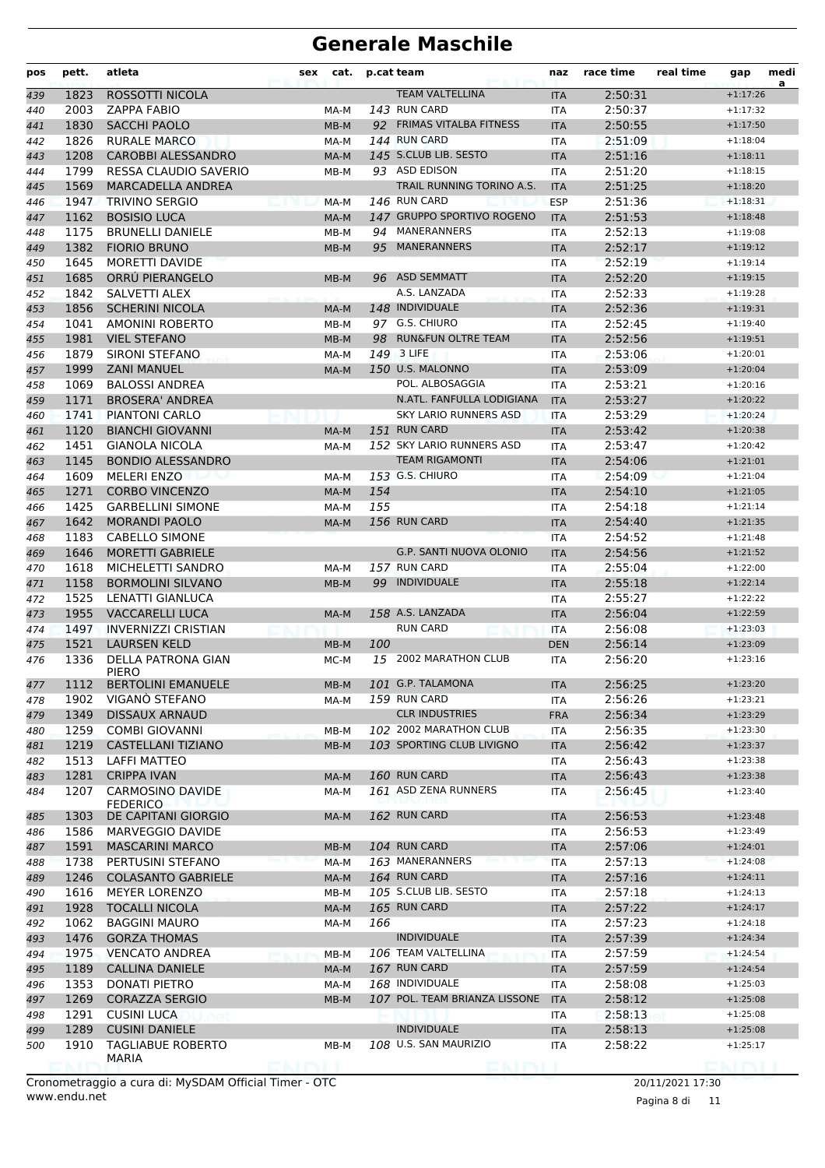| pos | pett. | atleta                                 | sex | cat.   |     | p.cat team                     | naz        | race time          | real time | gap        | medi<br>a |
|-----|-------|----------------------------------------|-----|--------|-----|--------------------------------|------------|--------------------|-----------|------------|-----------|
| 439 | 1823  | ROSSOTTI NICOLA                        |     |        |     | <b>TEAM VALTELLINA</b>         | <b>ITA</b> | 2:50:31            |           | $+1:17:26$ |           |
| 440 | 2003  | <b>ZAPPA FABIO</b>                     |     | MA-M   |     | 143 RUN CARD                   | <b>ITA</b> | 2:50:37            |           | $+1:17:32$ |           |
| 441 | 1830  | <b>SACCHI PAOLO</b>                    |     | MB-M   |     | 92 FRIMAS VITALBA FITNESS      | <b>ITA</b> | 2:50:55            |           | $+1:17:50$ |           |
| 442 | 1826  | <b>RURALE MARCO</b>                    |     | MA-M   |     | 144 RUN CARD                   | <b>ITA</b> | 2:51:09            |           | $+1:18:04$ |           |
| 443 | 1208  | <b>CAROBBI ALESSANDRO</b>              |     | MA-M   |     | 145 S.CLUB LIB. SESTO          | <b>ITA</b> | 2:51:16            |           | $+1:18:11$ |           |
| 444 | 1799  | RESSA CLAUDIO SAVERIO                  |     | MB-M   |     | 93 ASD EDISON                  | <b>ITA</b> | 2:51:20            |           | $+1:18:15$ |           |
| 445 | 1569  | <b>MARCADELLA ANDREA</b>               |     |        |     | TRAIL RUNNING TORINO A.S.      | <b>ITA</b> | 2:51:25            |           | $+1:18:20$ |           |
| 446 | 1947  | <b>TRIVINO SERGIO</b>                  |     | MA-M   |     | 146 RUN CARD                   | <b>ESP</b> | 2:51:36            |           | $+1:18:31$ |           |
| 447 | 1162  | <b>BOSISIO LUCA</b>                    |     | MA-M   |     | 147 GRUPPO SPORTIVO ROGENO     | <b>ITA</b> | 2:51:53            |           | $+1:18:48$ |           |
| 448 | 1175  | <b>BRUNELLI DANIELE</b>                |     | MB-M   | 94  | MANERANNERS                    | <b>ITA</b> | 2:52:13            |           | $+1:19:08$ |           |
| 449 | 1382  | <b>FIORIO BRUNO</b>                    |     | MB-M   | 95  | <b>MANERANNERS</b>             | <b>ITA</b> | 2:52:17            |           | $+1:19:12$ |           |
| 450 | 1645  | <b>MORETTI DAVIDE</b>                  |     |        |     |                                | <b>ITA</b> | 2:52:19            |           | $+1:19:14$ |           |
| 451 | 1685  | ORRU PIERANGELO                        |     | MB-M   |     | 96 ASD SEMMATT                 | <b>ITA</b> | 2:52:20            |           | $+1:19:15$ |           |
| 452 | 1842  | SALVETTI ALEX                          |     |        |     | A.S. LANZADA                   | <b>ITA</b> | 2:52:33            |           | $+1:19:28$ |           |
| 453 | 1856  | <b>SCHERINI NICOLA</b>                 |     | MA-M   |     | 148 INDIVIDUALE                | <b>ITA</b> | 2:52:36            |           | $+1:19:31$ |           |
| 454 | 1041  | <b>AMONINI ROBERTO</b>                 |     | MB-M   |     | 97 G.S. CHIURO                 | <b>ITA</b> | 2:52:45            |           | $+1:19:40$ |           |
| 455 | 1981  | <b>VIEL STEFANO</b>                    |     | MB-M   | 98  | <b>RUN&amp;FUN OLTRE TEAM</b>  | <b>ITA</b> | 2:52:56            |           | $+1:19:51$ |           |
| 456 | 1879  | SIRONI STEFANO                         |     | MA-M   |     | 149 3 LIFE                     | <b>ITA</b> | 2:53:06            |           | $+1:20:01$ |           |
| 457 | 1999  | <b>ZANI MANUEL</b>                     |     | MA-M   |     | 150 U.S. MALONNO               | <b>ITA</b> | 2:53:09            |           | $+1:20:04$ |           |
| 458 | 1069  | <b>BALOSSI ANDREA</b>                  |     |        |     | POL. ALBOSAGGIA                | <b>ITA</b> | 2:53:21            |           | $+1:20:16$ |           |
| 459 | 1171  | <b>BROSERA' ANDREA</b>                 |     |        |     | N.ATL. FANFULLA LODIGIANA      | <b>ITA</b> | 2:53:27            |           | $+1:20:22$ |           |
| 460 | 1741  | <b>PIANTONI CARLO</b>                  |     |        |     | SKY LARIO RUNNERS ASD          | <b>ITA</b> | 2:53:29            |           | $+1:20:24$ |           |
| 461 | 1120  | <b>BIANCHI GIOVANNI</b>                |     | MA-M   |     | 151 RUN CARD                   | <b>ITA</b> | 2:53:42            |           | $+1:20:38$ |           |
| 462 | 1451  | <b>GIANOLA NICOLA</b>                  |     | MA-M   |     | 152 SKY LARIO RUNNERS ASD      | <b>ITA</b> | 2:53:47            |           | $+1:20:42$ |           |
| 463 | 1145  | <b>BONDIO ALESSANDRO</b>               |     |        |     | <b>TEAM RIGAMONTI</b>          | <b>ITA</b> | 2:54:06            |           | $+1:21:01$ |           |
| 464 | 1609  | <b>MELERI ENZO</b>                     |     | MA-M   |     | 153 G.S. CHIURO                | ITA        | 2:54:09            |           | $+1:21:04$ |           |
| 465 | 1271  | <b>CORBO VINCENZO</b>                  |     | MA-M   | 154 |                                | <b>ITA</b> | 2:54:10            |           | $+1:21:05$ |           |
| 466 | 1425  | <b>GARBELLINI SIMONE</b>               |     | MA-M   | 155 |                                | <b>ITA</b> | 2:54:18            |           | $+1:21:14$ |           |
| 467 | 1642  | <b>MORANDI PAOLO</b>                   |     | MA-M   |     | 156 RUN CARD                   | <b>ITA</b> | 2:54:40            |           | $+1:21:35$ |           |
| 468 | 1183  | <b>CABELLO SIMONE</b>                  |     |        |     |                                | <b>ITA</b> | 2:54:52            |           | $+1:21:48$ |           |
| 469 | 1646  | <b>MORETTI GABRIELE</b>                |     |        |     | <b>G.P. SANTI NUOVA OLONIO</b> | <b>ITA</b> | 2:54:56            |           | $+1:21:52$ |           |
| 470 | 1618  | MICHELETTI SANDRO                      |     | MA-M   |     | 157 RUN CARD                   | ITA        | 2:55:04            |           | $+1:22:00$ |           |
| 471 | 1158  | <b>BORMOLINI SILVANO</b>               |     | $MB-M$ |     | 99 INDIVIDUALE                 | <b>ITA</b> | 2:55:18            |           | $+1:22:14$ |           |
| 472 | 1525  | <b>LENATTI GIANLUCA</b>                |     |        |     |                                | <b>ITA</b> | 2:55:27            |           | $+1:22:22$ |           |
| 473 | 1955  | <b>VACCARELLI LUCA</b>                 |     | MA-M   |     | 158 A.S. LANZADA               | <b>ITA</b> | 2:56:04            |           | $+1:22:59$ |           |
| 474 | 1497  | <b>INVERNIZZI CRISTIAN</b>             |     |        |     | <b>RUN CARD</b>                | <b>ITA</b> | 2:56:08            |           | $+1:23:03$ |           |
| 475 | 1521  | <b>LAURSEN KELD</b>                    |     | $MB-M$ | 100 |                                | <b>DEN</b> | 2:56:14            |           | $+1:23:09$ |           |
| 476 | 1336  | DELLA PATRONA GIAN<br>PIERO            |     | MC-M   |     | 15 2002 MARATHON CLUB          | <b>ITA</b> | 2:56:20            |           | $+1:23:16$ |           |
| 477 | 1112  | BERTOLINI EMANUELE                     |     | MB-M   |     | 101 G.P. TALAMONA              | ITA        | 2:56:25            |           | $+1:23:20$ |           |
| 478 | 1902  | VIGANO STEFANO                         |     | MA-M   |     | 159 RUN CARD                   | ITA        | 2:56:26            |           | $+1:23:21$ |           |
| 479 | 1349  | DISSAUX ARNAUD                         |     |        |     | <b>CLR INDUSTRIES</b>          | <b>FRA</b> | 2:56:34            |           | $+1:23:29$ |           |
| 480 | 1259  | <b>COMBI GIOVANNI</b>                  |     | MB-M   |     | 102 2002 MARATHON CLUB         | ITA.       | 2:56:35            |           | $+1:23:30$ |           |
| 481 | 1219  | <b>CASTELLANI TIZIANO</b>              |     | $MB-M$ |     | 103 SPORTING CLUB LIVIGNO      | <b>ITA</b> | 2:56:42            |           | $+1:23:37$ |           |
| 482 | 1513  | <b>LAFFI MATTEO</b>                    |     |        |     |                                | ITA        | 2:56:43            |           | $+1:23:38$ |           |
| 483 | 1281  | <b>CRIPPA IVAN</b>                     |     | MA-M   |     | 160 RUN CARD                   | <b>ITA</b> | 2:56:43            |           | $+1:23:38$ |           |
| 484 | 1207  | CARMOSINO DAVIDE                       |     | MA-M   |     | 161 ASD ZENA RUNNERS           | ITA        | 2:56:45            |           | $+1:23:40$ |           |
| 485 | 1303  | <b>FEDERICO</b><br>DE CAPITANI GIORGIO |     | MA-M   |     | 162 RUN CARD                   | <b>ITA</b> | 2:56:53            |           | $+1:23:48$ |           |
| 486 | 1586  | MARVEGGIO DAVIDE                       |     |        |     |                                | ITA        | 2:56:53            |           | $+1:23:49$ |           |
| 487 | 1591  | <b>MASCARINI MARCO</b>                 |     | MB-M   |     | 104 RUN CARD                   | <b>ITA</b> | 2:57:06            |           | $+1:24:01$ |           |
| 488 | 1738  | PERTUSINI STEFANO                      |     | MA-M   |     | 163 MANERANNERS                | <b>ITA</b> | 2:57:13            |           | $+1:24:08$ |           |
| 489 | 1246  | <b>COLASANTO GABRIELE</b>              |     | MA-M   |     | 164 RUN CARD                   | <b>ITA</b> | 2:57:16            |           | $+1:24:11$ |           |
| 490 | 1616  | <b>MEYER LORENZO</b>                   |     | MB-M   |     | 105 S.CLUB LIB. SESTO          | ITA        | 2:57:18            |           | $+1:24:13$ |           |
| 491 | 1928  | <b>TOCALLI NICOLA</b>                  |     | MA-M   |     | 165 RUN CARD                   | <b>ITA</b> | 2:57:22            |           | $+1:24:17$ |           |
| 492 | 1062  | <b>BAGGINI MAURO</b>                   |     | MA-M   | 166 |                                | ITA        | 2:57:23            |           | $+1:24:18$ |           |
| 493 | 1476  | <b>GORZA THOMAS</b>                    |     |        |     | <b>INDIVIDUALE</b>             | <b>ITA</b> | 2:57:39            |           | $+1:24:34$ |           |
| 494 | 1975  | <b>VENCATO ANDREA</b>                  |     | MB-M   |     | 106 TEAM VALTELLINA            | ITA        | 2:57:59            |           | $+1:24:54$ |           |
| 495 | 1189  | CALLINA DANIELE                        |     | MA-M   |     | 167 RUN CARD                   | <b>ITA</b> | 2:57:59            |           | $+1:24:54$ |           |
|     | 1353  | <b>DONATI PIETRO</b>                   |     | MA-M   |     | 168 INDIVIDUALE                | ITA        | 2:58:08            |           | $+1:25:03$ |           |
| 496 | 1269  | <b>CORAZZA SERGIO</b>                  |     | MB-M   |     | 107 POL. TEAM BRIANZA LISSONE  | <b>ITA</b> | 2:58:12            |           | $+1:25:08$ |           |
| 497 | 1291  | <b>CUSINI LUCA</b>                     |     |        |     |                                |            | 2:58:13            |           | $+1:25:08$ |           |
| 498 | 1289  | <b>CUSINI DANIELE</b>                  |     |        |     | <b>INDIVIDUALE</b>             | ITA        |                    |           | $+1:25:08$ |           |
| 499 | 1910  | <b>TAGLIABUE ROBERTO</b>               |     |        |     | 108 U.S. SAN MAURIZIO          | <b>ITA</b> | 2:58:13<br>2:58:22 |           | $+1:25:17$ |           |
| 500 |       | MARIA                                  |     | MB-M   |     |                                | ITA        |                    |           |            |           |
|     |       |                                        |     |        |     |                                |            |                    |           |            |           |

www.endu.net Cronometraggio a cura di: MySDAM Official Timer - OTC 20/11/2021 17:30

Pagina 8 di 11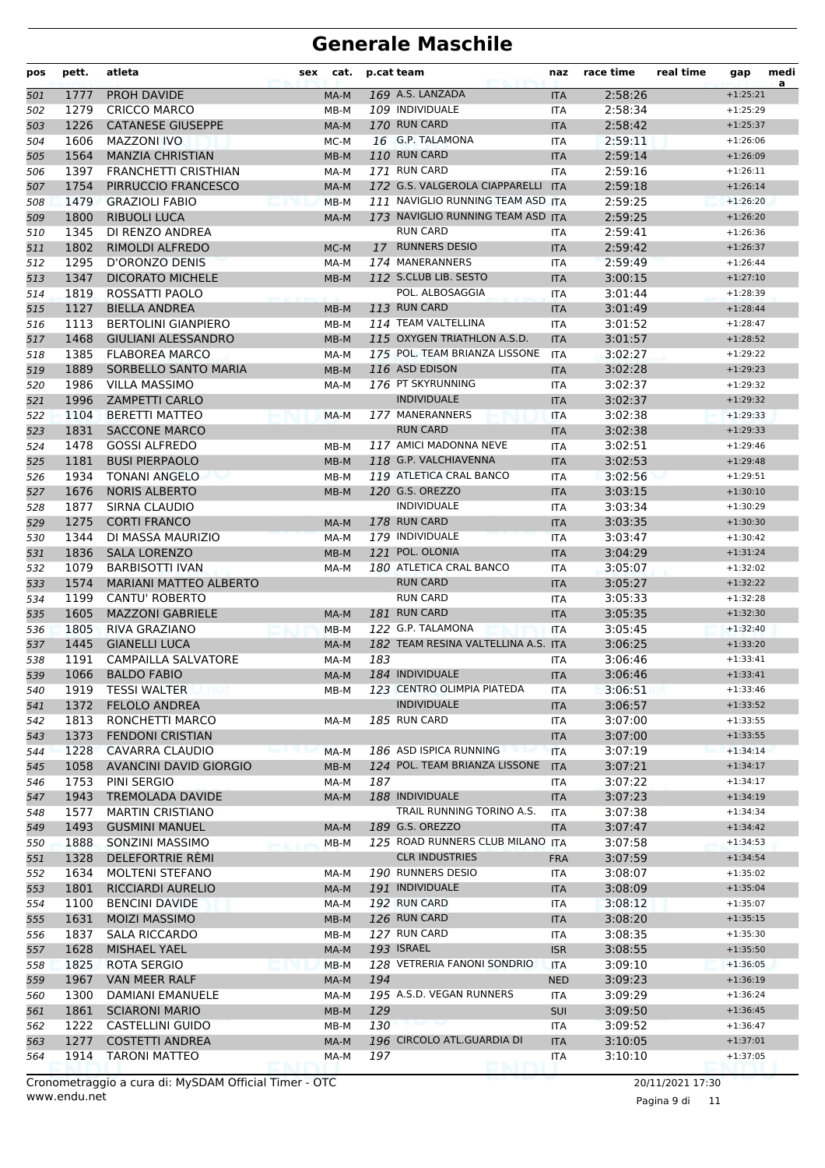| pos | pett. | atleta                        | sex | cat.   |     | p.cat team                          | naz        | race time | real time | gap        | medi<br>a |
|-----|-------|-------------------------------|-----|--------|-----|-------------------------------------|------------|-----------|-----------|------------|-----------|
| 501 | 1777  | PROH DAVIDE                   |     | MA-M   |     | 169 A.S. LANZADA                    | <b>ITA</b> | 2:58:26   |           | $+1:25:21$ |           |
| 502 | 1279  | <b>CRICCO MARCO</b>           |     | MB-M   |     | 109 INDIVIDUALE                     | ITA        | 2:58:34   |           | $+1:25:29$ |           |
| 503 | 1226  | <b>CATANESE GIUSEPPE</b>      |     | MA-M   |     | 170 RUN CARD                        | <b>ITA</b> | 2:58:42   |           | $+1:25:37$ |           |
| 504 | 1606  | <b>MAZZONI IVO</b>            |     | MC-M   |     | 16 G.P. TALAMONA                    | ITA        | 2:59:11   |           | $+1:26:06$ |           |
| 505 | 1564  | <b>MANZIA CHRISTIAN</b>       |     | MB-M   |     | 110 RUN CARD                        | <b>ITA</b> | 2:59:14   |           | $+1:26:09$ |           |
| 506 | 1397  | <b>FRANCHETTI CRISTHIAN</b>   |     | MA-M   |     | 171 RUN CARD                        | ITA        | 2:59:16   |           | $+1:26:11$ |           |
| 507 | 1754  | PIRRUCCIO FRANCESCO           |     | MA-M   |     | 172 G.S. VALGEROLA CIAPPARELLI ITA  |            | 2:59:18   |           | $+1:26:14$ |           |
| 508 | 1479  | <b>GRAZIOLI FABIO</b>         |     | $MB-M$ |     | 111 NAVIGLIO RUNNING TEAM ASD ITA   |            | 2:59:25   |           | $+1:26:20$ |           |
| 509 | 1800  | <b>RIBUOLI LUCA</b>           |     | MA-M   |     | 173 NAVIGLIO RUNNING TEAM ASD ITA   |            | 2:59:25   |           | $+1:26:20$ |           |
| 510 | 1345  | DI RENZO ANDREA               |     |        |     | <b>RUN CARD</b>                     | ITA        | 2:59:41   |           | $+1:26:36$ |           |
| 511 | 1802  | RIMOLDI ALFREDO               |     | MC-M   |     | 17 RUNNERS DESIO                    | <b>ITA</b> | 2:59:42   |           | $+1:26:37$ |           |
| 512 | 1295  | D'ORONZO DENIS                |     | MA-M   |     | 174 MANERANNERS                     | ITA        | 2:59:49   |           | $+1:26:44$ |           |
| 513 | 1347  | <b>DICORATO MICHELE</b>       |     | MB-M   |     | 112 S.CLUB LIB. SESTO               | <b>ITA</b> | 3:00:15   |           | $+1:27:10$ |           |
| 514 | 1819  | ROSSATTI PAOLO                |     |        |     | POL. ALBOSAGGIA                     | <b>ITA</b> | 3:01:44   |           | $+1:28:39$ |           |
| 515 | 1127  | <b>BIELLA ANDREA</b>          |     | MB-M   |     | 113 RUN CARD                        | <b>ITA</b> | 3:01:49   |           | $+1:28:44$ |           |
| 516 | 1113  | <b>BERTOLINI GIANPIERO</b>    |     | MB-M   |     | 114 TEAM VALTELLINA                 | ITA        | 3:01:52   |           | $+1:28:47$ |           |
| 517 | 1468  | <b>GIULIANI ALESSANDRO</b>    |     | $MB-M$ |     | 115 OXYGEN TRIATHLON A.S.D.         | <b>ITA</b> | 3:01:57   |           | $+1:28:52$ |           |
| 518 | 1385  | <b>FLABOREA MARCO</b>         |     | MA-M   |     | 175 POL. TEAM BRIANZA LISSONE       | <b>ITA</b> | 3:02:27   |           | $+1:29:22$ |           |
| 519 | 1889  | SORBELLO SANTO MARIA          |     | MB-M   |     | 116 ASD EDISON                      | <b>ITA</b> | 3:02:28   |           | $+1:29:23$ |           |
| 520 | 1986  | <b>VILLA MASSIMO</b>          |     | MA-M   |     | 176 PT SKYRUNNING                   | ITA        | 3:02:37   |           | $+1:29:32$ |           |
| 521 | 1996  | <b>ZAMPETTI CARLO</b>         |     |        |     | <b>INDIVIDUALE</b>                  | <b>ITA</b> | 3:02:37   |           | $+1:29:32$ |           |
| 522 | 1104  | <b>BERETTI MATTEO</b>         |     | MA-M   |     | 177 MANERANNERS                     | <b>ITA</b> | 3:02:38   |           | $+1:29:33$ |           |
| 523 | 1831  | <b>SACCONE MARCO</b>          |     |        |     | <b>RUN CARD</b>                     | <b>ITA</b> | 3:02:38   |           | $+1:29:33$ |           |
| 524 | 1478  | <b>GOSSI ALFREDO</b>          |     | MB-M   |     | 117 AMICI MADONNA NEVE              | <b>ITA</b> | 3:02:51   |           | $+1:29:46$ |           |
| 525 | 1181  | <b>BUSI PIERPAOLO</b>         |     | MB-M   |     | 118 G.P. VALCHIAVENNA               | <b>ITA</b> | 3:02:53   |           | $+1:29:48$ |           |
| 526 | 1934  | <b>TONANI ANGELO</b>          |     | MB-M   |     | 119 ATLETICA CRAL BANCO             | <b>ITA</b> | 3:02:56   |           | $+1:29:51$ |           |
| 527 | 1676  | <b>NORIS ALBERTO</b>          |     | MB-M   |     | 120 G.S. OREZZO                     | <b>ITA</b> | 3:03:15   |           | $+1:30:10$ |           |
| 528 | 1877  | SIRNA CLAUDIO                 |     |        |     | <b>INDIVIDUALE</b>                  | ITA        | 3:03:34   |           | $+1:30:29$ |           |
| 529 | 1275  | <b>CORTI FRANCO</b>           |     | MA-M   |     | 178 RUN CARD                        | <b>ITA</b> | 3:03:35   |           | $+1:30:30$ |           |
| 530 | 1344  | DI MASSA MAURIZIO             |     | MA-M   |     | 179 INDIVIDUALE                     | <b>ITA</b> | 3:03:47   |           | $+1:30:42$ |           |
| 531 | 1836  | <b>SALA LORENZO</b>           |     | MB-M   |     | 121 POL. OLONIA                     | <b>ITA</b> | 3:04:29   |           | $+1:31:24$ |           |
| 532 | 1079  | <b>BARBISOTTI IVAN</b>        |     | MA-M   |     | 180 ATLETICA CRAL BANCO             | <b>ITA</b> | 3:05:07   |           | $+1:32:02$ |           |
| 533 | 1574  | <b>MARIANI MATTEO ALBERTO</b> |     |        |     | <b>RUN CARD</b>                     | <b>ITA</b> | 3:05:27   |           | $+1:32:22$ |           |
| 534 | 1199  | <b>CANTU' ROBERTO</b>         |     |        |     | <b>RUN CARD</b>                     | ITA        | 3:05:33   |           | $+1:32:28$ |           |
| 535 | 1605  | <b>MAZZONI GABRIELE</b>       |     | MA-M   |     | 181 RUN CARD                        | <b>ITA</b> | 3:05:35   |           | $+1:32:30$ |           |
| 536 | 1805  | <b>RIVA GRAZIANO</b>          |     | $MB-M$ |     | 122 G.P. TALAMONA                   | <b>ITA</b> | 3:05:45   |           | $+1:32:40$ |           |
| 537 | 1445  | <b>GIANELLI LUCA</b>          |     | MA-M   |     | 182 TEAM RESINA VALTELLINA A.S. ITA |            | 3:06:25   |           | $+1:33:20$ |           |
| 538 | 1191  | CAMPAILLA SALVATORE           |     | MA-M   | 183 |                                     | ITA        | 3:06:46   |           | $+1:33:41$ |           |
| 539 | 1066  | <b>BALDO FABIO</b>            |     | MA-M   |     | 184 INDIVIDUALE                     | <b>ITA</b> | 3:06:46   |           | $+1:33:41$ |           |
| 540 | 1919  | <b>TESSI WALTER</b>           |     | MB-M   |     | 123 CENTRO OLIMPIA PIATEDA          | ITA        | 3:06:51   |           | $+1:33:46$ |           |
| 541 | 1372  | <b>FELOLO ANDREA</b>          |     |        |     | <b>INDIVIDUALE</b>                  | <b>ITA</b> | 3:06:57   |           | $+1:33:52$ |           |
| 542 | 1813  | RONCHETTI MARCO               |     | MA-M   |     | 185 RUN CARD                        | <b>ITA</b> | 3:07:00   |           | $+1:33:55$ |           |
| 543 | 1373  | <b>FENDONI CRISTIAN</b>       |     |        |     |                                     | <b>ITA</b> | 3:07:00   |           | $+1:33:55$ |           |
| 544 | 1228  | CAVARRA CLAUDIO               |     | MA-M   |     | 186 ASD ISPICA RUNNING              | <b>ITA</b> | 3:07:19   |           | $+1:34:14$ |           |
| 545 | 1058  | <b>AVANCINI DAVID GIORGIO</b> |     | MB-M   |     | 124 POL. TEAM BRIANZA LISSONE       | <b>ITA</b> | 3:07:21   |           | $+1:34:17$ |           |
| 546 | 1753  | PINI SERGIO                   |     | MA-M   | 187 |                                     | ITA        | 3:07:22   |           | $+1:34:17$ |           |
| 547 | 1943  | <b>TREMOLADA DAVIDE</b>       |     | MA-M   |     | 188 INDIVIDUALE                     | <b>ITA</b> | 3:07:23   |           | $+1:34:19$ |           |
| 548 | 1577  | <b>MARTIN CRISTIANO</b>       |     |        |     | TRAIL RUNNING TORINO A.S.           | <b>ITA</b> | 3:07:38   |           | $+1:34:34$ |           |
| 549 | 1493  | <b>GUSMINI MANUEL</b>         |     | MA-M   |     | 189 G.S. OREZZO                     | <b>ITA</b> | 3:07:47   |           | $+1:34:42$ |           |
| 550 | 1888  | SONZINI MASSIMO               |     | MB-M   |     | 125 ROAD RUNNERS CLUB MILANO ITA    |            | 3:07:58   |           | $+1:34:53$ |           |
| 551 | 1328  | <b>DELEFORTRIE REMI</b>       |     |        |     | <b>CLR INDUSTRIES</b>               | <b>FRA</b> | 3:07:59   |           | $+1:34:54$ |           |
| 552 | 1634  | <b>MOLTENI STEFANO</b>        |     | MA-M   |     | 190 RUNNERS DESIO                   | ITA        | 3:08:07   |           | $+1:35:02$ |           |
| 553 | 1801  | RICCIARDI AURELIO             |     | MA-M   |     | 191 INDIVIDUALE                     | <b>ITA</b> | 3:08:09   |           | $+1:35:04$ |           |
| 554 | 1100  | <b>BENCINI DAVIDE</b>         |     | MA-M   |     | 192 RUN CARD                        | ITA        | 3:08:12   |           | $+1:35:07$ |           |
| 555 | 1631  | <b>MOIZI MASSIMO</b>          |     | MB-M   |     | 126 RUN CARD                        | <b>ITA</b> | 3:08:20   |           | $+1:35:15$ |           |
| 556 | 1837  | <b>SALA RICCARDO</b>          |     | MB-M   |     | 127 RUN CARD                        | ITA        | 3:08:35   |           | $+1:35:30$ |           |
| 557 | 1628  | <b>MISHAEL YAEL</b>           |     | MA-M   |     | 193 ISRAEL                          | <b>ISR</b> | 3:08:55   |           | $+1:35:50$ |           |
| 558 | 1825  | ROTA SERGIO                   |     | MB-M   |     | 128 VETRERIA FANONI SONDRIO         | <b>ITA</b> | 3:09:10   |           | $+1:36:05$ |           |
| 559 | 1967  | VAN MEER RALF                 |     | MA-M   | 194 |                                     | <b>NED</b> | 3:09:23   |           | $+1:36:19$ |           |
| 560 | 1300  | DAMIANI EMANUELE              |     | MA-M   |     | 195 A.S.D. VEGAN RUNNERS            | ITA        | 3:09:29   |           | $+1:36:24$ |           |
| 561 | 1861  | <b>SCIARONI MARIO</b>         |     | MB-M   | 129 |                                     | SUI        | 3:09:50   |           | $+1:36:45$ |           |
| 562 | 1222  | <b>CASTELLINI GUIDO</b>       |     | MB-M   | 130 |                                     | ITA        | 3:09:52   |           | $+1:36:47$ |           |
| 563 | 1277  | <b>COSTETTI ANDREA</b>        |     | MA-M   |     | 196 CIRCOLO ATL.GUARDIA DI          | <b>ITA</b> | 3:10:05   |           | $+1:37:01$ |           |
| 564 | 1914  | <b>TARONI MATTEO</b>          |     | MA-M   | 197 |                                     | ITA        | 3:10:10   |           | $+1:37:05$ |           |

www.endu.net Cronometraggio a cura di: MySDAM Official Timer - OTC 20/11/2021 17:30

Pagina 9 di 11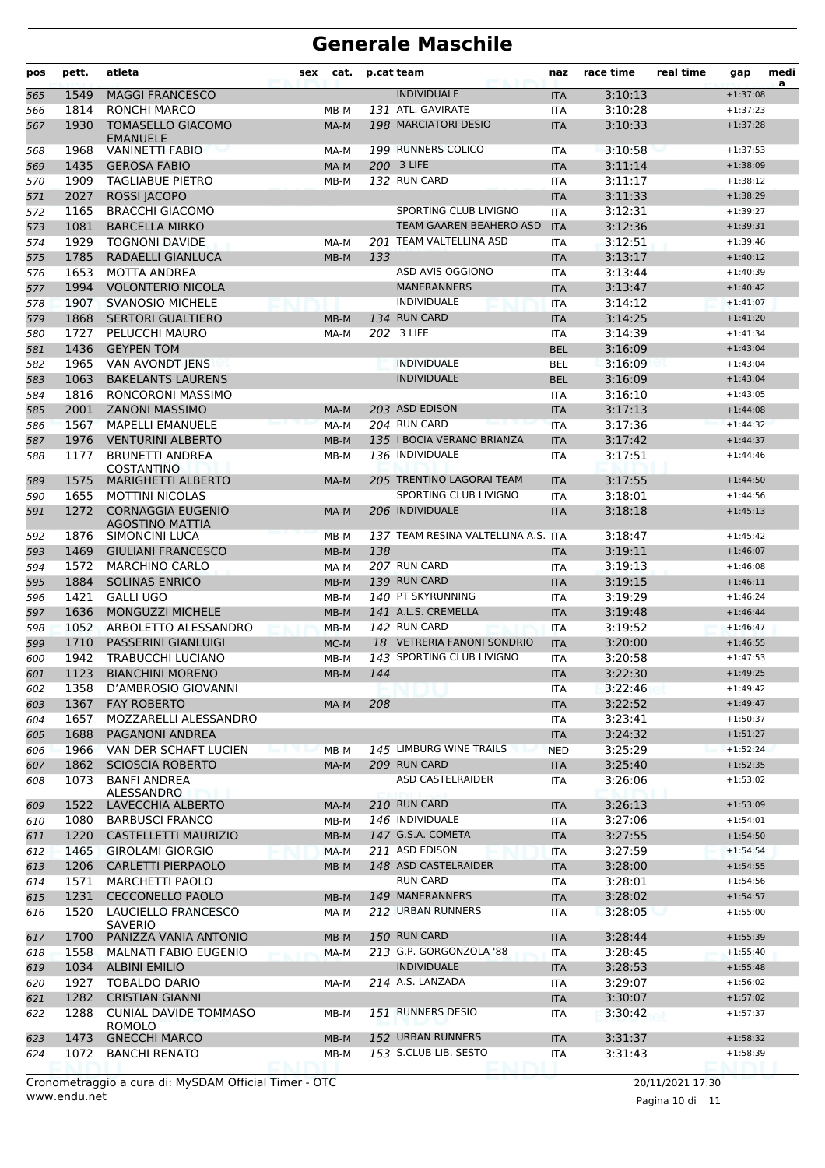| pos        | pett.        | atleta                                              | sex | cat.   |     | p.cat team                              | naz                      | race time          | real time | gap                      | medi<br>a |
|------------|--------------|-----------------------------------------------------|-----|--------|-----|-----------------------------------------|--------------------------|--------------------|-----------|--------------------------|-----------|
| 565        | 1549         | <b>MAGGI FRANCESCO</b>                              |     |        |     | <b>INDIVIDUALE</b>                      | <b>ITA</b>               | 3:10:13            |           | $+1:37:08$               |           |
| 566        | 1814         | <b>RONCHI MARCO</b>                                 |     | MB-M   |     | 131 ATL. GAVIRATE                       | ITA                      | 3:10:28            |           | $+1:37:23$               |           |
| 567        | 1930         | <b>TOMASELLO GIACOMO</b><br><b>FMANUFLE</b>         |     | MA-M   |     | 198 MARCIATORI DESIO                    | <b>ITA</b>               | 3:10:33            |           | $+1:37:28$               |           |
| 568        | 1968         | <b>VANINETTI FABIO</b>                              |     | MA-M   |     | 199 RUNNERS COLICO                      | <b>ITA</b>               | 3:10:58            |           | $+1:37:53$               |           |
| 569        | 1435         | <b>GEROSA FABIO</b>                                 |     | MA-M   |     | 200 3 LIFE<br>132 RUN CARD              | <b>ITA</b>               | 3:11:14            |           | $+1:38:09$               |           |
| 570        | 1909         | <b>TAGLIABUE PIETRO</b>                             |     | MB-M   |     |                                         | ITA                      | 3:11:17            |           | $+1:38:12$               |           |
| 571        | 2027         | <b>ROSSI JACOPO</b>                                 |     |        |     | SPORTING CLUB LIVIGNO                   | <b>ITA</b>               | 3:11:33            |           | $+1:38:29$<br>$+1:39:27$ |           |
| 572        | 1165         | <b>BRACCHI GIACOMO</b>                              |     |        |     | TEAM GAAREN BEAHERO ASD                 | <b>ITA</b>               | 3:12:31<br>3:12:36 |           |                          |           |
| 573        | 1081         | <b>BARCELLA MIRKO</b>                               |     |        |     | 201 TEAM VALTELLINA ASD                 | <b>ITA</b>               |                    |           | $+1:39:31$               |           |
| 574        | 1929         | <b>TOGNONI DAVIDE</b>                               |     | MA-M   |     |                                         | ITA                      | 3:12:51            |           | $+1:39:46$               |           |
| 575        | 1785         | RADAELLI GIANLUCA                                   |     | MB-M   | 133 | ASD AVIS OGGIONO                        | <b>ITA</b>               | 3:13:17            |           | $+1:40:12$               |           |
| 576        | 1653<br>1994 | <b>MOTTA ANDREA</b>                                 |     |        |     | <b>MANERANNERS</b>                      | ITA                      | 3:13:44            |           | $+1:40:39$<br>$+1:40:42$ |           |
| 577        | 1907         | <b>VOLONTERIO NICOLA</b><br><b>SVANOSIO MICHELE</b> |     |        |     | <b>INDIVIDUALE</b>                      | <b>ITA</b>               | 3:13:47            |           | $+1:41:07$               |           |
| 578        |              | <b>SERTORI GUALTIERO</b>                            |     |        |     | 134 RUN CARD                            | <b>ITA</b>               | 3:14:12            |           |                          |           |
| 579        | 1868<br>1727 | PELUCCHI MAURO                                      |     | MB-M   |     | 202 3 LIFE                              | <b>ITA</b>               | 3:14:25<br>3:14:39 |           | $+1:41:20$<br>$+1:41:34$ |           |
| 580        | 1436         | <b>GEYPEN TOM</b>                                   |     | MA-M   |     |                                         | ITA                      |                    |           | $+1:43:04$               |           |
| 581        | 1965         | VAN AVONDT JENS                                     |     |        |     | <b>INDIVIDUALE</b>                      | <b>BEL</b>               | 3:16:09<br>3:16:09 |           | $+1:43:04$               |           |
| 582        | 1063         | <b>BAKELANTS LAURENS</b>                            |     |        |     | <b>INDIVIDUALE</b>                      | BEL                      | 3:16:09            |           | $+1:43:04$               |           |
| 583        | 1816         | RONCORONI MASSIMO                                   |     |        |     |                                         | <b>BEL</b>               | 3:16:10            |           | $+1:43:05$               |           |
| 584<br>585 | 2001         | <b>ZANONI MASSIMO</b>                               |     | MA-M   |     | 203 ASD EDISON                          | <b>ITA</b><br><b>ITA</b> | 3:17:13            |           | $+1:44:08$               |           |
|            | 1567         | <b>MAPELLI EMANUELE</b>                             |     | MA-M   |     | 204 RUN CARD                            |                          | 3:17:36            |           | $+1:44:32$               |           |
| 586        | 1976         | <b>VENTURINI ALBERTO</b>                            |     | MB-M   |     | 135   BOCIA VERANO BRIANZA              | <b>ITA</b><br><b>ITA</b> | 3:17:42            |           | $+1:44:37$               |           |
| 587<br>588 | 1177         | <b>BRUNETTI ANDREA</b>                              |     | MB-M   |     | 136 INDIVIDUALE                         | ITA                      | 3:17:51            |           | $+1:44:46$               |           |
|            |              | <b>COSTANTINO</b>                                   |     |        |     |                                         |                          |                    |           |                          |           |
| 589        | 1575         | <b>MARIGHETTI ALBERTO</b>                           |     | MA-M   |     | 205 TRENTINO LAGORAI TEAM               | <b>ITA</b>               | 3:17:55            |           | $+1:44:50$               |           |
| 590        | 1655         | <b>MOTTINI NICOLAS</b>                              |     |        |     | SPORTING CLUB LIVIGNO                   | <b>ITA</b>               | 3:18:01            |           | $+1:44:56$               |           |
| 591        | 1272         | <b>CORNAGGIA EUGENIO</b><br><b>AGOSTINO MATTIA</b>  |     | MA-M   |     | 206 INDIVIDUALE                         | <b>ITA</b>               | 3:18:18            |           | $+1:45:13$               |           |
| 592        | 1876         | SIMONCINI LUCA                                      |     | $MB-M$ |     | 137 TEAM RESINA VALTELLINA A.S. ITA     |                          | 3:18:47            |           | $+1:45:42$               |           |
| 593        | 1469         | <b>GIULIANI FRANCESCO</b>                           |     | MB-M   | 138 |                                         | <b>ITA</b>               | 3:19:11            |           | $+1:46:07$               |           |
| 594        | 1572         | <b>MARCHINO CARLO</b>                               |     | MA-M   |     | 207 RUN CARD                            | ITA                      | 3:19:13            |           | $+1:46:08$               |           |
| 595        | 1884         | <b>SOLINAS ENRICO</b>                               |     | $MB-M$ |     | 139 RUN CARD                            | <b>ITA</b>               | 3:19:15            |           | $+1:46:11$               |           |
| 596        | 1421         | <b>GALLI UGO</b>                                    |     | MB-M   |     | 140 PT SKYRUNNING                       | ITA                      | 3:19:29            |           | $+1:46:24$               |           |
| 597        | 1636         | MONGUZZI MICHELE                                    |     | MB-M   |     | 141 A.L.S. CREMELLA                     | <b>ITA</b>               | 3:19:48            |           | $+1:46:44$               |           |
| 598        | 1052         | ARBOLETTO ALESSANDRO                                |     | MB-M   |     | 142 RUN CARD                            | <b>ITA</b>               | 3:19:52            |           | $+1:46:47$               |           |
| 599        | 1710         | PASSERINI GIANLUIGI                                 |     | MC-M   |     | 18 VETRERIA FANONI SONDRIO              | <b>ITA</b>               | 3:20:00            |           | $+1:46:55$               |           |
| 600        | 1942         | <b>TRABUCCHI LUCIANO</b>                            |     | MB-M   |     | 143 SPORTING CLUB LIVIGNO               | <b>ITA</b>               | 3:20:58            |           | $+1:47:53$               |           |
| 601        | 1123         | <b>BIANCHINI MORENO</b>                             |     | MB-M   | 144 |                                         | <b>ITA</b>               | 3:22:30            |           | $+1:49:25$               |           |
| 602        | 1358         | D'AMBROSIO GIOVANNI                                 |     |        |     |                                         | ITA                      | 3:22:46            |           | $+1:49:42$               |           |
| 603        | 1367         | <b>FAY ROBERTO</b>                                  |     | MA-M   | 208 |                                         | <b>ITA</b>               | 3:22:52            |           | $+1:49:47$               |           |
| 604        | 1657         | MOZZARELLI ALESSANDRO                               |     |        |     |                                         | <b>ITA</b>               | 3:23:41            |           | $+1:50:37$               |           |
| 605        | 1688         | <b>PAGANONI ANDREA</b>                              |     |        |     |                                         | <b>ITA</b>               | 3:24:32            |           | $+1:51:27$               |           |
| 606        | 1966         | VAN DER SCHAFT LUCIEN                               |     | MB-M   |     | 145 LIMBURG WINE TRAILS                 | <b>NED</b>               | 3:25:29            |           | $+1:52:24$               |           |
| 607        | 1862         | <b>SCIOSCIA ROBERTO</b>                             |     | MA-M   |     | 209 RUN CARD<br><b>ASD CASTELRAIDER</b> | <b>ITA</b>               | 3:25:40            |           | $+1:52:35$               |           |
| 608        | 1073         | <b>BANFI ANDREA</b><br><b>ALESSANDRO</b>            |     |        |     |                                         | <b>ITA</b>               | 3:26:06            |           | $+1:53:02$               |           |
| 609        | 1522         | LAVECCHIA ALBERTO                                   |     | MA-M   |     | 210 RUN CARD                            | <b>ITA</b>               | 3:26:13            |           | $+1:53:09$               |           |
| 610        | 1080         | <b>BARBUSCI FRANCO</b>                              |     | MB-M   |     | 146 INDIVIDUALE                         | <b>ITA</b>               | 3:27:06            |           | $+1:54:01$               |           |
| 611        | 1220         | CASTELLETTI MAURIZIO                                |     | MB-M   |     | 147 G.S.A. COMETA                       | <b>ITA</b>               | 3:27:55            |           | $+1:54:50$               |           |
| 612        | 1465         | <b>GIROLAMI GIORGIO</b>                             |     | MA-M   |     | 211 ASD EDISON                          | <b>ITA</b>               | 3:27:59            |           | $+1:54:54$               |           |
| 613        | 1206         | CARLETTI PIERPAOLO                                  |     | MB-M   |     | 148 ASD CASTELRAIDER                    | <b>ITA</b>               | 3:28:00            |           | $+1:54:55$               |           |
| 614        | 1571         | MARCHETTI PAOLO                                     |     |        |     | <b>RUN CARD</b>                         | ITA                      | 3:28:01            |           | $+1:54:56$               |           |
| 615        | 1231         | <b>CECCONELLO PAOLO</b>                             |     | MB-M   |     | 149 MANERANNERS                         | <b>ITA</b>               | 3:28:02            |           | $+1:54:57$               |           |
| 616        | 1520         | LAUCIELLO FRANCESCO<br><b>SAVERIO</b>               |     | MA-M   |     | 212 URBAN RUNNERS                       | <b>ITA</b>               | 3:28:05            |           | $+1:55:00$               |           |
| 617        | 1700         | PANIZZA VANIA ANTONIO                               |     | MB-M   |     | 150 RUN CARD                            | <b>ITA</b>               | 3:28:44            |           | $+1:55:39$               |           |
| 618        | 1558         | <b>MALNATI FABIO EUGENIO</b>                        |     | MA-M   |     | 213 G.P. GORGONZOLA '88                 | <b>ITA</b>               | 3:28:45            |           | $+1:55:40$               |           |
| 619        | 1034         | <b>ALBINI EMILIO</b>                                |     |        |     | <b>INDIVIDUALE</b>                      | <b>ITA</b>               | 3:28:53            |           | $+1:55:48$               |           |
| 620        | 1927         | <b>TOBALDO DARIO</b>                                |     | MA-M   |     | 214 A.S. LANZADA                        | ITA                      | 3:29:07            |           | $+1:56:02$               |           |
| 621        | 1282         | <b>CRISTIAN GIANNI</b>                              |     |        |     |                                         | <b>ITA</b>               | 3:30:07            |           | $+1:57:02$               |           |
| 622        | 1288         | <b>CUNIAL DAVIDE TOMMASO</b><br><b>ROMOLO</b>       |     | MB-M   |     | 151 RUNNERS DESIO                       | <b>ITA</b>               | 3:30:42            |           | $+1:57:37$               |           |
| 623        | 1473         | <b>GNECCHI MARCO</b>                                |     | MB-M   |     | 152 URBAN RUNNERS                       | <b>ITA</b>               | 3:31:37            |           | $+1:58:32$               |           |
| 624        | 1072         | <b>BANCHI RENATO</b>                                |     | MB-M   |     | 153 S.CLUB LIB. SESTO                   | ITA                      | 3:31:43            |           | $+1:58:39$               |           |

www.endu.net Cronometraggio a cura di: MySDAM Official Timer - OTC 20/11/2021 17:30

Pagina 10 di 11